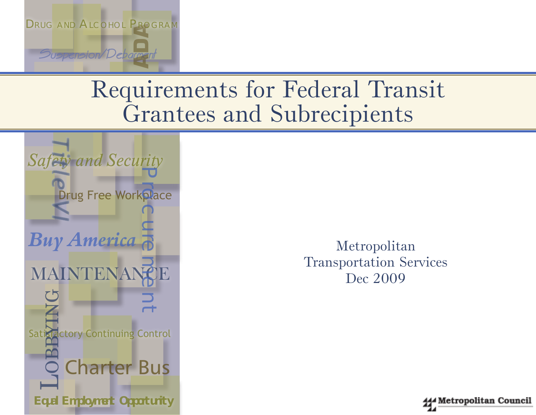

# Requirements for Federal Transit Grantees and Subrecipients



Metropolitan Transportation Services Dec 2009

Metropolitan Council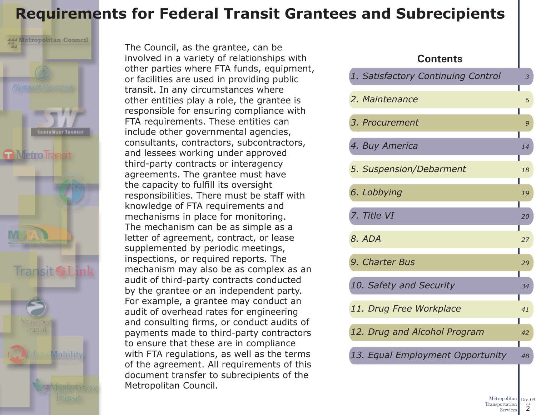## **Requirements for Federal Transit Grantees and Subrecipients**



The Council, as the grantee, can be involved in a variety of relationships with other parties where FTA funds, equipment, or facilities are used in providing public transit. In any circumstances where other entities play a role, the grantee is responsible for ensuring compliance with FTA requirements. These entities can include other governmental agencies, consultants, contractors, subcontractors, and lessees working under approved third-party contracts or interagency agreements. The grantee must have the capacity to fulfill its oversight responsibilities. There must be staff with knowledge of FTA requirements and mechanisms in place for monitoring. The mechanism can be as simple as a letter of agreement, contract, or lease supplemented by periodic meetings, inspections, or required reports. The mechanism may also be as complex as an audit of third-party contracts conducted by the grantee or an independent party. For example, a grantee may conduct an audit of overhead rates for engineering and consulting firms, or conduct audits of payments made to third-party contractors to ensure that these are in compliance with FTA regulations, as well as the terms of the agreement. All requirements of this document transfer to subrecipients of the Metropolitan Council.

### **Contents**

| 1. Satisfactory Continuing Control | $\mathfrak{Z}$ |
|------------------------------------|----------------|
| 2. Maintenance                     | 6              |
| 3. Procurement                     | 9              |
| 4. Buy America                     | 14             |
| 5. Suspension/Debarment            | 18             |
| 6. Lobbying                        | 19             |
| 7. Title VI                        | 20             |
| 8. ADA                             | 27<br>Н        |
| 9. Charter Bus                     | 29             |
| 10. Safety and Security            | 34             |
| 11. Drug Free Workplace            | 41             |
| 12. Drug and Alcohol Program       | 42             |
| 13. Equal Employment Opportunity   | 48             |
|                                    |                |

Metropolitan Dec. 09 Transportation Services v. 2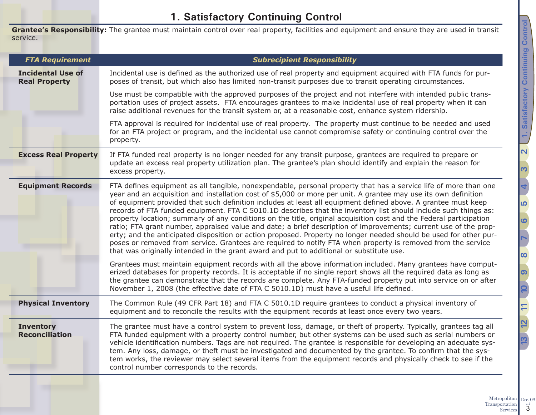## <span id="page-2-1"></span>**1. Satisfactory Continuing Control**

<span id="page-2-0"></span>**Grantee's Responsibility:** The grantee must maintain control over real property, facilities and equipment and ensure they are used in transit service.

| <b>FTA Requirement</b>                           | <b>Subrecipient Responsibility</b>                                                                                                                                                                                                                                                                                                                                                                                                                                                                                                                                                                                                                                                                                                                                                                                                                                                                                                                                                                                                                 |
|--------------------------------------------------|----------------------------------------------------------------------------------------------------------------------------------------------------------------------------------------------------------------------------------------------------------------------------------------------------------------------------------------------------------------------------------------------------------------------------------------------------------------------------------------------------------------------------------------------------------------------------------------------------------------------------------------------------------------------------------------------------------------------------------------------------------------------------------------------------------------------------------------------------------------------------------------------------------------------------------------------------------------------------------------------------------------------------------------------------|
| <b>Incidental Use of</b><br><b>Real Property</b> | Incidental use is defined as the authorized use of real property and equipment acquired with FTA funds for pur-<br>poses of transit, but which also has limited non-transit purposes due to transit operating circumstances.                                                                                                                                                                                                                                                                                                                                                                                                                                                                                                                                                                                                                                                                                                                                                                                                                       |
|                                                  | Use must be compatible with the approved purposes of the project and not interfere with intended public trans-<br>portation uses of project assets. FTA encourages grantees to make incidental use of real property when it can<br>raise additional revenues for the transit system or, at a reasonable cost, enhance system ridership.                                                                                                                                                                                                                                                                                                                                                                                                                                                                                                                                                                                                                                                                                                            |
|                                                  | FTA approval is required for incidental use of real property. The property must continue to be needed and used<br>for an FTA project or program, and the incidental use cannot compromise safety or continuing control over the<br>property.                                                                                                                                                                                                                                                                                                                                                                                                                                                                                                                                                                                                                                                                                                                                                                                                       |
| <b>Excess Real Property</b>                      | If FTA funded real property is no longer needed for any transit purpose, grantees are required to prepare or<br>update an excess real property utilization plan. The grantee's plan should identify and explain the reason for<br>excess property.                                                                                                                                                                                                                                                                                                                                                                                                                                                                                                                                                                                                                                                                                                                                                                                                 |
| <b>Equipment Records</b>                         | FTA defines equipment as all tangible, nonexpendable, personal property that has a service life of more than one<br>year and an acquisition and installation cost of \$5,000 or more per unit. A grantee may use its own definition<br>of equipment provided that such definition includes at least all equipment defined above. A grantee must keep<br>records of FTA funded equipment. FTA C 5010.1D describes that the inventory list should include such things as:<br>property location; summary of any conditions on the title, original acquisition cost and the Federal participation<br>ratio; FTA grant number, appraised value and date; a brief description of improvements; current use of the prop-<br>erty; and the anticipated disposition or action proposed. Property no longer needed should be used for other pur-<br>poses or removed from service. Grantees are required to notify FTA when property is removed from the service<br>that was originally intended in the grant award and put to additional or substitute use. |
|                                                  | Grantees must maintain equipment records with all the above information included. Many grantees have comput-<br>erized databases for property records. It is acceptable if no single report shows all the required data as long as<br>the grantee can demonstrate that the records are complete. Any FTA-funded property put into service on or after<br>November 1, 2008 (the effective date of FTA C 5010.1D) must have a useful life defined.                                                                                                                                                                                                                                                                                                                                                                                                                                                                                                                                                                                                   |
| <b>Physical Inventory</b>                        | The Common Rule (49 CFR Part 18) and FTA C 5010.1D require grantees to conduct a physical inventory of<br>equipment and to reconcile the results with the equipment records at least once every two years.                                                                                                                                                                                                                                                                                                                                                                                                                                                                                                                                                                                                                                                                                                                                                                                                                                         |
| <b>Inventory</b><br><b>Reconciliation</b>        | The grantee must have a control system to prevent loss, damage, or theft of property. Typically, grantees tag all<br>FTA funded equipment with a property control number, but other systems can be used such as serial numbers or<br>vehicle identification numbers. Tags are not required. The grantee is responsible for developing an adequate sys-<br>tem. Any loss, damage, or theft must be investigated and documented by the grantee. To confirm that the sys-<br>tem works, the reviewer may select several items from the equipment records and physically check to see if the<br>control number corresponds to the records.                                                                                                                                                                                                                                                                                                                                                                                                             |
|                                                  |                                                                                                                                                                                                                                                                                                                                                                                                                                                                                                                                                                                                                                                                                                                                                                                                                                                                                                                                                                                                                                                    |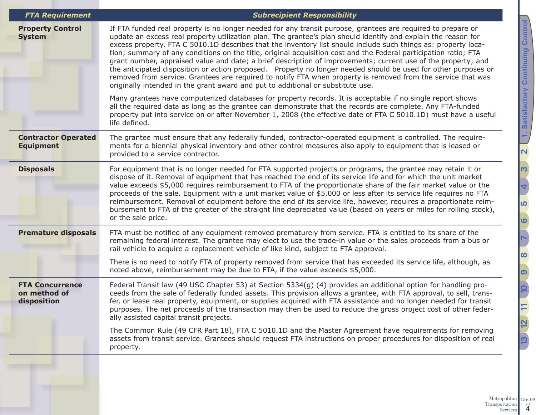| <b>FTA Requirement</b>                                | <b>Subrecipient Responsibility</b>                                                                                                                                                                                                                                                                                                                                                                                                                                                                                                                                                                                                                                                                                                                                                                                                                                                                         |
|-------------------------------------------------------|------------------------------------------------------------------------------------------------------------------------------------------------------------------------------------------------------------------------------------------------------------------------------------------------------------------------------------------------------------------------------------------------------------------------------------------------------------------------------------------------------------------------------------------------------------------------------------------------------------------------------------------------------------------------------------------------------------------------------------------------------------------------------------------------------------------------------------------------------------------------------------------------------------|
| <b>Property Control</b><br><b>System</b>              | If FTA funded real property is no longer needed for any transit purpose, grantees are required to prepare or<br>update an excess real property utilization plan. The grantee's plan should identify and explain the reason for<br>excess property. FTA C 5010.1D describes that the inventory list should include such things as: property loca-<br>tion; summary of any conditions on the title, original acquisition cost and the Federal participation ratio; FTA<br>grant number, appraised value and date; a brief description of improvements; current use of the property; and<br>the anticipated disposition or action proposed. Property no longer needed should be used for other purposes or<br>removed from service. Grantees are required to notify FTA when property is removed from the service that was<br>originally intended in the grant award and put to additional or substitute use. |
|                                                       | Many grantees have computerized databases for property records. It is acceptable if no single report shows<br>all the required data as long as the grantee can demonstrate that the records are complete. Any FTA-funded<br>property put into service on or after November 1, 2008 (the effective date of FTA C 5010.1D) must have a useful<br>life defined.                                                                                                                                                                                                                                                                                                                                                                                                                                                                                                                                               |
| <b>Contractor Operated</b><br><b>Equipment</b>        | The grantee must ensure that any federally funded, contractor-operated equipment is controlled. The require-<br>ments for a biennial physical inventory and other control measures also apply to equipment that is leased or<br>provided to a service contractor.                                                                                                                                                                                                                                                                                                                                                                                                                                                                                                                                                                                                                                          |
| <b>Disposals</b>                                      | For equipment that is no longer needed for FTA supported projects or programs, the grantee may retain it or<br>dispose of it. Removal of equipment that has reached the end of its service life and for which the unit market<br>value exceeds \$5,000 requires reimbursement to FTA of the proportionate share of the fair market value or the<br>proceeds of the sale. Equipment with a unit market value of \$5,000 or less after its service life requires no FTA<br>reimbursement. Removal of equipment before the end of its service life, however, requires a proportionate reim-<br>bursement to FTA of the greater of the straight line depreciated value (based on years or miles for rolling stock),<br>or the sale price.                                                                                                                                                                      |
| <b>Premature disposals</b>                            | FTA must be notified of any equipment removed prematurely from service. FTA is entitled to its share of the<br>remaining federal interest. The grantee may elect to use the trade-in value or the sales proceeds from a bus or<br>rail vehicle to acquire a replacement vehicle of like kind, subject to FTA approval.                                                                                                                                                                                                                                                                                                                                                                                                                                                                                                                                                                                     |
|                                                       | There is no need to notify FTA of property removed from service that has exceeded its service life, although, as<br>noted above, reimbursement may be due to FTA, if the value exceeds \$5,000.                                                                                                                                                                                                                                                                                                                                                                                                                                                                                                                                                                                                                                                                                                            |
| <b>FTA Concurrence</b><br>on method of<br>disposition | Federal Transit law (49 USC Chapter 53) at Section 5334(g) (4) provides an additional option for handling pro-<br>ceeds from the sale of federally funded assets. This provision allows a grantee, with FTA approval, to sell, trans-<br>fer, or lease real property, equipment, or supplies acquired with FTA assistance and no longer needed for transit<br>purposes. The net proceeds of the transaction may then be used to reduce the gross project cost of other feder-<br>ally assisted capital transit projects.                                                                                                                                                                                                                                                                                                                                                                                   |
|                                                       | The Common Rule (49 CFR Part 18), FTA C 5010.1D and the Master Agreement have requirements for removing<br>assets from transit service. Grantees should request FTA instructions on proper procedures for disposition of real<br>property.                                                                                                                                                                                                                                                                                                                                                                                                                                                                                                                                                                                                                                                                 |
|                                                       |                                                                                                                                                                                                                                                                                                                                                                                                                                                                                                                                                                                                                                                                                                                                                                                                                                                                                                            |

Metropolitan Transportation 8 Dec. 09

1. Satisfactory Continuing Control v. 2**[1. Satisfactory Continuing Control](#page-2-1)**  $\mathbf{\Omega}$ <u>ო</u> **[4](#page-13-1)** <u>က</u> **[6](#page-18-1) [7](#page-19-1)[8](#page-26-1) [9](#page-28-1)** 12 11 10 **[12](#page-41-1) [10](#page-33-1) [13](#page-47-1) [11](#page-40-1) 13**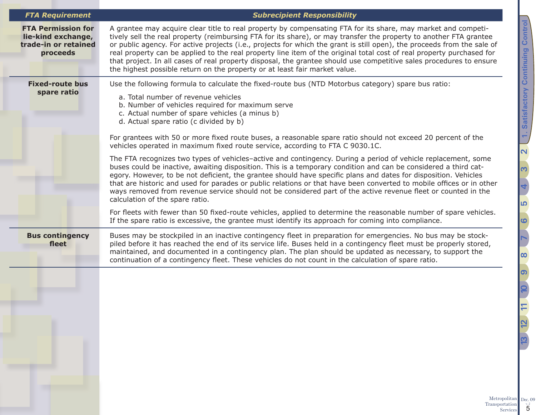### *FTA Requirement Subrecipient Responsibility*

| <b>FTA Permission for</b><br>lie-kind exchange,<br>trade-in or retained<br>proceeds | A grantee may acquire clear title to real property by compensating FTA for its share, may market and competi-<br>tively sell the real property (reimbursing FTA for its share), or may transfer the property to another FTA grantee<br>or public agency. For active projects (i.e., projects for which the grant is still open), the proceeds from the sale of<br>real property can be applied to the real property line item of the original total cost of real property purchased for<br>that project. In all cases of real property disposal, the grantee should use competitive sales procedures to ensure<br>the highest possible return on the property or at least fair market value.                                               |
|-------------------------------------------------------------------------------------|--------------------------------------------------------------------------------------------------------------------------------------------------------------------------------------------------------------------------------------------------------------------------------------------------------------------------------------------------------------------------------------------------------------------------------------------------------------------------------------------------------------------------------------------------------------------------------------------------------------------------------------------------------------------------------------------------------------------------------------------|
| <b>Fixed-route bus</b><br>spare ratio                                               | Use the following formula to calculate the fixed-route bus (NTD Motorbus category) spare bus ratio:<br>a. Total number of revenue vehicles<br>b. Number of vehicles required for maximum serve<br>c. Actual number of spare vehicles (a minus b)<br>d. Actual spare ratio (c divided by b)<br>For grantees with 50 or more fixed route buses, a reasonable spare ratio should not exceed 20 percent of the<br>vehicles operated in maximum fixed route service, according to FTA C 9030.1C.<br>The FTA recognizes two types of vehicles-active and contingency. During a period of vehicle replacement, some                                                                                                                               |
|                                                                                     | buses could be inactive, awaiting disposition. This is a temporary condition and can be considered a third cat-<br>egory. However, to be not deficient, the grantee should have specific plans and dates for disposition. Vehicles<br>that are historic and used for parades or public relations or that have been converted to mobile offices or in other<br>ways removed from revenue service should not be considered part of the active revenue fleet or counted in the<br>calculation of the spare ratio.<br>For fleets with fewer than 50 fixed-route vehicles, applied to determine the reasonable number of spare vehicles.<br>If the spare ratio is excessive, the grantee must identify its approach for coming into compliance. |
| <b>Bus contingency</b><br>fleet                                                     | Buses may be stockpiled in an inactive contingency fleet in preparation for emergencies. No bus may be stock-<br>piled before it has reached the end of its service life. Buses held in a contingency fleet must be properly stored,<br>maintained, and documented in a contingency plan. The plan should be updated as necessary, to support the<br>continuation of a contingency fleet. These vehicles do not count in the calculation of spare ratio.                                                                                                                                                                                                                                                                                   |
|                                                                                     |                                                                                                                                                                                                                                                                                                                                                                                                                                                                                                                                                                                                                                                                                                                                            |

Metropolitan Transportation Services 5 Dec. 09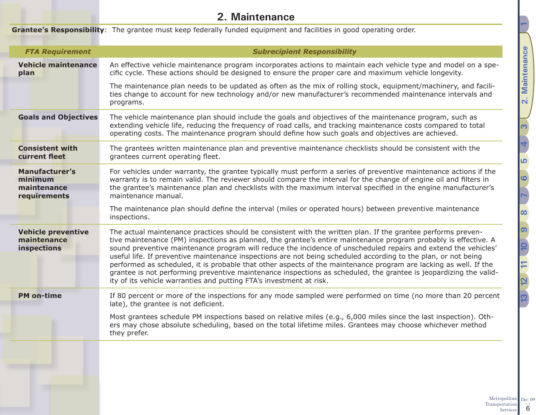## <span id="page-5-1"></span>**2. Maintenance**

<span id="page-5-0"></span>

|                                                                 | <b>Grantee's Responsibility</b> : The grantee must keep federally funded equipment and facilities in good operating order.                                                                                                                                                                                                                                                                                                                                                                                                                                                                                                                                                                                                                                                          |
|-----------------------------------------------------------------|-------------------------------------------------------------------------------------------------------------------------------------------------------------------------------------------------------------------------------------------------------------------------------------------------------------------------------------------------------------------------------------------------------------------------------------------------------------------------------------------------------------------------------------------------------------------------------------------------------------------------------------------------------------------------------------------------------------------------------------------------------------------------------------|
| <b>FTA Requirement</b>                                          | <b>Subrecipient Responsibility</b>                                                                                                                                                                                                                                                                                                                                                                                                                                                                                                                                                                                                                                                                                                                                                  |
| <b>Vehicle maintenance</b><br>plan                              | An effective vehicle maintenance program incorporates actions to maintain each vehicle type and model on a spe-<br>cific cycle. These actions should be designed to ensure the proper care and maximum vehicle longevity.                                                                                                                                                                                                                                                                                                                                                                                                                                                                                                                                                           |
|                                                                 | The maintenance plan needs to be updated as often as the mix of rolling stock, equipment/machinery, and facili-<br>ties change to account for new technology and/or new manufacturer's recommended maintenance intervals and<br>programs.                                                                                                                                                                                                                                                                                                                                                                                                                                                                                                                                           |
| <b>Goals and Objectives</b>                                     | The vehicle maintenance plan should include the goals and objectives of the maintenance program, such as<br>extending vehicle life, reducing the frequency of road calls, and tracking maintenance costs compared to total<br>operating costs. The maintenance program should define how such goals and objectives are achieved.                                                                                                                                                                                                                                                                                                                                                                                                                                                    |
| <b>Consistent with</b><br>current fleet                         | The grantees written maintenance plan and preventive maintenance checklists should be consistent with the<br>grantees current operating fleet.                                                                                                                                                                                                                                                                                                                                                                                                                                                                                                                                                                                                                                      |
| <b>Manufacturer's</b><br>minimum<br>maintenance<br>requirements | For vehicles under warranty, the grantee typically must perform a series of preventive maintenance actions if the<br>warranty is to remain valid. The reviewer should compare the interval for the change of engine oil and filters in<br>the grantee's maintenance plan and checklists with the maximum interval specified in the engine manufacturer's<br>maintenance manual.                                                                                                                                                                                                                                                                                                                                                                                                     |
|                                                                 | The maintenance plan should define the interval (miles or operated hours) between preventive maintenance<br>inspections.                                                                                                                                                                                                                                                                                                                                                                                                                                                                                                                                                                                                                                                            |
| <b>Vehicle preventive</b><br>maintenance<br>inspections         | The actual maintenance practices should be consistent with the written plan. If the grantee performs preven-<br>tive maintenance (PM) inspections as planned, the grantee's entire maintenance program probably is effective. A<br>sound preventive maintenance program will reduce the incidence of unscheduled repairs and extend the vehicles'<br>useful life. If preventive maintenance inspections are not being scheduled according to the plan, or not being<br>performed as scheduled, it is probable that other aspects of the maintenance program are lacking as well. If the<br>grantee is not performing preventive maintenance inspections as scheduled, the grantee is jeopardizing the valid-<br>ity of its vehicle warranties and putting FTA's investment at risk. |
| <b>PM</b> on-time                                               | If 80 percent or more of the inspections for any mode sampled were performed on time (no more than 20 percent<br>late), the grantee is not deficient.                                                                                                                                                                                                                                                                                                                                                                                                                                                                                                                                                                                                                               |
|                                                                 | Most grantees schedule PM inspections based on relative miles (e.g., 6,000 miles since the last inspection). Oth-<br>ers may chose absolute scheduling, based on the total lifetime miles. Grantees may choose whichever method<br>they prefer.                                                                                                                                                                                                                                                                                                                                                                                                                                                                                                                                     |
|                                                                 |                                                                                                                                                                                                                                                                                                                                                                                                                                                                                                                                                                                                                                                                                                                                                                                     |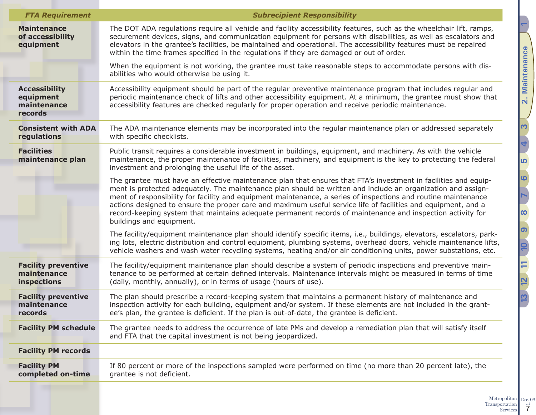| <b>FTA Requirement</b>                                      | <b>Subrecipient Responsibility</b>                                                                                                                                                                                                                                                                                                                                                                                                                                                                                                                                                                           |
|-------------------------------------------------------------|--------------------------------------------------------------------------------------------------------------------------------------------------------------------------------------------------------------------------------------------------------------------------------------------------------------------------------------------------------------------------------------------------------------------------------------------------------------------------------------------------------------------------------------------------------------------------------------------------------------|
| <b>Maintenance</b><br>of accessibility<br>equipment         | The DOT ADA regulations require all vehicle and facility accessibility features, such as the wheelchair lift, ramps,<br>securement devices, signs, and communication equipment for persons with disabilities, as well as escalators and<br>elevators in the grantee's facilities, be maintained and operational. The accessibility features must be repaired<br>within the time frames specified in the regulations if they are damaged or out of order.                                                                                                                                                     |
|                                                             | When the equipment is not working, the grantee must take reasonable steps to accommodate persons with dis-<br>abilities who would otherwise be using it.                                                                                                                                                                                                                                                                                                                                                                                                                                                     |
| <b>Accessibility</b><br>equipment<br>maintenance<br>records | Accessibility equipment should be part of the regular preventive maintenance program that includes regular and<br>periodic maintenance check of lifts and other accessibility equipment. At a minimum, the grantee must show that<br>accessibility features are checked regularly for proper operation and receive periodic maintenance.                                                                                                                                                                                                                                                                     |
| <b>Consistent with ADA</b><br>regulations                   | The ADA maintenance elements may be incorporated into the regular maintenance plan or addressed separately<br>with specific checklists.                                                                                                                                                                                                                                                                                                                                                                                                                                                                      |
| <b>Facilities</b><br>maintenance plan                       | Public transit requires a considerable investment in buildings, equipment, and machinery. As with the vehicle<br>maintenance, the proper maintenance of facilities, machinery, and equipment is the key to protecting the federal<br>investment and prolonging the useful life of the asset.                                                                                                                                                                                                                                                                                                                 |
|                                                             | The grantee must have an effective maintenance plan that ensures that FTA's investment in facilities and equip-<br>ment is protected adequately. The maintenance plan should be written and include an organization and assign-<br>ment of responsibility for facility and equipment maintenance, a series of inspections and routine maintenance<br>actions designed to ensure the proper care and maximum useful service life of facilities and equipment, and a<br>record-keeping system that maintains adequate permanent records of maintenance and inspection activity for<br>buildings and equipment. |
|                                                             | The facility/equipment maintenance plan should identify specific items, i.e., buildings, elevators, escalators, park-<br>ing lots, electric distribution and control equipment, plumbing systems, overhead doors, vehicle maintenance lifts,<br>vehicle washers and wash water recycling systems, heating and/or air conditioning units, power substations, etc.                                                                                                                                                                                                                                             |
| <b>Facility preventive</b><br>maintenance<br>inspections    | The facility/equipment maintenance plan should describe a system of periodic inspections and preventive main-<br>tenance to be performed at certain defined intervals. Maintenance intervals might be measured in terms of time<br>(daily, monthly, annually), or in terms of usage (hours of use).                                                                                                                                                                                                                                                                                                          |
| <b>Facility preventive</b><br>maintenance<br>records        | The plan should prescribe a record-keeping system that maintains a permanent history of maintenance and<br>inspection activity for each building, equipment and/or system. If these elements are not included in the grant-<br>ee's plan, the grantee is deficient. If the plan is out-of-date, the grantee is deficient.                                                                                                                                                                                                                                                                                    |
| <b>Facility PM schedule</b>                                 | The grantee needs to address the occurrence of late PMs and develop a remediation plan that will satisfy itself<br>and FTA that the capital investment is not being jeopardized.                                                                                                                                                                                                                                                                                                                                                                                                                             |
| <b>Facility PM records</b>                                  |                                                                                                                                                                                                                                                                                                                                                                                                                                                                                                                                                                                                              |
| <b>Facility PM</b><br>completed on-time                     | If 80 percent or more of the inspections sampled were performed on time (no more than 20 percent late), the<br>grantee is not deficient.                                                                                                                                                                                                                                                                                                                                                                                                                                                                     |
|                                                             |                                                                                                                                                                                                                                                                                                                                                                                                                                                                                                                                                                                                              |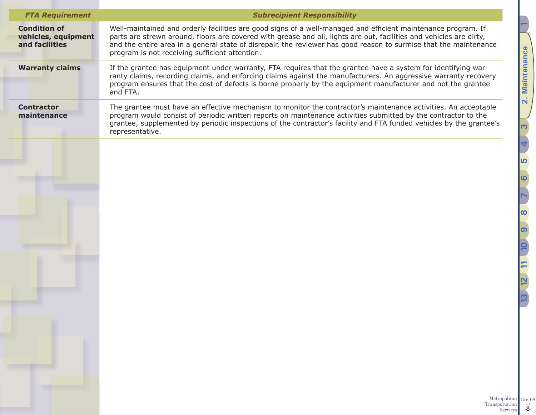| <b>FTA Requirement</b>                                       | <b>Subrecipient Responsibility</b>                                                                                                                                                                                                                                                                                                                                                                          |
|--------------------------------------------------------------|-------------------------------------------------------------------------------------------------------------------------------------------------------------------------------------------------------------------------------------------------------------------------------------------------------------------------------------------------------------------------------------------------------------|
| <b>Condition of</b><br>vehicles, equipment<br>and facilities | Well-maintained and orderly facilities are good signs of a well-managed and efficient maintenance program. If<br>parts are strewn around, floors are covered with grease and oil, lights are out, facilities and vehicles are dirty,<br>and the entire area in a general state of disrepair, the reviewer has good reason to surmise that the maintenance<br>program is not receiving sufficient attention. |
| <b>Warranty claims</b>                                       | If the grantee has equipment under warranty, FTA requires that the grantee have a system for identifying war-<br>ranty claims, recording claims, and enforcing claims against the manufacturers. An aggressive warranty recovery<br>program ensures that the cost of defects is borne properly by the equipment manufacturer and not the grantee<br>and FTA.                                                |
| <b>Contractor</b><br>maintenance                             | The grantee must have an effective mechanism to monitor the contractor's maintenance activities. An acceptable<br>program would consist of periodic written reports on maintenance activities submitted by the contractor to the<br>grantee, supplemented by periodic inspections of the contractor's facility and FTA funded vehicles by the grantee's<br>representative.                                  |
|                                                              |                                                                                                                                                                                                                                                                                                                                                                                                             |
|                                                              |                                                                                                                                                                                                                                                                                                                                                                                                             |
|                                                              |                                                                                                                                                                                                                                                                                                                                                                                                             |
|                                                              |                                                                                                                                                                                                                                                                                                                                                                                                             |
|                                                              |                                                                                                                                                                                                                                                                                                                                                                                                             |
|                                                              |                                                                                                                                                                                                                                                                                                                                                                                                             |
|                                                              |                                                                                                                                                                                                                                                                                                                                                                                                             |
|                                                              |                                                                                                                                                                                                                                                                                                                                                                                                             |
|                                                              | Metropolitan<br>Transportation                                                                                                                                                                                                                                                                                                                                                                              |

Transportation 8 Dec. 09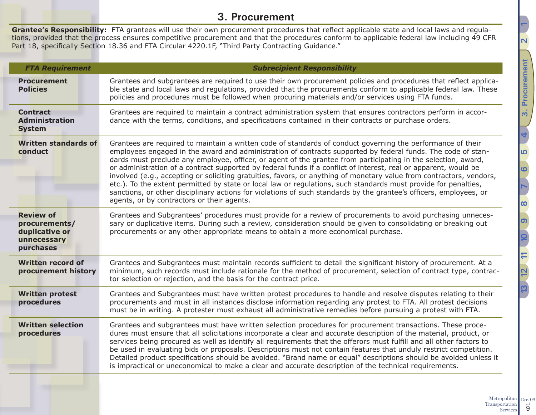## <span id="page-8-1"></span>**3. Procurement**

<span id="page-8-0"></span>**Grantee's Responsibility:** FTA grantees will use their own procurement procedures that reflect applicable state and local laws and regulations, provided that the process ensures competitive procurement and that the procedures conform to applicable federal law including 49 CFR Part 18, specifically Section 18.36 and FTA Circular 4220.1F, "Third Party Contracting Guidance."

| <b>FTA Requirement</b>                                                          | <b>Subrecipient Responsibility</b>                                                                                                                                                                                                                                                                                                                                                                                                                                                                                                                                                                                                                                                                                                                                                                                                                                               |
|---------------------------------------------------------------------------------|----------------------------------------------------------------------------------------------------------------------------------------------------------------------------------------------------------------------------------------------------------------------------------------------------------------------------------------------------------------------------------------------------------------------------------------------------------------------------------------------------------------------------------------------------------------------------------------------------------------------------------------------------------------------------------------------------------------------------------------------------------------------------------------------------------------------------------------------------------------------------------|
| <b>Procurement</b><br><b>Policies</b>                                           | Grantees and subgrantees are required to use their own procurement policies and procedures that reflect applica-<br>ble state and local laws and regulations, provided that the procurements conform to applicable federal law. These<br>policies and procedures must be followed when procuring materials and/or services using FTA funds.                                                                                                                                                                                                                                                                                                                                                                                                                                                                                                                                      |
| <b>Contract</b><br><b>Administration</b><br><b>System</b>                       | Grantees are required to maintain a contract administration system that ensures contractors perform in accor-<br>dance with the terms, conditions, and specifications contained in their contracts or purchase orders.                                                                                                                                                                                                                                                                                                                                                                                                                                                                                                                                                                                                                                                           |
| <b>Written standards of</b><br>conduct                                          | Grantees are required to maintain a written code of standards of conduct governing the performance of their<br>employees engaged in the award and administration of contracts supported by federal funds. The code of stan-<br>dards must preclude any employee, officer, or agent of the grantee from participating in the selection, award,<br>or administration of a contract supported by federal funds if a conflict of interest, real or apparent, would be<br>involved (e.g., accepting or soliciting gratuities, favors, or anything of monetary value from contractors, vendors,<br>etc.). To the extent permitted by state or local law or regulations, such standards must provide for penalties,<br>sanctions, or other disciplinary actions for violations of such standards by the grantee's officers, employees, or<br>agents, or by contractors or their agents. |
| <b>Review of</b><br>procurements/<br>duplicative or<br>unnecessary<br>purchases | Grantees and Subgrantees' procedures must provide for a review of procurements to avoid purchasing unneces-<br>sary or duplicative items. During such a review, consideration should be given to consolidating or breaking out<br>procurements or any other appropriate means to obtain a more economical purchase.                                                                                                                                                                                                                                                                                                                                                                                                                                                                                                                                                              |
| <b>Written record of</b><br>procurement history                                 | Grantees and Subgrantees must maintain records sufficient to detail the significant history of procurement. At a<br>minimum, such records must include rationale for the method of procurement, selection of contract type, contrac-<br>tor selection or rejection, and the basis for the contract price.                                                                                                                                                                                                                                                                                                                                                                                                                                                                                                                                                                        |
| <b>Written protest</b><br>procedures                                            | Grantees and Subgrantees must have written protest procedures to handle and resolve disputes relating to their<br>procurements and must in all instances disclose information regarding any protest to FTA. All protest decisions<br>must be in writing. A protester must exhaust all administrative remedies before pursuing a protest with FTA.                                                                                                                                                                                                                                                                                                                                                                                                                                                                                                                                |
| <b>Written selection</b><br>procedures                                          | Grantees and subgrantees must have written selection procedures for procurement transactions. These proce-<br>dures must ensure that all solicitations incorporate a clear and accurate description of the material, product, or<br>services being procured as well as identify all requirements that the offerors must fulfill and all other factors to<br>be used in evaluating bids or proposals. Descriptions must not contain features that unduly restrict competition.<br>Detailed product specifications should be avoided. "Brand name or equal" descriptions should be avoided unless it<br>is impractical or uneconomical to make a clear and accurate description of the technical requirements.                                                                                                                                                                     |
|                                                                                 |                                                                                                                                                                                                                                                                                                                                                                                                                                                                                                                                                                                                                                                                                                                                                                                                                                                                                  |

Metropolitan Transportation Services 9 Dec. 09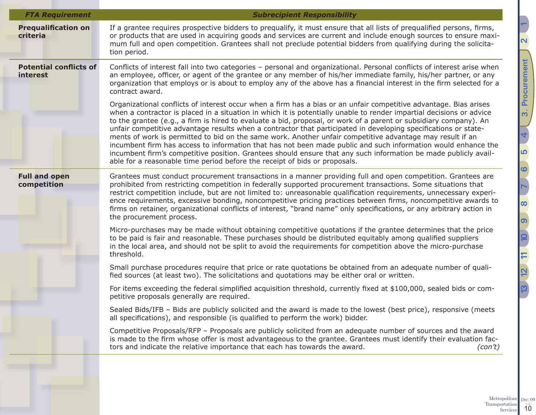| <b>FTA Requirement</b>                    | <b>Subrecipient Responsibility</b>                                                                                                                                                                                                                                                                                                                                                                                                                                                                                                                                                                                                                                                                                                                                                                                                                                                                               |
|-------------------------------------------|------------------------------------------------------------------------------------------------------------------------------------------------------------------------------------------------------------------------------------------------------------------------------------------------------------------------------------------------------------------------------------------------------------------------------------------------------------------------------------------------------------------------------------------------------------------------------------------------------------------------------------------------------------------------------------------------------------------------------------------------------------------------------------------------------------------------------------------------------------------------------------------------------------------|
| <b>Prequalification on</b><br>criteria    | If a grantee requires prospective bidders to prequalify, it must ensure that all lists of prequalified persons, firms,<br>or products that are used in acquiring goods and services are current and include enough sources to ensure maxi-<br>mum full and open competition. Grantees shall not preclude potential bidders from qualifying during the solicita-<br>tion period.                                                                                                                                                                                                                                                                                                                                                                                                                                                                                                                                  |
| <b>Potential conflicts of</b><br>interest | Conflicts of interest fall into two categories - personal and organizational. Personal conflicts of interest arise when<br>an employee, officer, or agent of the grantee or any member of his/her immediate family, his/her partner, or any<br>organization that employs or is about to employ any of the above has a financial interest in the firm selected for a<br>contract award.                                                                                                                                                                                                                                                                                                                                                                                                                                                                                                                           |
|                                           | Organizational conflicts of interest occur when a firm has a bias or an unfair competitive advantage. Bias arises<br>when a contractor is placed in a situation in which it is potentially unable to render impartial decisions or advice<br>to the grantee (e.g., a firm is hired to evaluate a bid, proposal, or work of a parent or subsidiary company). An<br>unfair competitive advantage results when a contractor that participated in developing specifications or state-<br>ments of work is permitted to bid on the same work. Another unfair competitive advantage may result if an<br>incumbent firm has access to information that has not been made public and such information would enhance the<br>incumbent firm's competitive position. Grantees should ensure that any such information be made publicly avail-<br>able for a reasonable time period before the receipt of bids or proposals. |
| <b>Full and open</b><br>competition       | Grantees must conduct procurement transactions in a manner providing full and open competition. Grantees are<br>prohibited from restricting competition in federally supported procurement transactions. Some situations that<br>restrict competition include, but are not limited to: unreasonable qualification requirements, unnecessary experi-<br>ence requirements, excessive bonding, noncompetitive pricing practices between firms, noncompetitive awards to<br>firms on retainer, organizational conflicts of interest, "brand name" only specifications, or any arbitrary action in<br>the procurement process.                                                                                                                                                                                                                                                                                       |
|                                           | Micro-purchases may be made without obtaining competitive quotations if the grantee determines that the price<br>to be paid is fair and reasonable. These purchases should be distributed equitably among qualified suppliers<br>in the local area, and should not be split to avoid the requirements for competition above the micro-purchase<br>threshold.                                                                                                                                                                                                                                                                                                                                                                                                                                                                                                                                                     |
|                                           | Small purchase procedures require that price or rate quotations be obtained from an adequate number of quali-<br>fied sources (at least two). The solicitations and quotations may be either oral or written.                                                                                                                                                                                                                                                                                                                                                                                                                                                                                                                                                                                                                                                                                                    |
|                                           | For items exceeding the federal simplified acquisition threshold, currently fixed at \$100,000, sealed bids or com-<br>petitive proposals generally are required.                                                                                                                                                                                                                                                                                                                                                                                                                                                                                                                                                                                                                                                                                                                                                |
|                                           | Sealed Bids/IFB - Bids are publicly solicited and the award is made to the lowest (best price), responsive (meets<br>all specifications), and responsible (is qualified to perform the work) bidder.                                                                                                                                                                                                                                                                                                                                                                                                                                                                                                                                                                                                                                                                                                             |
|                                           | Competitive Proposals/RFP - Proposals are publicly solicited from an adequate number of sources and the award<br>is made to the firm whose offer is most advantageous to the grantee. Grantees must identify their evaluation fac-<br>tors and indicate the relative importance that each has towards the award.<br>(con't)                                                                                                                                                                                                                                                                                                                                                                                                                                                                                                                                                                                      |

Metropolitan Transportation  $\frac{1}{10}$ Dec. 09  $v_{\rm c, 2}^{\rm B}$  ([3. Procurement](#page-8-1)  $v_{\rm c, 2}$  (3. Procurement

**[2](#page-5-1) [1](#page-2-1)**

<u>က</u>

**[6](#page-18-1)**

**[7](#page-19-1)**

<u>၈</u>

**[12](#page-41-1) [10](#page-33-1)**

**[13](#page-47-1) [11](#page-40-1)**

 $\boxed{2}$ 

**P3** 

**[8](#page-26-1)**

**[4](#page-13-1)**

3. Procurement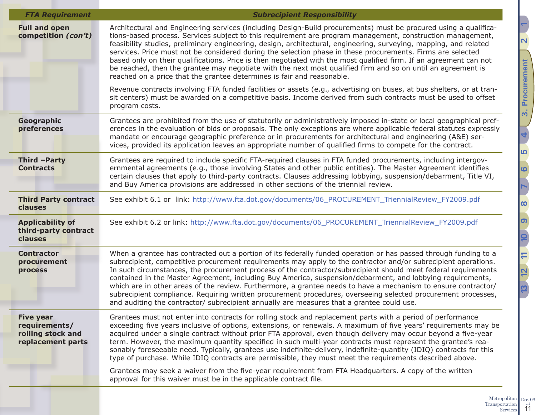| <b>FTA Requirement</b>                                                      | <b>Subrecipient Responsibility</b>                                                                                                                                                                                                                                                                                                                                                                                                                                                                                                                                                                                                                                                                                                                                                                 |
|-----------------------------------------------------------------------------|----------------------------------------------------------------------------------------------------------------------------------------------------------------------------------------------------------------------------------------------------------------------------------------------------------------------------------------------------------------------------------------------------------------------------------------------------------------------------------------------------------------------------------------------------------------------------------------------------------------------------------------------------------------------------------------------------------------------------------------------------------------------------------------------------|
| <b>Full and open</b><br>competition (con't)                                 | Architectural and Engineering services (including Design-Build procurements) must be procured using a qualifica-<br>tions-based process. Services subject to this requirement are program management, construction management,<br>feasibility studies, preliminary engineering, design, architectural, engineering, surveying, mapping, and related<br>services. Price must not be considered during the selection phase in these procurements. Firms are selected<br>based only on their qualifications. Price is then negotiated with the most qualified firm. If an agreement can not<br>be reached, then the grantee may negotiate with the next most qualified firm and so on until an agreement is<br>reached on a price that the grantee determines is fair and reasonable.                 |
|                                                                             | Revenue contracts involving FTA funded facilities or assets (e.g., advertising on buses, at bus shelters, or at tran-<br>sit centers) must be awarded on a competitive basis. Income derived from such contracts must be used to offset<br>program costs.                                                                                                                                                                                                                                                                                                                                                                                                                                                                                                                                          |
| Geographic<br>preferences                                                   | Grantees are prohibited from the use of statutorily or administratively imposed in-state or local geographical pref-<br>erences in the evaluation of bids or proposals. The only exceptions are where applicable federal statutes expressly<br>mandate or encourage geographic preference or in procurements for architectural and engineering (A&E) ser-<br>vices, provided its application leaves an appropriate number of qualified firms to compete for the contract.                                                                                                                                                                                                                                                                                                                          |
| Third -Party<br><b>Contracts</b>                                            | Grantees are required to include specific FTA-required clauses in FTA funded procurements, including intergov-<br>ernmental agreements (e.g., those involving States and other public entities). The Master Agreement identifies<br>certain clauses that apply to third-party contracts. Clauses addressing lobbying, suspension/debarment, Title VI,<br>and Buy America provisions are addressed in other sections of the triennial review.                                                                                                                                                                                                                                                                                                                                                       |
| <b>Third Party contract</b><br>clauses                                      | See exhibit 6.1 or link: http://www.fta.dot.gov/documents/06_PROCUREMENT_TriennialReview_FY2009.pdf                                                                                                                                                                                                                                                                                                                                                                                                                                                                                                                                                                                                                                                                                                |
| <b>Applicability of</b><br>third-party contract<br>clauses                  | See exhibit 6.2 or link: http://www.fta.dot.gov/documents/06_PROCUREMENT_TriennialReview_FY2009.pdf                                                                                                                                                                                                                                                                                                                                                                                                                                                                                                                                                                                                                                                                                                |
| <b>Contractor</b><br>procurement<br>process                                 | When a grantee has contracted out a portion of its federally funded operation or has passed through funding to a<br>subrecipient, competitive procurement requirements may apply to the contractor and/or subrecipient operations.<br>In such circumstances, the procurement process of the contractor/subrecipient should meet federal requirements<br>contained in the Master Agreement, including Buy America, suspension/debarment, and lobbying requirements,<br>which are in other areas of the review. Furthermore, a grantee needs to have a mechanism to ensure contractor/<br>subrecipient compliance. Requiring written procurement procedures, overseeing selected procurement processes,<br>and auditing the contractor/ subrecipient annually are measures that a grantee could use. |
| <b>Five year</b><br>requirements/<br>rolling stock and<br>replacement parts | Grantees must not enter into contracts for rolling stock and replacement parts with a period of performance<br>exceeding five years inclusive of options, extensions, or renewals. A maximum of five years' requirements may be<br>acquired under a single contract without prior FTA approval, even though delivery may occur beyond a five-year<br>term. However, the maximum quantity specified in such multi-year contracts must represent the grantee's rea-<br>sonably foreseeable need. Typically, grantees use indefinite-delivery, indefinite-quantity (IDIQ) contracts for this<br>type of purchase. While IDIQ contracts are permissible, they must meet the requirements described above.                                                                                              |
|                                                                             | Grantees may seek a waiver from the five-year requirement from FTA Headquarters. A copy of the written<br>approval for this waiver must be in the applicable contract file.                                                                                                                                                                                                                                                                                                                                                                                                                                                                                                                                                                                                                        |
|                                                                             |                                                                                                                                                                                                                                                                                                                                                                                                                                                                                                                                                                                                                                                                                                                                                                                                    |

 $v_{\rm c, 2}^{\rm B}$  ([3. Procurement](#page-8-1)  $v_{\rm c, 2}$  (3. Procurement 9 **[12](#page-41-1) [10](#page-33-1)**  $\equiv$ **[13](#page-47-1) [11](#page-40-1)**  $\overline{2}$ **23** 

**[2](#page-5-1) [1](#page-2-1)**

<u>က</u>

**[6](#page-18-1)**

**[7](#page-19-1)**

<u>၈</u>

**[8](#page-26-1)**

**[4](#page-13-1)**

3. Procurement

Metropolitan Transportation  $\frac{1}{11}$ Dec. 09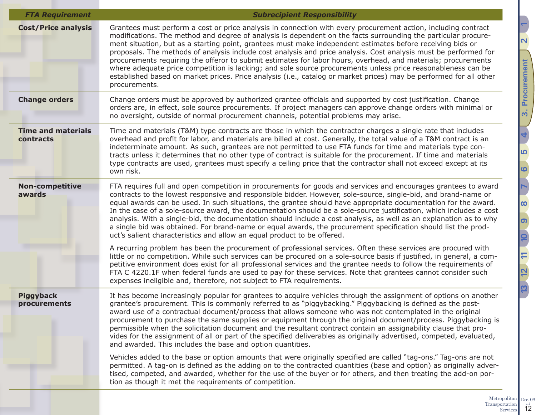| <b>FTA Requirement</b>                 | <b>Subrecipient Responsibility</b>                                                                                                                                                                                                                                                                                                                                                                                                                                                                                                                                                                                                                                                                                                                                                                                                         |
|----------------------------------------|--------------------------------------------------------------------------------------------------------------------------------------------------------------------------------------------------------------------------------------------------------------------------------------------------------------------------------------------------------------------------------------------------------------------------------------------------------------------------------------------------------------------------------------------------------------------------------------------------------------------------------------------------------------------------------------------------------------------------------------------------------------------------------------------------------------------------------------------|
| <b>Cost/Price analysis</b>             | Grantees must perform a cost or price analysis in connection with every procurement action, including contract<br>modifications. The method and degree of analysis is dependent on the facts surrounding the particular procure-<br>ment situation, but as a starting point, grantees must make independent estimates before receiving bids or<br>proposals. The methods of analysis include cost analysis and price analysis. Cost analysis must be performed for<br>procurements requiring the offeror to submit estimates for labor hours, overhead, and materials; procurements<br>where adequate price competition is lacking; and sole source procurements unless price reasonableness can be<br>established based on market prices. Price analysis (i.e., catalog or market prices) may be performed for all other<br>procurements. |
| <b>Change orders</b>                   | Change orders must be approved by authorized grantee officials and supported by cost justification. Change<br>orders are, in effect, sole source procurements. If project managers can approve change orders with minimal or<br>no oversight, outside of normal procurement channels, potential problems may arise.                                                                                                                                                                                                                                                                                                                                                                                                                                                                                                                        |
| <b>Time and materials</b><br>contracts | Time and materials (T&M) type contracts are those in which the contractor charges a single rate that includes<br>overhead and profit for labor, and materials are billed at cost. Generally, the total value of a T&M contract is an<br>indeterminate amount. As such, grantees are not permitted to use FTA funds for time and materials type con-<br>tracts unless it determines that no other type of contract is suitable for the procurement. If time and materials<br>type contracts are used, grantees must specify a ceiling price that the contractor shall not exceed except at its<br>own risk.                                                                                                                                                                                                                                 |
| <b>Non-competitive</b><br>awards       | FTA requires full and open competition in procurements for goods and services and encourages grantees to award<br>contracts to the lowest responsive and responsible bidder. However, sole-source, single-bid, and brand-name or<br>equal awards can be used. In such situations, the grantee should have appropriate documentation for the award.<br>In the case of a sole-source award, the documentation should be a sole-source justification, which includes a cost<br>analysis. With a single-bid, the documentation should include a cost analysis, as well as an explanation as to why<br>a single bid was obtained. For brand-name or equal awards, the procurement specification should list the prod-<br>uct's salient characteristics and allow an equal product to be offered.                                                |
|                                        | A recurring problem has been the procurement of professional services. Often these services are procured with<br>little or no competition. While such services can be procured on a sole-source basis if justified, in general, a com-<br>petitive environment does exist for all professional services and the grantee needs to follow the requirements of<br>FTA C 4220.1F when federal funds are used to pay for these services. Note that grantees cannot consider such<br>expenses ineligible and, therefore, not subject to FTA requirements.                                                                                                                                                                                                                                                                                        |
| <b>Piggyback</b><br>procurements       | It has become increasingly popular for grantees to acquire vehicles through the assignment of options on another<br>grantee's procurement. This is commonly referred to as "piggybacking." Piggybacking is defined as the post-<br>award use of a contractual document/process that allows someone who was not contemplated in the original<br>procurement to purchase the same supplies or equipment through the original document/process. Piggybacking is<br>permissible when the solicitation document and the resultant contract contain an assignability clause that pro-<br>vides for the assignment of all or part of the specified deliverables as originally advertised, competed, evaluated,<br>and awarded. This includes the base and option quantities.                                                                      |
|                                        | Vehicles added to the base or option amounts that were originally specified are called "tag-ons." Tag-ons are not<br>permitted. A tag-on is defined as the adding on to the contracted quantities (base and option) as originally adver-<br>tised, competed, and awarded, whether for the use of the buyer or for others, and then treating the add-on por-<br>tion as though it met the requirements of competition.                                                                                                                                                                                                                                                                                                                                                                                                                      |

3. Procurement  $v_{\rm c, 2}^{\rm B}$  ([3. Procurement](#page-8-1)  $v_{\rm c, 2}$  (3. Procurement **[4](#page-13-1)** <u>က</u> **[6](#page-18-1) [7](#page-19-1)[8](#page-26-1)** <u>၈</u> 11 10 **[12](#page-41-1) [10](#page-33-1) [13](#page-47-1) [11](#page-40-1)**  $\overline{12}$  $\overline{5}$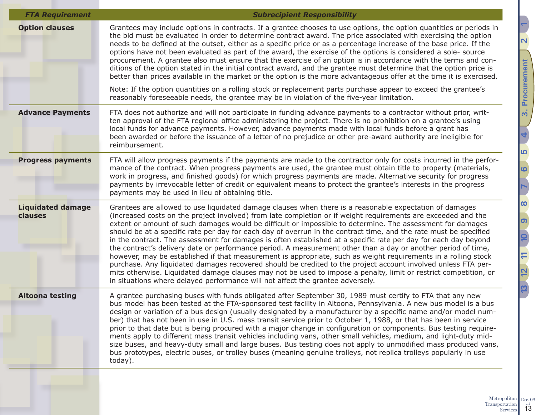| <b>FTA Requirement</b>              | <b>Subrecipient Responsibility</b>                                                                                                                                                                                                                                                                                                                                                                                                                                                                                                                                                                                                                                                                                                                                                                                                                                                                                                                                                                                                                                                                                                       |
|-------------------------------------|------------------------------------------------------------------------------------------------------------------------------------------------------------------------------------------------------------------------------------------------------------------------------------------------------------------------------------------------------------------------------------------------------------------------------------------------------------------------------------------------------------------------------------------------------------------------------------------------------------------------------------------------------------------------------------------------------------------------------------------------------------------------------------------------------------------------------------------------------------------------------------------------------------------------------------------------------------------------------------------------------------------------------------------------------------------------------------------------------------------------------------------|
| <b>Option clauses</b>               | Grantees may include options in contracts. If a grantee chooses to use options, the option quantities or periods in<br>the bid must be evaluated in order to determine contract award. The price associated with exercising the option<br>needs to be defined at the outset, either as a specific price or as a percentage increase of the base price. If the<br>options have not been evaluated as part of the award, the exercise of the options is considered a sole- source<br>procurement. A grantee also must ensure that the exercise of an option is in accordance with the terms and con-<br>ditions of the option stated in the initial contract award, and the grantee must determine that the option price is<br>better than prices available in the market or the option is the more advantageous offer at the time it is exercised.<br>Note: If the option quantities on a rolling stock or replacement parts purchase appear to exceed the grantee's                                                                                                                                                                      |
|                                     | reasonably foreseeable needs, the grantee may be in violation of the five-year limitation.                                                                                                                                                                                                                                                                                                                                                                                                                                                                                                                                                                                                                                                                                                                                                                                                                                                                                                                                                                                                                                               |
| <b>Advance Payments</b>             | FTA does not authorize and will not participate in funding advance payments to a contractor without prior, writ-<br>ten approval of the FTA regional office administering the project. There is no prohibition on a grantee's using<br>local funds for advance payments. However, advance payments made with local funds before a grant has<br>been awarded or before the issuance of a letter of no prejudice or other pre-award authority are ineligible for<br>reimbursement.                                                                                                                                                                                                                                                                                                                                                                                                                                                                                                                                                                                                                                                         |
| <b>Progress payments</b>            | FTA will allow progress payments if the payments are made to the contractor only for costs incurred in the perfor-<br>mance of the contract. When progress payments are used, the grantee must obtain title to property (materials,<br>work in progress, and finished goods) for which progress payments are made. Alternative security for progress<br>payments by irrevocable letter of credit or equivalent means to protect the grantee's interests in the progress<br>payments may be used in lieu of obtaining title.                                                                                                                                                                                                                                                                                                                                                                                                                                                                                                                                                                                                              |
| <b>Liquidated damage</b><br>clauses | Grantees are allowed to use liquidated damage clauses when there is a reasonable expectation of damages<br>(increased costs on the project involved) from late completion or if weight requirements are exceeded and the<br>extent or amount of such damages would be difficult or impossible to determine. The assessment for damages<br>should be at a specific rate per day for each day of overrun in the contract time, and the rate must be specified<br>in the contract. The assessment for damages is often established at a specific rate per day for each day beyond<br>the contract's delivery date or performance period. A measurement other than a day or another period of time,<br>however, may be established if that measurement is appropriate, such as weight requirements in a rolling stock<br>purchase. Any liquidated damages recovered should be credited to the project account involved unless FTA per-<br>mits otherwise. Liquidated damage clauses may not be used to impose a penalty, limit or restrict competition, or<br>in situations where delayed performance will not affect the grantee adversely. |
| <b>Altoona testing</b>              | A grantee purchasing buses with funds obligated after September 30, 1989 must certify to FTA that any new<br>bus model has been tested at the FTA-sponsored test facility in Altoona, Pennsylvania. A new bus model is a bus<br>design or variation of a bus design (usually designated by a manufacturer by a specific name and/or model num-<br>ber) that has not been in use in U.S. mass transit service prior to October 1, 1988, or that has been in service<br>prior to that date but is being procured with a major change in configuration or components. Bus testing require-<br>ments apply to different mass transit vehicles including vans, other small vehicles, medium, and light-duty mid-<br>size buses, and heavy-duty small and large buses. Bus testing does not apply to unmodified mass produced vans,<br>bus prototypes, electric buses, or trolley buses (meaning genuine trolleys, not replica trolleys popularly in use<br>today).                                                                                                                                                                            |
|                                     |                                                                                                                                                                                                                                                                                                                                                                                                                                                                                                                                                                                                                                                                                                                                                                                                                                                                                                                                                                                                                                                                                                                                          |

Metropolitan Transportation  $\begin{bmatrix} 1 & 2 \\ 1 & 3 \end{bmatrix}$ Dec. 09

**[2](#page-5-1) [1](#page-2-1)** 3. Procurement  $v_{\rm c, 2}^{\rm B}$  ([3. Procurement](#page-8-1)  $v_{\rm c, 2}$  (3. Procurement **[4](#page-13-1)** <u>က</u> **[6](#page-18-1) [7](#page-19-1)[8](#page-26-1)** <u>၈</u>  $12 | 11 | 10 |$ **[12](#page-41-1) [10](#page-33-1) [13](#page-47-1) [11](#page-40-1)**  $\overline{a}$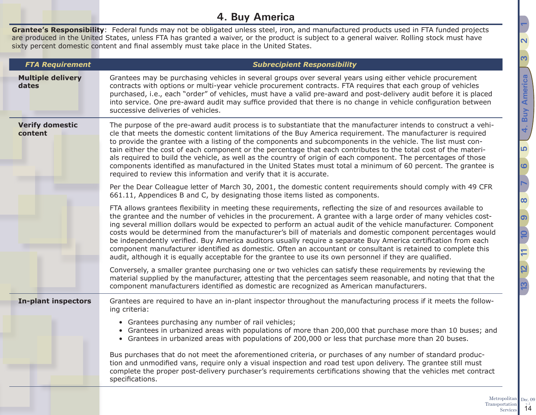## <span id="page-13-1"></span>**4. Buy America**

<span id="page-13-0"></span>**Grantee's Responsibility**: Federal funds may not be obligated unless steel, iron, and manufactured products used in FTA funded projects are produced in the United States, unless FTA has granted a waiver, or the product is subject to a general waiver. Rolling stock must have sixty percent domestic content and final assembly must take place in the United States.

| <b>FTA Requirement</b>            | <b>Subrecipient Responsibility</b>                                                                                                                                                                                                                                                                                                                                                                                                                                                                                                                                                                                                                                                                                                                                                                                   |  |  |  |  |  |
|-----------------------------------|----------------------------------------------------------------------------------------------------------------------------------------------------------------------------------------------------------------------------------------------------------------------------------------------------------------------------------------------------------------------------------------------------------------------------------------------------------------------------------------------------------------------------------------------------------------------------------------------------------------------------------------------------------------------------------------------------------------------------------------------------------------------------------------------------------------------|--|--|--|--|--|
| <b>Multiple delivery</b><br>dates | Grantees may be purchasing vehicles in several groups over several years using either vehicle procurement<br>contracts with options or multi-year vehicle procurement contracts. FTA requires that each group of vehicles<br>purchased, i.e., each "order" of vehicles, must have a valid pre-award and post-delivery audit before it is placed<br>into service. One pre-award audit may suffice provided that there is no change in vehicle configuration between<br>successive deliveries of vehicles.                                                                                                                                                                                                                                                                                                             |  |  |  |  |  |
| <b>Verify domestic</b><br>content | The purpose of the pre-award audit process is to substantiate that the manufacturer intends to construct a vehi-<br>cle that meets the domestic content limitations of the Buy America requirement. The manufacturer is required<br>to provide the grantee with a listing of the components and subcomponents in the vehicle. The list must con-<br>tain either the cost of each component or the percentage that each contributes to the total cost of the materi-<br>als required to build the vehicle, as well as the country of origin of each component. The percentages of those<br>components identified as manufactured in the United States must total a minimum of 60 percent. The grantee is<br>required to review this information and verify that it is accurate.                                       |  |  |  |  |  |
|                                   | Per the Dear Colleague letter of March 30, 2001, the domestic content requirements should comply with 49 CFR<br>661.11, Appendices B and C, by designating those items listed as components.                                                                                                                                                                                                                                                                                                                                                                                                                                                                                                                                                                                                                         |  |  |  |  |  |
|                                   | FTA allows grantees flexibility in meeting these requirements, reflecting the size of and resources available to<br>the grantee and the number of vehicles in the procurement. A grantee with a large order of many vehicles cost-<br>ing several million dollars would be expected to perform an actual audit of the vehicle manufacturer. Component<br>costs would be determined from the manufacturer's bill of materials and domestic component percentages would<br>be independently verified. Buy America auditors usually require a separate Buy America certification from each<br>component manufacturer identified as domestic. Often an accountant or consultant is retained to complete this<br>audit, although it is equally acceptable for the grantee to use its own personnel if they are qualified. |  |  |  |  |  |
|                                   | Conversely, a smaller grantee purchasing one or two vehicles can satisfy these requirements by reviewing the<br>material supplied by the manufacturer, attesting that the percentages seem reasonable, and noting that that the<br>component manufacturers identified as domestic are recognized as American manufacturers.                                                                                                                                                                                                                                                                                                                                                                                                                                                                                          |  |  |  |  |  |
| <b>In-plant inspectors</b>        | Grantees are required to have an in-plant inspector throughout the manufacturing process if it meets the follow-<br>ing criteria:                                                                                                                                                                                                                                                                                                                                                                                                                                                                                                                                                                                                                                                                                    |  |  |  |  |  |
|                                   | • Grantees purchasing any number of rail vehicles;<br>• Grantees in urbanized areas with populations of more than 200,000 that purchase more than 10 buses; and<br>• Grantees in urbanized areas with populations of 200,000 or less that purchase more than 20 buses.                                                                                                                                                                                                                                                                                                                                                                                                                                                                                                                                               |  |  |  |  |  |
|                                   | Bus purchases that do not meet the aforementioned criteria, or purchases of any number of standard produc-<br>tion and unmodified vans, require only a visual inspection and road test upon delivery. The grantee still must<br>complete the proper post-delivery purchaser's requirements certifications showing that the vehicles met contract<br>specifications.                                                                                                                                                                                                                                                                                                                                                                                                                                                  |  |  |  |  |  |

Metropolitan Transportation Services 14 Dec.  $09$ <sub>v.  $2$ </sub>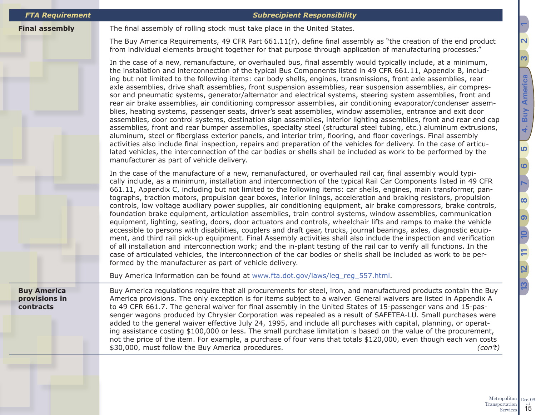### *FTA Requirement Subrecipient Responsibility*

**Final assembly** The final assembly of rolling stock must take place in the United States.

The Buy America Requirements, 49 CFR Part 661.11(r), define final assembly as "the creation of the end product from individual elements brought together for that purpose through application of manufacturing processes."

In the case of a new, remanufacture, or overhauled bus, final assembly would typically include, at a minimum, the installation and interconnection of the typical Bus Components listed in 49 CFR 661.11, Appendix B, including but not limited to the following items: car body shells, engines, transmissions, front axle assemblies, rear axle assemblies, drive shaft assemblies, front suspension assemblies, rear suspension assemblies, air compressor and pneumatic systems, generator/alternator and electrical systems, steering system assemblies, front and rear air brake assemblies, air conditioning compressor assemblies, air conditioning evaporator/condenser assemblies, heating systems, passenger seats, driver's seat assemblies, window assemblies, entrance and exit door assemblies, door control systems, destination sign assemblies, interior lighting assemblies, front and rear end cap assemblies, front and rear bumper assemblies, specialty steel (structural steel tubing, etc.) aluminum extrusions, aluminum, steel or fiberglass exterior panels, and interior trim, flooring, and floor coverings. Final assembly activities also include final inspection, repairs and preparation of the vehicles for delivery. In the case of articulated vehicles, the interconnection of the car bodies or shells shall be included as work to be performed by the manufacturer as part of vehicle delivery.

In the case of the manufacture of a new, remanufactured, or overhauled rail car, final assembly would typically include, as a minimum, installation and interconnection of the typical Rail Car Components listed in 49 CFR 661.11, Appendix C, including but not limited to the following items: car shells, engines, main transformer, pantographs, traction motors, propulsion gear boxes, interior linings, acceleration and braking resistors, propulsion controls, low voltage auxiliary power supplies, air conditioning equipment, air brake compressors, brake controls, foundation brake equipment, articulation assemblies, train control systems, window assemblies, communication equipment, lighting, seating, doors, door actuators and controls, wheelchair lifts and ramps to make the vehicle accessible to persons with disabilities, couplers and draft gear, trucks, journal bearings, axles, diagnostic equipment, and third rail pick-up equipment. Final Assembly activities shall also include the inspection and verification of all installation and interconnection work; and the in-plant testing of the rail car to verify all functions. In the case of articulated vehicles, the interconnection of the car bodies or shells shall be included as work to be performed by the manufacturer as part of vehicle delivery.

Buy America information can be found at [www.fta.dot.gov/laws/leg\\_reg\\_557.html](www.fta.dot.gov/laws/leg_reg_557.html).

**Buy America provisions in contracts**

Buy America regulations require that all procurements for steel, iron, and manufactured products contain the Buy America provisions. The only exception is for items subject to a waiver. General waivers are listed in Appendix A to 49 CFR 661.7. The general waiver for final assembly in the United States of 15-passenger vans and 15-passenger wagons produced by Chrysler Corporation was repealed as a result of SAFETEA-LU. Small purchases were added to the general waiver effective July 24, 1995, and include all purchases with capital, planning, or operating assistance costing \$100,000 or less. The small purchase limitation is based on the value of the procurement, not the price of the item. For example, a purchase of four vans that totals \$120,000, even though each van costs \$30,000, must follow the Buy America procedures. *(con't)*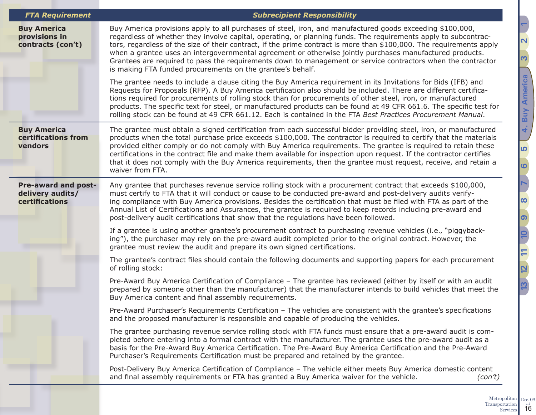| <b>FTA Requirement</b>                                           | <b>Subrecipient Responsibility</b>                                                                                                                                                                                                                                                                                                                                                                                                                                                                                                                                                                                                             |  |  |  |  |
|------------------------------------------------------------------|------------------------------------------------------------------------------------------------------------------------------------------------------------------------------------------------------------------------------------------------------------------------------------------------------------------------------------------------------------------------------------------------------------------------------------------------------------------------------------------------------------------------------------------------------------------------------------------------------------------------------------------------|--|--|--|--|
| <b>Buy America</b><br>provisions in<br>contracts (con't)         | Buy America provisions apply to all purchases of steel, iron, and manufactured goods exceeding \$100,000,<br>regardless of whether they involve capital, operating, or planning funds. The requirements apply to subcontrac-<br>tors, regardless of the size of their contract, if the prime contract is more than \$100,000. The requirements apply<br>when a grantee uses an intergovernmental agreement or otherwise jointly purchases manufactured products.<br>Grantees are required to pass the requirements down to management or service contractors when the contractor<br>is making FTA funded procurements on the grantee's behalf. |  |  |  |  |
|                                                                  | The grantee needs to include a clause citing the Buy America requirement in its Invitations for Bids (IFB) and<br>Requests for Proposals (RFP). A Buy America certification also should be included. There are different certifica-<br>tions required for procurements of rolling stock than for procurements of other steel, iron, or manufactured<br>products. The specific text for steel, or manufactured products can be found at 49 CFR 661.6. The specific test for<br>rolling stock can be found at 49 CFR 661.12. Each is contained in the FTA Best Practices Procurement Manual.                                                     |  |  |  |  |
| <b>Buy America</b><br>certifications from<br>vendors             | The grantee must obtain a signed certification from each successful bidder providing steel, iron, or manufactured<br>products when the total purchase price exceeds \$100,000. The contractor is required to certify that the materials<br>provided either comply or do not comply with Buy America requirements. The grantee is required to retain these<br>certifications in the contract file and make them available for inspection upon request. If the contractor certifies<br>that it does not comply with the Buy America requirements, then the grantee must request, receive, and retain a<br>waiver from FTA.                       |  |  |  |  |
| <b>Pre-award and post-</b><br>delivery audits/<br>certifications | Any grantee that purchases revenue service rolling stock with a procurement contract that exceeds \$100,000,<br>must certify to FTA that it will conduct or cause to be conducted pre-award and post-delivery audits verify-<br>ing compliance with Buy America provisions. Besides the certification that must be filed with FTA as part of the<br>Annual List of Certifications and Assurances, the grantee is required to keep records including pre-award and<br>post-delivery audit certifications that show that the regulations have been followed.                                                                                     |  |  |  |  |
|                                                                  | If a grantee is using another grantee's procurement contract to purchasing revenue vehicles (i.e., "piggyback-<br>ing"), the purchaser may rely on the pre-award audit completed prior to the original contract. However, the<br>grantee must review the audit and prepare its own signed certifications.                                                                                                                                                                                                                                                                                                                                      |  |  |  |  |
|                                                                  | The grantee's contract files should contain the following documents and supporting papers for each procurement<br>of rolling stock:                                                                                                                                                                                                                                                                                                                                                                                                                                                                                                            |  |  |  |  |
|                                                                  | Pre-Award Buy America Certification of Compliance - The grantee has reviewed (either by itself or with an audit<br>prepared by someone other than the manufacturer) that the manufacturer intends to build vehicles that meet the<br>Buy America content and final assembly requirements.                                                                                                                                                                                                                                                                                                                                                      |  |  |  |  |
|                                                                  | Pre-Award Purchaser's Requirements Certification - The vehicles are consistent with the grantee's specifications<br>and the proposed manufacturer is responsible and capable of producing the vehicles.                                                                                                                                                                                                                                                                                                                                                                                                                                        |  |  |  |  |
|                                                                  | The grantee purchasing revenue service rolling stock with FTA funds must ensure that a pre-award audit is com-<br>pleted before entering into a formal contract with the manufacturer. The grantee uses the pre-award audit as a<br>basis for the Pre-Award Buy America Certification. The Pre-Award Buy America Certification and the Pre-Award<br>Purchaser's Requirements Certification must be prepared and retained by the grantee.                                                                                                                                                                                                       |  |  |  |  |
|                                                                  | Post-Delivery Buy America Certification of Compliance - The vehicle either meets Buy America domestic content<br>and final assembly requirements or FTA has granted a Buy America waiver for the vehicle.<br>(con't)                                                                                                                                                                                                                                                                                                                                                                                                                           |  |  |  |  |
|                                                                  |                                                                                                                                                                                                                                                                                                                                                                                                                                                                                                                                                                                                                                                |  |  |  |  |

<u>ო</u>

**[4. Buy America](#page-13-1)**

4. Buy America

<u>က</u>

**[6](#page-18-1)**

<u>၈</u>

**[12](#page-41-1) [10](#page-33-1)**

 $12 \t11 \t0$ 

**[13](#page-47-1) [11](#page-40-1)**

<u>13</u>

**[8](#page-26-1)**

**[7](#page-19-1)**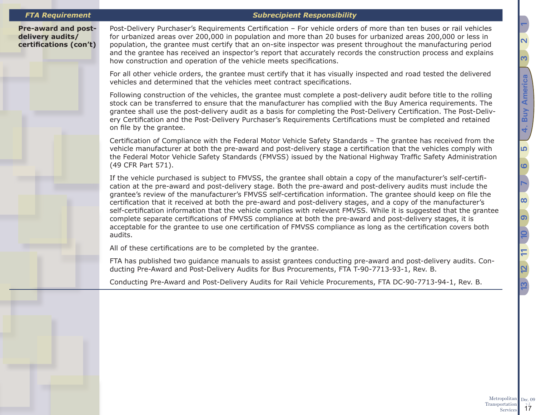### *FTA Requirement Subrecipient Responsibility*

### **Pre-award and postdelivery audits/ certifications (con't)**

Post-Delivery Purchaser's Requirements Certification – For vehicle orders of more than ten buses or rail vehicles for urbanized areas over 200,000 in population and more than 20 buses for urbanized areas 200,000 or less in population, the grantee must certify that an on-site inspector was present throughout the manufacturing period and the grantee has received an inspector's report that accurately records the construction process and explains how construction and operation of the vehicle meets specifications.

For all other vehicle orders, the grantee must certify that it has visually inspected and road tested the delivered vehicles and determined that the vehicles meet contract specifications.

Following construction of the vehicles, the grantee must complete a post-delivery audit before title to the rolling stock can be transferred to ensure that the manufacturer has complied with the Buy America requirements. The grantee shall use the post-delivery audit as a basis for completing the Post-Delivery Certification. The Post-Delivery Certification and the Post-Delivery Purchaser's Requirements Certifications must be completed and retained on file by the grantee.

Certification of Compliance with the Federal Motor Vehicle Safety Standards – The grantee has received from the vehicle manufacturer at both the pre-award and post-delivery stage a certification that the vehicles comply with the Federal Motor Vehicle Safety Standards (FMVSS) issued by the National Highway Traffic Safety Administration (49 CFR Part 571).

If the vehicle purchased is subject to FMVSS, the grantee shall obtain a copy of the manufacturer's self-certification at the pre-award and post-delivery stage. Both the pre-award and post-delivery audits must include the grantee's review of the manufacturer's FMVSS self-certification information. The grantee should keep on file the certification that it received at both the pre-award and post-delivery stages, and a copy of the manufacturer's self-certification information that the vehicle complies with relevant FMVSS. While it is suggested that the grantee complete separate certifications of FMVSS compliance at both the pre-award and post-delivery stages, it is acceptable for the grantee to use one certification of FMVSS compliance as long as the certification covers both audits.

All of these certifications are to be completed by the grantee.

FTA has published two guidance manuals to assist grantees conducting pre-award and post-delivery audits. Conducting Pre-Award and Post-Delivery Audits for Bus Procurements, FTA T-90-7713-93-1, Rev. B.

Conducting Pre-Award and Post-Delivery Audits for Rail Vehicle Procurements, FTA DC-90-7713-94-1, Rev. B.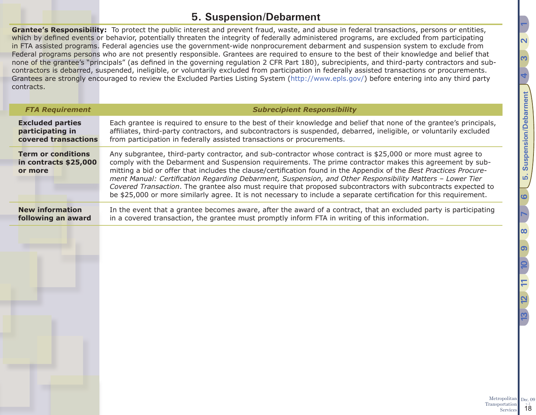## <span id="page-17-1"></span>**5. Suspension/Debarment**

<span id="page-17-0"></span>**Grantee's Responsibility:** To protect the public interest and prevent fraud, waste, and abuse in federal transactions, persons or entities, which by defined events or behavior, potentially threaten the integrity of federally administered programs, are excluded from participating in FTA assisted programs. Federal agencies use the government-wide nonprocurement debarment and suspension system to exclude from Federal programs persons who are not presently responsible. Grantees are required to ensure to the best of their knowledge and belief that none of the grantee's "principals" (as defined in the governing regulation 2 CFR Part 180), subrecipients, and third-party contractors and subcontractors is debarred, suspended, ineligible, or voluntarily excluded from participation in federally assisted transactions or procurements. Grantees are strongly encouraged to review the Excluded Parties Listing System ([http://www.epls.gov/\)](http://www.epls.gov/) before entering into any third party contracts.

| <b>FTA Requirement</b>                                        | <b>Subrecipient Responsibility</b>                                                                                                                                                                                                                                                                                                                                                                                                                                                                                                                                                                                                                                                                |  |  |  |
|---------------------------------------------------------------|---------------------------------------------------------------------------------------------------------------------------------------------------------------------------------------------------------------------------------------------------------------------------------------------------------------------------------------------------------------------------------------------------------------------------------------------------------------------------------------------------------------------------------------------------------------------------------------------------------------------------------------------------------------------------------------------------|--|--|--|
| <b>Excluded parties</b>                                       | Each grantee is required to ensure to the best of their knowledge and belief that none of the grantee's principals,                                                                                                                                                                                                                                                                                                                                                                                                                                                                                                                                                                               |  |  |  |
| participating in                                              | affiliates, third-party contractors, and subcontractors is suspended, debarred, ineligible, or voluntarily excluded                                                                                                                                                                                                                                                                                                                                                                                                                                                                                                                                                                               |  |  |  |
| covered transactions                                          | from participation in federally assisted transactions or procurements.                                                                                                                                                                                                                                                                                                                                                                                                                                                                                                                                                                                                                            |  |  |  |
| <b>Term or conditions</b><br>in contracts \$25,000<br>or more | Any subgrantee, third-party contractor, and sub-contractor whose contract is \$25,000 or more must agree to<br>comply with the Debarment and Suspension requirements. The prime contractor makes this agreement by sub-<br>mitting a bid or offer that includes the clause/certification found in the Appendix of the Best Practices Procure-<br>ment Manual: Certification Regarding Debarment, Suspension, and Other Responsibility Matters - Lower Tier<br>Covered Transaction. The grantee also must require that proposed subcontractors with subcontracts expected to<br>be \$25,000 or more similarly agree. It is not necessary to include a separate certification for this requirement. |  |  |  |
| <b>New information</b>                                        | In the event that a grantee becomes aware, after the award of a contract, that an excluded party is participating                                                                                                                                                                                                                                                                                                                                                                                                                                                                                                                                                                                 |  |  |  |
| following an award                                            | in a covered transaction, the grantee must promptly inform FTA in writing of this information.                                                                                                                                                                                                                                                                                                                                                                                                                                                                                                                                                                                                    |  |  |  |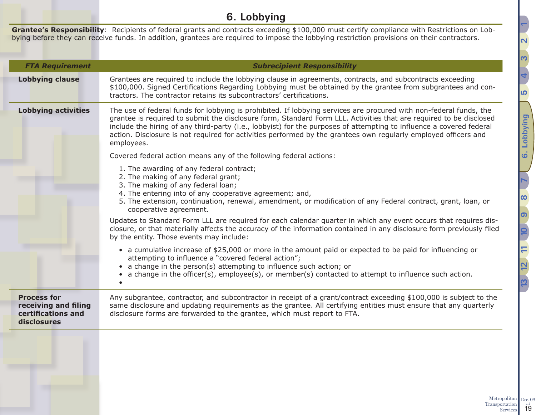## **6. Lobbying**

<span id="page-18-0"></span>**Grantee's Responsibility**: Recipients of federal grants and contracts exceeding \$100,000 must certify compliance with Restrictions on Lobbying before they can receive funds. In addition, grantees are required to impose the lobbying restriction provisions on their contractors.

| <b>FTA Requirement</b>                                                          | <b>Subrecipient Responsibility</b>                                                                                                                                                                                                                                                                                                                                                                                                                                                                |  |  |  |  |
|---------------------------------------------------------------------------------|---------------------------------------------------------------------------------------------------------------------------------------------------------------------------------------------------------------------------------------------------------------------------------------------------------------------------------------------------------------------------------------------------------------------------------------------------------------------------------------------------|--|--|--|--|
| <b>Lobbying clause</b>                                                          | Grantees are required to include the lobbying clause in agreements, contracts, and subcontracts exceeding<br>\$100,000. Signed Certifications Regarding Lobbying must be obtained by the grantee from subgrantees and con-<br>tractors. The contractor retains its subcontractors' certifications.                                                                                                                                                                                                |  |  |  |  |
| <b>Lobbying activities</b>                                                      | The use of federal funds for lobbying is prohibited. If lobbying services are procured with non-federal funds, the<br>grantee is required to submit the disclosure form, Standard Form LLL. Activities that are required to be disclosed<br>include the hiring of any third-party (i.e., lobbyist) for the purposes of attempting to influence a covered federal<br>action. Disclosure is not required for activities performed by the grantees own regularly employed officers and<br>employees. |  |  |  |  |
|                                                                                 | Covered federal action means any of the following federal actions:                                                                                                                                                                                                                                                                                                                                                                                                                                |  |  |  |  |
|                                                                                 | 1. The awarding of any federal contract;<br>2. The making of any federal grant;<br>3. The making of any federal loan;<br>4. The entering into of any cooperative agreement; and,<br>5. The extension, continuation, renewal, amendment, or modification of any Federal contract, grant, loan, or<br>cooperative agreement.                                                                                                                                                                        |  |  |  |  |
|                                                                                 | Updates to Standard Form LLL are required for each calendar quarter in which any event occurs that requires dis-<br>closure, or that materially affects the accuracy of the information contained in any disclosure form previously filed<br>by the entity. Those events may include:                                                                                                                                                                                                             |  |  |  |  |
|                                                                                 | • a cumulative increase of \$25,000 or more in the amount paid or expected to be paid for influencing or<br>attempting to influence a "covered federal action";<br>• a change in the person(s) attempting to influence such action; or<br>a change in the officer(s), employee(s), or member(s) contacted to attempt to influence such action.                                                                                                                                                    |  |  |  |  |
| <b>Process for</b><br>receiving and filing<br>certifications and<br>disclosures | Any subgrantee, contractor, and subcontractor in receipt of a grant/contract exceeding \$100,000 is subject to the<br>same disclosure and updating requirements as the grantee. All certifying entities must ensure that any quarterly<br>disclosure forms are forwarded to the grantee, which must report to FTA.                                                                                                                                                                                |  |  |  |  |
|                                                                                 |                                                                                                                                                                                                                                                                                                                                                                                                                                                                                                   |  |  |  |  |

<span id="page-18-1"></span>**[2](#page-5-1) [1](#page-2-1)**

Metropolitan Transportation  $\frac{1}{19}$ 

Dec.  $09$ <sub>v.  $2$ </sub>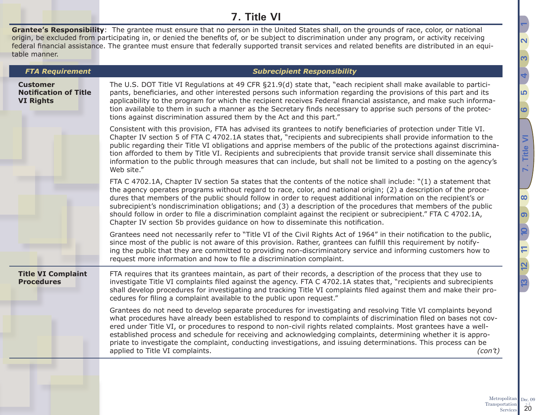## **7. Title VI**

<span id="page-19-0"></span>**Grantee's Responsibility**: The grantee must ensure that no person in the United States shall, on the grounds of race, color, or national origin, be excluded from participating in, or denied the benefits of, or be subject to discrimination under any program, or activity receiving federal financial assistance. The grantee must ensure that federally supported transit services and related benefits are distributed in an equitable manner.

| <b>FTA Requirement</b>                                              | <b>Subrecipient Responsibility</b>                                                                                                                                                                                                                                                                                                                                                                                                                                                                                                                                                                                                                                                  |  |  |  |  |
|---------------------------------------------------------------------|-------------------------------------------------------------------------------------------------------------------------------------------------------------------------------------------------------------------------------------------------------------------------------------------------------------------------------------------------------------------------------------------------------------------------------------------------------------------------------------------------------------------------------------------------------------------------------------------------------------------------------------------------------------------------------------|--|--|--|--|
| <b>Customer</b><br><b>Notification of Title</b><br><b>VI Rights</b> | The U.S. DOT Title VI Regulations at 49 CFR §21.9(d) state that, "each recipient shall make available to partici-<br>pants, beneficiaries, and other interested persons such information regarding the provisions of this part and its<br>applicability to the program for which the recipient receives Federal financial assistance, and make such informa-<br>tion available to them in such a manner as the Secretary finds necessary to apprise such persons of the protec-<br>tions against discrimination assured them by the Act and this part."                                                                                                                             |  |  |  |  |
|                                                                     | Consistent with this provision, FTA has advised its grantees to notify beneficiaries of protection under Title VI.<br>Chapter IV section 5 of FTA C 4702.1A states that, "recipients and subrecipients shall provide information to the<br>public regarding their Title VI obligations and apprise members of the public of the protections against discrimina-<br>tion afforded to them by Title VI. Recipients and subrecipients that provide transit service shall disseminate this<br>information to the public through measures that can include, but shall not be limited to a posting on the agency's<br>Web site."                                                          |  |  |  |  |
|                                                                     | FTA C 4702.1A, Chapter IV section 5a states that the contents of the notice shall include: "(1) a statement that<br>the agency operates programs without regard to race, color, and national origin; (2) a description of the proce-<br>dures that members of the public should follow in order to request additional information on the recipient's or<br>subrecipient's nondiscrimination obligations; and (3) a description of the procedures that members of the public<br>should follow in order to file a discrimination complaint against the recipient or subrecipient." FTA C 4702.1A,<br>Chapter IV section 5b provides guidance on how to disseminate this notification. |  |  |  |  |
|                                                                     | Grantees need not necessarily refer to "Title VI of the Civil Rights Act of 1964" in their notification to the public,<br>since most of the public is not aware of this provision. Rather, grantees can fulfill this requirement by notify-<br>ing the public that they are committed to providing non-discriminatory service and informing customers how to<br>request more information and how to file a discrimination complaint.                                                                                                                                                                                                                                                |  |  |  |  |
| <b>Title VI Complaint</b><br><b>Procedures</b>                      | FTA requires that its grantees maintain, as part of their records, a description of the process that they use to<br>investigate Title VI complaints filed against the agency. FTA C 4702.1A states that, "recipients and subrecipients<br>shall develop procedures for investigating and tracking Title VI complaints filed against them and make their pro-<br>cedures for filing a complaint available to the public upon request."                                                                                                                                                                                                                                               |  |  |  |  |
|                                                                     | Grantees do not need to develop separate procedures for investigating and resolving Title VI complaints beyond<br>what procedures have already been established to respond to complaints of discrimination filed on bases not cov-<br>ered under Title VI, or procedures to respond to non-civil rights related complaints. Most grantees have a well-<br>established process and schedule for receiving and acknowledging complaints, determining whether it is appro-<br>priate to investigate the complaint, conducting investigations, and issuing determinations. This process can be<br>applied to Title VI complaints.<br>(con't)                                            |  |  |  |  |
|                                                                     |                                                                                                                                                                                                                                                                                                                                                                                                                                                                                                                                                                                                                                                                                     |  |  |  |  |

<u></u>

**[6](#page-18-1)**

**[7. Title VI](#page-19-1)**

Title

 $\overline{5}$ 

**[9](#page-28-1)**

**[12](#page-41-1) [10](#page-33-1)**

**[13](#page-47-1) [11](#page-40-1)**

**[8](#page-26-1)**

**[4](#page-13-1)**

<span id="page-19-1"></span><u>ო</u>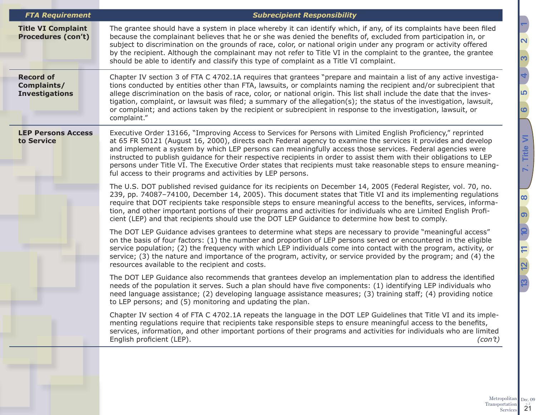| <b>FTA Requirement</b>                                   | <b>Subrecipient Responsibility</b>                                                                                                                                                                                                                                                                                                                                                                                                                                                                                                                                                                                                                     |  |  |  |  |
|----------------------------------------------------------|--------------------------------------------------------------------------------------------------------------------------------------------------------------------------------------------------------------------------------------------------------------------------------------------------------------------------------------------------------------------------------------------------------------------------------------------------------------------------------------------------------------------------------------------------------------------------------------------------------------------------------------------------------|--|--|--|--|
| <b>Title VI Complaint</b><br><b>Procedures (con't)</b>   | The grantee should have a system in place whereby it can identify which, if any, of its complaints have been filed<br>because the complainant believes that he or she was denied the benefits of, excluded from participation in, or<br>subject to discrimination on the grounds of race, color, or national origin under any program or activity offered<br>by the recipient. Although the complainant may not refer to Title VI in the complaint to the grantee, the grantee<br>should be able to identify and classify this type of complaint as a Title VI complaint.                                                                              |  |  |  |  |
| <b>Record of</b><br>Complaints/<br><b>Investigations</b> | Chapter IV section 3 of FTA C 4702.1A requires that grantees "prepare and maintain a list of any active investiga-<br>tions conducted by entities other than FTA, lawsuits, or complaints naming the recipient and/or subrecipient that<br>allege discrimination on the basis of race, color, or national origin. This list shall include the date that the inves-<br>tigation, complaint, or lawsuit was filed; a summary of the allegation(s); the status of the investigation, lawsuit,<br>or complaint; and actions taken by the recipient or subrecipient in response to the investigation, lawsuit, or<br>complaint."                            |  |  |  |  |
| <b>LEP Persons Access</b><br>to Service                  | Executive Order 13166, "Improving Access to Services for Persons with Limited English Proficiency," reprinted<br>at 65 FR 50121 (August 16, 2000), directs each Federal agency to examine the services it provides and develop<br>and implement a system by which LEP persons can meaningfully access those services. Federal agencies were<br>instructed to publish guidance for their respective recipients in order to assist them with their obligations to LEP<br>persons under Title VI. The Executive Order states that recipients must take reasonable steps to ensure meaning-<br>ful access to their programs and activities by LEP persons. |  |  |  |  |
|                                                          | The U.S. DOT published revised guidance for its recipients on December 14, 2005 (Federal Register, vol. 70, no.<br>239, pp. 74087-74100, December 14, 2005). This document states that Title VI and its implementing regulations<br>require that DOT recipients take responsible steps to ensure meaningful access to the benefits, services, informa-<br>tion, and other important portions of their programs and activities for individuals who are Limited English Profi-<br>cient (LEP) and that recipients should use the DOT LEP Guidance to determine how best to comply.                                                                       |  |  |  |  |
|                                                          | The DOT LEP Guidance advises grantees to determine what steps are necessary to provide "meaningful access"<br>on the basis of four factors: (1) the number and proportion of LEP persons served or encountered in the eligible<br>service population; (2) the frequency with which LEP individuals come into contact with the program, activity, or<br>service; (3) the nature and importance of the program, activity, or service provided by the program; and (4) the<br>resources available to the recipient and costs.                                                                                                                             |  |  |  |  |
|                                                          | The DOT LEP Guidance also recommends that grantees develop an implementation plan to address the identified<br>needs of the population it serves. Such a plan should have five components: (1) identifying LEP individuals who<br>need language assistance; (2) developing language assistance measures; (3) training staff; (4) providing notice<br>to LEP persons; and (5) monitoring and updating the plan.                                                                                                                                                                                                                                         |  |  |  |  |
|                                                          | Chapter IV section 4 of FTA C 4702.1A repeats the language in the DOT LEP Guidelines that Title VI and its imple-<br>menting regulations require that recipients take responsible steps to ensure meaningful access to the benefits,<br>services, information, and other important portions of their programs and activities for individuals who are limited<br>English proficient (LEP).<br>(con't)                                                                                                                                                                                                                                                   |  |  |  |  |
|                                                          |                                                                                                                                                                                                                                                                                                                                                                                                                                                                                                                                                                                                                                                        |  |  |  |  |

<u> הו</u>

**[6](#page-18-1)**

**[7. Title VI](#page-19-1)**

7. Title VI

<u>၈</u>

**[12](#page-41-1) [10](#page-33-1)**

 $12 \t11 \t10$ 

**[13](#page-47-1) [11](#page-40-1)**

 $\overline{\omega}$ 

**[8](#page-26-1)**

**[4](#page-13-1)**

<u>ო</u>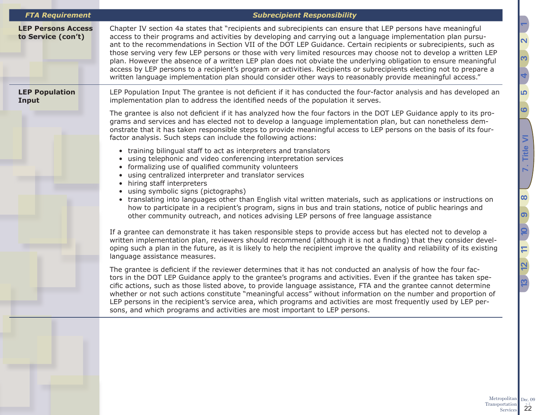| <b>FTA Requirement</b>                          | <b>Subrecipient Responsibility</b>                                                                                                                                                                                                                                                                                                                                                                                                                                                                                                                                                                                                                                                                                                                                                                                       |  |  |  |  |
|-------------------------------------------------|--------------------------------------------------------------------------------------------------------------------------------------------------------------------------------------------------------------------------------------------------------------------------------------------------------------------------------------------------------------------------------------------------------------------------------------------------------------------------------------------------------------------------------------------------------------------------------------------------------------------------------------------------------------------------------------------------------------------------------------------------------------------------------------------------------------------------|--|--|--|--|
| <b>LEP Persons Access</b><br>to Service (con't) | Chapter IV section 4a states that "recipients and subrecipients can ensure that LEP persons have meaningful<br>access to their programs and activities by developing and carrying out a language implementation plan pursu-<br>ant to the recommendations in Section VII of the DOT LEP Guidance. Certain recipients or subrecipients, such as<br>those serving very few LEP persons or those with very limited resources may choose not to develop a written LEP<br>plan. However the absence of a written LEP plan does not obviate the underlying obligation to ensure meaningful<br>access by LEP persons to a recipient's program or activities. Recipients or subrecipients electing not to prepare a<br>written language implementation plan should consider other ways to reasonably provide meaningful access." |  |  |  |  |
| <b>LEP Population</b><br>Input                  | LEP Population Input The grantee is not deficient if it has conducted the four-factor analysis and has developed an<br>implementation plan to address the identified needs of the population it serves.                                                                                                                                                                                                                                                                                                                                                                                                                                                                                                                                                                                                                  |  |  |  |  |
|                                                 | The grantee is also not deficient if it has analyzed how the four factors in the DOT LEP Guidance apply to its pro-<br>grams and services and has elected not to develop a language implementation plan, but can nonetheless dem-<br>onstrate that it has taken responsible steps to provide meaningful access to LEP persons on the basis of its four-<br>factor analysis. Such steps can include the following actions:                                                                                                                                                                                                                                                                                                                                                                                                |  |  |  |  |
|                                                 | • training bilingual staff to act as interpreters and translators<br>• using telephonic and video conferencing interpretation services<br>• formalizing use of qualified community volunteers<br>• using centralized interpreter and translator services<br>• hiring staff interpreters<br>• using symbolic signs (pictographs)<br>• translating into languages other than English vital written materials, such as applications or instructions on<br>how to participate in a recipient's program, signs in bus and train stations, notice of public hearings and<br>other community outreach, and notices advising LEP persons of free language assistance                                                                                                                                                             |  |  |  |  |
|                                                 | If a grantee can demonstrate it has taken responsible steps to provide access but has elected not to develop a<br>written implementation plan, reviewers should recommend (although it is not a finding) that they consider devel-<br>oping such a plan in the future, as it is likely to help the recipient improve the quality and reliability of its existing<br>language assistance measures.                                                                                                                                                                                                                                                                                                                                                                                                                        |  |  |  |  |
|                                                 | The grantee is deficient if the reviewer determines that it has not conducted an analysis of how the four fac-<br>tors in the DOT LEP Guidance apply to the grantee's programs and activities. Even if the grantee has taken spe-<br>cific actions, such as those listed above, to provide language assistance, FTA and the grantee cannot determine<br>whether or not such actions constitute "meaningful access" without information on the number and proportion of<br>LEP persons in the recipient's service area, which programs and activities are most frequently used by LEP per-<br>sons, and which programs and activities are most important to LEP persons.                                                                                                                                                  |  |  |  |  |
|                                                 |                                                                                                                                                                                                                                                                                                                                                                                                                                                                                                                                                                                                                                                                                                                                                                                                                          |  |  |  |  |
|                                                 |                                                                                                                                                                                                                                                                                                                                                                                                                                                                                                                                                                                                                                                                                                                                                                                                                          |  |  |  |  |
|                                                 |                                                                                                                                                                                                                                                                                                                                                                                                                                                                                                                                                                                                                                                                                                                                                                                                                          |  |  |  |  |

<u> הו</u>

**[6](#page-18-1)**

**[7. Title VI](#page-19-1)**

7. Title VI

<u>၈</u>

 $\overline{a}$ 

**[12](#page-41-1) [10](#page-33-1)**

 $\frac{1}{2}$ 

**[13](#page-47-1) [11](#page-40-1)**

5

 $\overline{12}$ 

**[8](#page-26-1)**

**[4](#page-13-1)**

<u>ო</u>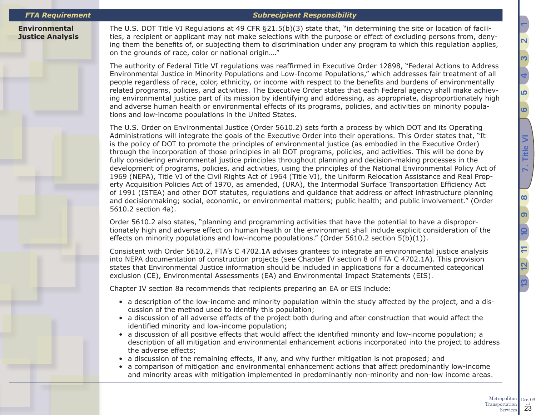### *FTA Requirement Subrecipient Responsibility*

**Environmental Justice Analysis** The U.S. DOT Title VI Regulations at 49 CFR §21.5(b)(3) state that, "in determining the site or location of facilities, a recipient or applicant may not make selections with the purpose or effect of excluding persons from, denying them the benefits of, or subjecting them to discrimination under any program to which this regulation applies, on the grounds of race, color or national origin…."

The authority of Federal Title VI regulations was reaffirmed in Executive Order 12898, "Federal Actions to Address Environmental Justice in Minority Populations and Low-Income Populations," which addresses fair treatment of all people regardless of race, color, ethnicity, or income with respect to the benefits and burdens of environmentally related programs, policies, and activities. The Executive Order states that each Federal agency shall make achieving environmental justice part of its mission by identifying and addressing, as appropriate, disproportionately high and adverse human health or environmental effects of its programs, policies, and activities on minority populations and low-income populations in the United States.

The U.S. Order on Environmental Justice (Order 5610.2) sets forth a process by which DOT and its Operating Administrations will integrate the goals of the Executive Order into their operations. This Order states that, "It is the policy of DOT to promote the principles of environmental justice (as embodied in the Executive Order) through the incorporation of those principles in all DOT programs, policies, and activities. This will be done by fully considering environmental justice principles throughout planning and decision-making processes in the development of programs, policies, and activities, using the principles of the National Environmental Policy Act of 1969 (NEPA), Title VI of the Civil Rights Act of 1964 (Title VI), the Uniform Relocation Assistance and Real Property Acquisition Policies Act of 1970, as amended, (URA), the Intermodal Surface Transportation Efficiency Act of 1991 (ISTEA) and other DOT statutes, regulations and guidance that address or affect infrastructure planning and decisionmaking; social, economic, or environmental matters; public health; and public involvement." (Order 5610.2 section 4a).

Order 5610.2 also states, "planning and programming activities that have the potential to have a disproportionately high and adverse effect on human health or the environment shall include explicit consideration of the effects on minority populations and low-income populations." (Order 5610.2 section 5(b)(1)).

Consistent with Order 5610.2, FTA's C 4702.1A advises grantees to integrate an environmental justice analysis into NEPA documentation of construction projects (see Chapter IV section 8 of FTA C 4702.1A). This provision states that Environmental Justice information should be included in applications for a documented categorical exclusion (CE), Environmental Assessments (EA) and Environmental Impact Statements (EIS).

Chapter IV section 8a recommends that recipients preparing an EA or EIS include:

- a description of the low-income and minority population within the study affected by the project, and a discussion of the method used to identify this population;
- a discussion of all adverse effects of the project both during and after construction that would affect the identified minority and low-income population;
- a discussion of all positive effects that would affect the identified minority and low-income population; a description of all mitigation and environmental enhancement actions incorporated into the project to address the adverse effects;
- a discussion of the remaining effects, if any, and why further mitigation is not proposed; and
- a comparison of mitigation and environmental enhancement actions that affect predominantly low-income and minority areas with mitigation implemented in predominantly non-minority and non-low income areas.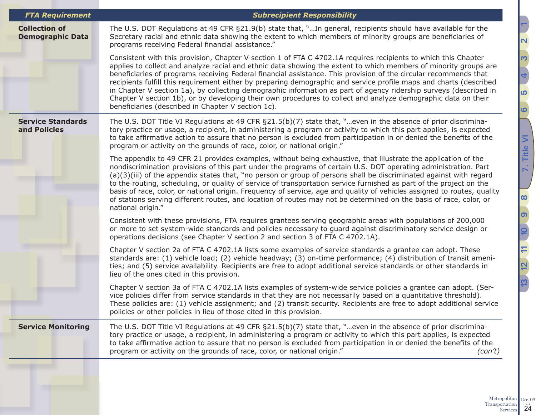| <b>FTA Requirement</b>                          | <b>Subrecipient Responsibility</b>                                                                                                                                                                                                                                                                                                                                                                                                                                                                                                                                                                                                                                                                                                                                       |  |  |  |  |  |
|-------------------------------------------------|--------------------------------------------------------------------------------------------------------------------------------------------------------------------------------------------------------------------------------------------------------------------------------------------------------------------------------------------------------------------------------------------------------------------------------------------------------------------------------------------------------------------------------------------------------------------------------------------------------------------------------------------------------------------------------------------------------------------------------------------------------------------------|--|--|--|--|--|
| <b>Collection of</b><br><b>Demographic Data</b> | The U.S. DOT Regulations at 49 CFR §21.9(b) state that, "In general, recipients should have available for the<br>Secretary racial and ethnic data showing the extent to which members of minority groups are beneficiaries of<br>programs receiving Federal financial assistance."                                                                                                                                                                                                                                                                                                                                                                                                                                                                                       |  |  |  |  |  |
|                                                 | Consistent with this provision, Chapter V section 1 of FTA C 4702.1A requires recipients to which this Chapter<br>applies to collect and analyze racial and ethnic data showing the extent to which members of minority groups are<br>beneficiaries of programs receiving Federal financial assistance. This provision of the circular recommends that<br>recipients fulfill this requirement either by preparing demographic and service profile maps and charts (described<br>in Chapter V section 1a), by collecting demographic information as part of agency ridership surveys (described in<br>Chapter V section 1b), or by developing their own procedures to collect and analyze demographic data on their<br>beneficiaries (described in Chapter V section 1c). |  |  |  |  |  |
| <b>Service Standards</b><br>and Policies        | The U.S. DOT Title VI Regulations at 49 CFR $\S21.5(b)(7)$ state that, "even in the absence of prior discrimina-<br>tory practice or usage, a recipient, in administering a program or activity to which this part applies, is expected<br>to take affirmative action to assure that no person is excluded from participation in or denied the benefits of the<br>program or activity on the grounds of race, color, or national origin."                                                                                                                                                                                                                                                                                                                                |  |  |  |  |  |
|                                                 | The appendix to 49 CFR 21 provides examples, without being exhaustive, that illustrate the application of the<br>nondiscrimination provisions of this part under the programs of certain U.S. DOT operating administration. Part<br>(a)(3)(iii) of the appendix states that, "no person or group of persons shall be discriminated against with regard<br>to the routing, scheduling, or quality of service of transportation service furnished as part of the project on the<br>basis of race, color, or national origin. Frequency of service, age and quality of vehicles assigned to routes, quality<br>of stations serving different routes, and location of routes may not be determined on the basis of race, color, or<br>national origin."                      |  |  |  |  |  |
|                                                 | Consistent with these provisions, FTA requires grantees serving geographic areas with populations of 200,000<br>or more to set system-wide standards and policies necessary to guard against discriminatory service design or<br>operations decisions (see Chapter V section 2 and section 3 of FTA C 4702.1A).                                                                                                                                                                                                                                                                                                                                                                                                                                                          |  |  |  |  |  |
|                                                 | Chapter V section 2a of FTA C 4702.1A lists some examples of service standards a grantee can adopt. These<br>standards are: (1) vehicle load; (2) vehicle headway; (3) on-time performance; (4) distribution of transit ameni-<br>ties; and (5) service availability. Recipients are free to adopt additional service standards or other standards in<br>lieu of the ones cited in this provision.                                                                                                                                                                                                                                                                                                                                                                       |  |  |  |  |  |
|                                                 | Chapter V section 3a of FTA C 4702.1A lists examples of system-wide service policies a grantee can adopt. (Ser-<br>vice policies differ from service standards in that they are not necessarily based on a quantitative threshold).<br>These policies are: (1) vehicle assignment; and (2) transit security. Recipients are free to adopt additional service<br>policies or other policies in lieu of those cited in this provision.                                                                                                                                                                                                                                                                                                                                     |  |  |  |  |  |
| <b>Service Monitoring</b>                       | The U.S. DOT Title VI Regulations at 49 CFR $\S21.5(b)(7)$ state that, "even in the absence of prior discrimina-<br>tory practice or usage, a recipient, in administering a program or activity to which this part applies, is expected<br>to take affirmative action to assure that no person is excluded from participation in or denied the benefits of the<br>program or activity on the grounds of race, color, or national origin."<br>(con't)                                                                                                                                                                                                                                                                                                                     |  |  |  |  |  |
|                                                 |                                                                                                                                                                                                                                                                                                                                                                                                                                                                                                                                                                                                                                                                                                                                                                          |  |  |  |  |  |

<u> הו</u>

**[6](#page-18-1)**

**[7. Title VI](#page-19-1)**

7. Title VI

<u>၈</u>

**[12](#page-41-1) [10](#page-33-1)**

 $12 \t11 \t10$ 

**[13](#page-47-1) [11](#page-40-1)**

<u>13</u>

**[8](#page-26-1)**

**[4](#page-13-1)**

<u>ო</u>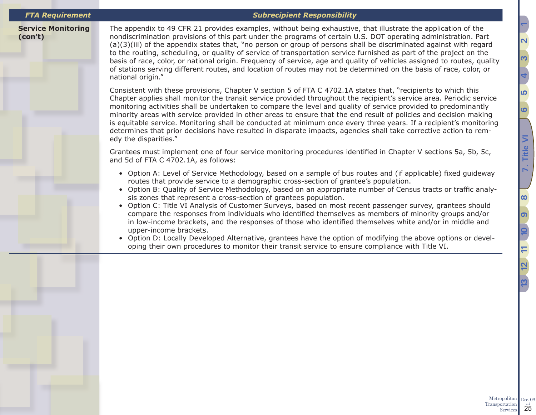**Service Monitoring** 

**(con't)**

### *FTA Requirement Subrecipient Responsibility*

The appendix to 49 CFR 21 provides examples, without being exhaustive, that illustrate the application of the nondiscrimination provisions of this part under the programs of certain U.S. DOT operating administration. Part (a)(3)(iii) of the appendix states that, "no person or group of persons shall be discriminated against with regard to the routing, scheduling, or quality of service of transportation service furnished as part of the project on the basis of race, color, or national origin. Frequency of service, age and quality of vehicles assigned to routes, quality of stations serving different routes, and location of routes may not be determined on the basis of race, color, or national origin."

Consistent with these provisions, Chapter V section 5 of FTA C 4702.1A states that, "recipients to which this Chapter applies shall monitor the transit service provided throughout the recipient's service area. Periodic service monitoring activities shall be undertaken to compare the level and quality of service provided to predominantly minority areas with service provided in other areas to ensure that the end result of policies and decision making is equitable service. Monitoring shall be conducted at minimum once every three years. If a recipient's monitoring determines that prior decisions have resulted in disparate impacts, agencies shall take corrective action to remedy the disparities."

Grantees must implement one of four service monitoring procedures identified in Chapter V sections 5a, 5b, 5c, and 5d of FTA C 4702.1A, as follows:

- Option A: Level of Service Methodology, based on a sample of bus routes and (if applicable) fixed guideway routes that provide service to a demographic cross-section of grantee's population.
- Option B: Quality of Service Methodology, based on an appropriate number of Census tracts or traffic analysis zones that represent a cross-section of grantees population.
- Option C: Title VI Analysis of Customer Surveys, based on most recent passenger survey, grantees should compare the responses from individuals who identified themselves as members of minority groups and/or in low-income brackets, and the responses of those who identified themselves white and/or in middle and upper-income brackets.
- Option D: Locally Developed Alternative, grantees have the option of modifying the above options or developing their own procedures to monitor their transit service to ensure compliance with Title VI.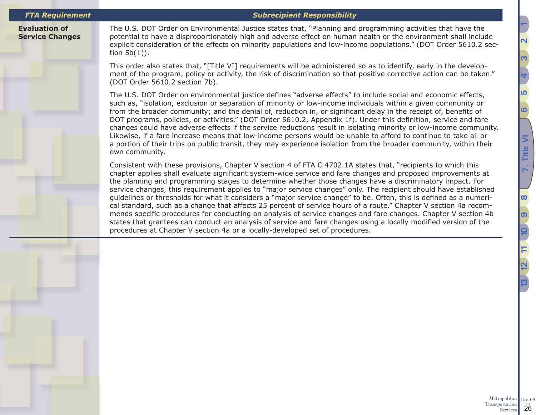*FTA Requirement Subrecipient Responsibility*

**Evaluation of Service Changes** The U.S. DOT Order on Environmental Justice states that, "Planning and programming activities that have the potential to have a disproportionately high and adverse effect on human health or the environment shall include explicit consideration of the effects on minority populations and low-income populations." (DOT Order 5610.2 section 5b(1)).

This order also states that, "[Title VI] requirements will be administered so as to identify, early in the development of the program, policy or activity, the risk of discrimination so that positive corrective action can be taken." (DOT Order 5610.2 section 7b).

The U.S. DOT Order on environmental justice defines "adverse effects" to include social and economic effects, such as, "isolation, exclusion or separation of minority or low-income individuals within a given community or from the broader community; and the denial of, reduction in, or significant delay in the receipt of, benefits of DOT programs, policies, or activities." (DOT Order 5610.2, Appendix 1f). Under this definition, service and fare changes could have adverse effects if the service reductions result in isolating minority or low-income community. Likewise, if a fare increase means that low-income persons would be unable to afford to continue to take all or a portion of their trips on public transit, they may experience isolation from the broader community, within their own community.

Consistent with these provisions, Chapter V section 4 of FTA C 4702.1A states that, "recipients to which this chapter applies shall evaluate significant system-wide service and fare changes and proposed improvements at the planning and programming stages to determine whether those changes have a discriminatory impact. For service changes, this requirement applies to "major service changes" only. The recipient should have established guidelines or thresholds for what it considers a "major service change" to be. Often, this is defined as a numerical standard, such as a change that affects 25 percent of service hours of a route." Chapter V section 4a recommends specific procedures for conducting an analysis of service changes and fare changes. Chapter V section 4b states that grantees can conduct an analysis of service and fare changes using a locally modified version of the procedures at Chapter V section 4a or a locally-developed set of procedures.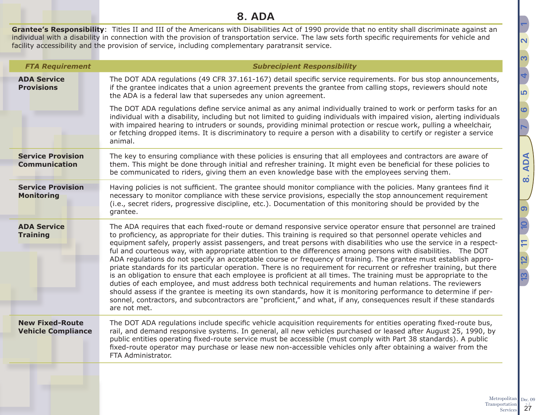## **8. ADA**

<span id="page-26-0"></span>**Grantee's Responsibility**: Titles II and III of the Americans with Disabilities Act of 1990 provide that no entity shall discriminate against an individual with a disability in connection with the provision of transportation service. The law sets forth specific requirements for vehicle and facility accessibility and the provision of service, including complementary paratransit service.

| <b>FTA Requirement</b>                              | <b>Subrecipient Responsibility</b>                                                                                                                                                                                                                                                                                                                                                                                                                                                                                                                                                                                                                                                                                                                                                                                                                                                                                                                                                                                                                                                                                                                                                                                 |  |  |  |  |  |
|-----------------------------------------------------|--------------------------------------------------------------------------------------------------------------------------------------------------------------------------------------------------------------------------------------------------------------------------------------------------------------------------------------------------------------------------------------------------------------------------------------------------------------------------------------------------------------------------------------------------------------------------------------------------------------------------------------------------------------------------------------------------------------------------------------------------------------------------------------------------------------------------------------------------------------------------------------------------------------------------------------------------------------------------------------------------------------------------------------------------------------------------------------------------------------------------------------------------------------------------------------------------------------------|--|--|--|--|--|
| <b>ADA Service</b><br><b>Provisions</b>             | The DOT ADA regulations (49 CFR 37.161-167) detail specific service requirements. For bus stop announcements,<br>if the grantee indicates that a union agreement prevents the grantee from calling stops, reviewers should note<br>the ADA is a federal law that supersedes any union agreement.                                                                                                                                                                                                                                                                                                                                                                                                                                                                                                                                                                                                                                                                                                                                                                                                                                                                                                                   |  |  |  |  |  |
|                                                     | The DOT ADA regulations define service animal as any animal individually trained to work or perform tasks for an<br>individual with a disability, including but not limited to guiding individuals with impaired vision, alerting individuals<br>with impaired hearing to intruders or sounds, providing minimal protection or rescue work, pulling a wheelchair,<br>or fetching dropped items. It is discriminatory to require a person with a disability to certify or register a service<br>animal.                                                                                                                                                                                                                                                                                                                                                                                                                                                                                                                                                                                                                                                                                                             |  |  |  |  |  |
| <b>Service Provision</b><br><b>Communication</b>    | The key to ensuring compliance with these policies is ensuring that all employees and contractors are aware of<br>them. This might be done through initial and refresher training. It might even be beneficial for these policies to<br>be communicated to riders, giving them an even knowledge base with the employees serving them.                                                                                                                                                                                                                                                                                                                                                                                                                                                                                                                                                                                                                                                                                                                                                                                                                                                                             |  |  |  |  |  |
| <b>Service Provision</b><br><b>Monitoring</b>       | Having policies is not sufficient. The grantee should monitor compliance with the policies. Many grantees find it<br>necessary to monitor compliance with these service provisions, especially the stop announcement requirement<br>(i.e., secret riders, progressive discipline, etc.). Documentation of this monitoring should be provided by the<br>grantee.                                                                                                                                                                                                                                                                                                                                                                                                                                                                                                                                                                                                                                                                                                                                                                                                                                                    |  |  |  |  |  |
| <b>ADA Service</b><br><b>Training</b>               | The ADA requires that each fixed-route or demand responsive service operator ensure that personnel are trained<br>to proficiency, as appropriate for their duties. This training is required so that personnel operate vehicles and<br>equipment safely, properly assist passengers, and treat persons with disabilities who use the service in a respect-<br>ful and courteous way, with appropriate attention to the differences among persons with disabilities. The DOT<br>ADA regulations do not specify an acceptable course or frequency of training. The grantee must establish appro-<br>priate standards for its particular operation. There is no requirement for recurrent or refresher training, but there<br>is an obligation to ensure that each employee is proficient at all times. The training must be appropriate to the<br>duties of each employee, and must address both technical requirements and human relations. The reviewers<br>should assess if the grantee is meeting its own standards, how it is monitoring performance to determine if per-<br>sonnel, contractors, and subcontractors are "proficient," and what, if any, consequences result if these standards<br>are not met. |  |  |  |  |  |
| <b>New Fixed-Route</b><br><b>Vehicle Compliance</b> | The DOT ADA regulations include specific vehicle acquisition requirements for entities operating fixed-route bus,<br>rail, and demand responsive systems. In general, all new vehicles purchased or leased after August 25, 1990, by<br>public entities operating fixed-route service must be accessible (must comply with Part 38 standards). A public<br>fixed-route operator may purchase or lease new non-accessible vehicles only after obtaining a waiver from the<br>FTA Administrator.                                                                                                                                                                                                                                                                                                                                                                                                                                                                                                                                                                                                                                                                                                                     |  |  |  |  |  |
|                                                     |                                                                                                                                                                                                                                                                                                                                                                                                                                                                                                                                                                                                                                                                                                                                                                                                                                                                                                                                                                                                                                                                                                                                                                                                                    |  |  |  |  |  |

**[5](#page-17-1)** 

**[6](#page-18-1)**

**[7](#page-19-1)**

**[8. ADA](#page-26-1)**

**[9](#page-28-1)**

**[12](#page-41-1) [10](#page-33-1)**

 $\mathbf{\Xi}$ 

**[13](#page-47-1) [11](#page-40-1)**

**[4](#page-13-1)**

<span id="page-26-1"></span><u>ო</u>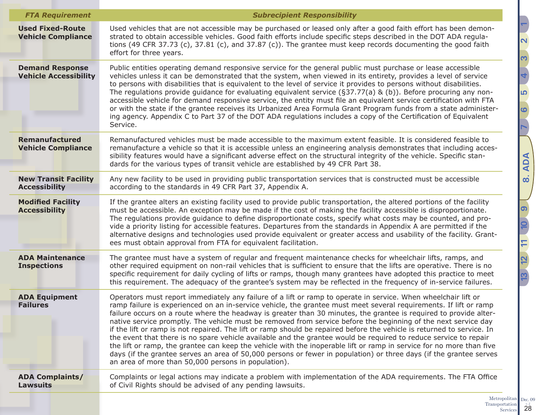| <b>FTA Requirement</b>                                 | <b>Subrecipient Responsibility</b>                                                                                                                                                                                                                                                                                                                                                                                                                                                                                                                                                                                                                                                                                                                                                                                                                                                                                                                                                                                            |  |  |  |  |
|--------------------------------------------------------|-------------------------------------------------------------------------------------------------------------------------------------------------------------------------------------------------------------------------------------------------------------------------------------------------------------------------------------------------------------------------------------------------------------------------------------------------------------------------------------------------------------------------------------------------------------------------------------------------------------------------------------------------------------------------------------------------------------------------------------------------------------------------------------------------------------------------------------------------------------------------------------------------------------------------------------------------------------------------------------------------------------------------------|--|--|--|--|
| <b>Used Fixed-Route</b><br><b>Vehicle Compliance</b>   | Used vehicles that are not accessible may be purchased or leased only after a good faith effort has been demon-<br>strated to obtain accessible vehicles. Good faith efforts include specific steps described in the DOT ADA regula-<br>tions (49 CFR 37.73 (c), 37.81 (c), and 37.87 (c)). The grantee must keep records documenting the good faith<br>effort for three years.                                                                                                                                                                                                                                                                                                                                                                                                                                                                                                                                                                                                                                               |  |  |  |  |
| <b>Demand Response</b><br><b>Vehicle Accessibility</b> | Public entities operating demand responsive service for the general public must purchase or lease accessible<br>vehicles unless it can be demonstrated that the system, when viewed in its entirety, provides a level of service<br>to persons with disabilities that is equivalent to the level of service it provides to persons without disabilities.<br>The regulations provide guidance for evaluating equivalent service ( $\S 37.77(a)$ & (b)). Before procuring any non-<br>accessible vehicle for demand responsive service, the entity must file an equivalent service certification with FTA<br>or with the state if the grantee receives its Urbanized Area Formula Grant Program funds from a state administer-<br>ing agency. Appendix C to Part 37 of the DOT ADA regulations includes a copy of the Certification of Equivalent<br>Service.                                                                                                                                                                   |  |  |  |  |
| <b>Remanufactured</b><br><b>Vehicle Compliance</b>     | Remanufactured vehicles must be made accessible to the maximum extent feasible. It is considered feasible to<br>remanufacture a vehicle so that it is accessible unless an engineering analysis demonstrates that including acces-<br>sibility features would have a significant adverse effect on the structural integrity of the vehicle. Specific stan-<br>dards for the various types of transit vehicle are established by 49 CFR Part 38.                                                                                                                                                                                                                                                                                                                                                                                                                                                                                                                                                                               |  |  |  |  |
| <b>New Transit Facility</b><br><b>Accessibility</b>    | Any new facility to be used in providing public transportation services that is constructed must be accessible<br>according to the standards in 49 CFR Part 37, Appendix A.                                                                                                                                                                                                                                                                                                                                                                                                                                                                                                                                                                                                                                                                                                                                                                                                                                                   |  |  |  |  |
| <b>Modified Facility</b><br><b>Accessibility</b>       | If the grantee alters an existing facility used to provide public transportation, the altered portions of the facility<br>must be accessible. An exception may be made if the cost of making the facility accessible is disproportionate.<br>The regulations provide guidance to define disproportionate costs, specify what costs may be counted, and pro-<br>vide a priority listing for accessible features. Departures from the standards in Appendix A are permitted if the<br>alternative designs and technologies used provide equivalent or greater access and usability of the facility. Grant-<br>ees must obtain approval from FTA for equivalent facilitation.                                                                                                                                                                                                                                                                                                                                                    |  |  |  |  |
| <b>ADA Maintenance</b><br><b>Inspections</b>           | The grantee must have a system of regular and frequent maintenance checks for wheelchair lifts, ramps, and<br>other required equipment on non-rail vehicles that is sufficient to ensure that the lifts are operative. There is no<br>specific requirement for daily cycling of lifts or ramps, though many grantees have adopted this practice to meet<br>this requirement. The adequacy of the grantee's system may be reflected in the frequency of in-service failures.                                                                                                                                                                                                                                                                                                                                                                                                                                                                                                                                                   |  |  |  |  |
| <b>ADA Equipment</b><br><b>Failures</b>                | Operators must report immediately any failure of a lift or ramp to operate in service. When wheelchair lift or<br>ramp failure is experienced on an in-service vehicle, the grantee must meet several requirements. If lift or ramp<br>failure occurs on a route where the headway is greater than 30 minutes, the grantee is required to provide alter-<br>native service promptly. The vehicle must be removed from service before the beginning of the next service day<br>if the lift or ramp is not repaired. The lift or ramp should be repaired before the vehicle is returned to service. In<br>the event that there is no spare vehicle available and the grantee would be required to reduce service to repair<br>the lift or ramp, the grantee can keep the vehicle with the inoperable lift or ramp in service for no more than five<br>days (if the grantee serves an area of 50,000 persons or fewer in population) or three days (if the grantee serves<br>an area of more than 50,000 persons in population). |  |  |  |  |
| <b>ADA Complaints/</b><br><b>Lawsuits</b>              | Complaints or legal actions may indicate a problem with implementation of the ADA requirements. The FTA Office<br>of Civil Rights should be advised of any pending lawsuits.                                                                                                                                                                                                                                                                                                                                                                                                                                                                                                                                                                                                                                                                                                                                                                                                                                                  |  |  |  |  |

**[7](#page-19-1)[8. ADA](#page-26-1)** <u>၈</u> P **[12](#page-41-1) [10](#page-33-1)**  $\Box$ **[13](#page-47-1) [11](#page-40-1)** 2 <u>ო</u>

<u> הו</u>

**[6](#page-18-1)**

<u>ო</u>

**[4](#page-13-1)**

**[2](#page-5-1) [1](#page-2-1)**

Metropolitan Transportation 28 Dec.  $09$ <sub>v.  $2$ </sub>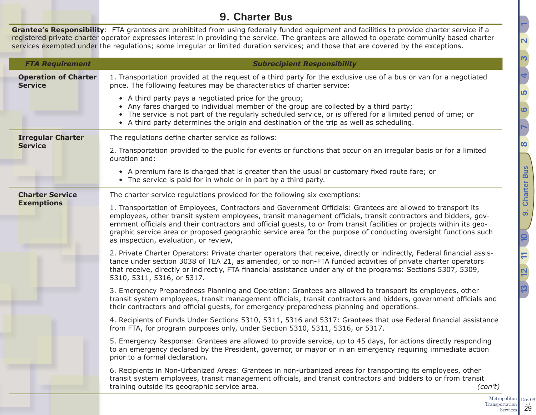## **9. Charter Bus**

<span id="page-28-0"></span>**Grantee's Responsibility**: FTA grantees are prohibited from using federally funded equipment and facilities to provide charter service if a registered private charter operator expresses interest in providing the service. The grantees are allowed to operate community based charter services exempted under the regulations; some irregular or limited duration services; and those that are covered by the exceptions.

| <b>FTA Requirement</b>                        | <b>Subrecipient Responsibility</b>                                                                                                                                                                                                                                                                                                                                                                                                                                                                                  |  |  |  |  |
|-----------------------------------------------|---------------------------------------------------------------------------------------------------------------------------------------------------------------------------------------------------------------------------------------------------------------------------------------------------------------------------------------------------------------------------------------------------------------------------------------------------------------------------------------------------------------------|--|--|--|--|
| <b>Operation of Charter</b><br><b>Service</b> | 1. Transportation provided at the request of a third party for the exclusive use of a bus or van for a negotiated<br>price. The following features may be characteristics of charter service:                                                                                                                                                                                                                                                                                                                       |  |  |  |  |
|                                               | • A third party pays a negotiated price for the group;<br>• Any fares charged to individual member of the group are collected by a third party;<br>• The service is not part of the regularly scheduled service, or is offered for a limited period of time; or<br>• A third party determines the origin and destination of the trip as well as scheduling.                                                                                                                                                         |  |  |  |  |
| <b>Irregular Charter</b>                      | The regulations define charter service as follows:                                                                                                                                                                                                                                                                                                                                                                                                                                                                  |  |  |  |  |
| <b>Service</b>                                | 2. Transportation provided to the public for events or functions that occur on an irregular basis or for a limited<br>duration and:                                                                                                                                                                                                                                                                                                                                                                                 |  |  |  |  |
|                                               | • A premium fare is charged that is greater than the usual or customary fixed route fare; or<br>• The service is paid for in whole or in part by a third party.                                                                                                                                                                                                                                                                                                                                                     |  |  |  |  |
| <b>Charter Service</b>                        | The charter service regulations provided for the following six exemptions:                                                                                                                                                                                                                                                                                                                                                                                                                                          |  |  |  |  |
| <b>Exemptions</b>                             | 1. Transportation of Employees, Contractors and Government Officials: Grantees are allowed to transport its<br>employees, other transit system employees, transit management officials, transit contractors and bidders, gov-<br>ernment officials and their contractors and official guests, to or from transit facilities or projects within its geo-<br>graphic service area or proposed geographic service area for the purpose of conducting oversight functions such<br>as inspection, evaluation, or review, |  |  |  |  |
|                                               | 2. Private Charter Operators: Private charter operators that receive, directly or indirectly, Federal financial assis-<br>tance under section 3038 of TEA 21, as amended, or to non-FTA funded activities of private charter operators<br>that receive, directly or indirectly, FTA financial assistance under any of the programs: Sections 5307, 5309,<br>5310, 5311, 5316, or 5317.                                                                                                                              |  |  |  |  |
|                                               | 3. Emergency Preparedness Planning and Operation: Grantees are allowed to transport its employees, other<br>transit system employees, transit management officials, transit contractors and bidders, government officials and<br>their contractors and official guests, for emergency preparedness planning and operations.                                                                                                                                                                                         |  |  |  |  |
|                                               | 4. Recipients of Funds Under Sections 5310, 5311, 5316 and 5317: Grantees that use Federal financial assistance<br>from FTA, for program purposes only, under Section 5310, 5311, 5316, or 5317.                                                                                                                                                                                                                                                                                                                    |  |  |  |  |
|                                               | 5. Emergency Response: Grantees are allowed to provide service, up to 45 days, for actions directly responding<br>to an emergency declared by the President, governor, or mayor or in an emergency requiring immediate action<br>prior to a formal declaration.                                                                                                                                                                                                                                                     |  |  |  |  |
|                                               | 6. Recipients in Non-Urbanized Areas: Grantees in non-urbanized areas for transporting its employees, other<br>transit system employees, transit management officials, and transit contractors and bidders to or from transit<br>training outside its geographic service area.<br>(con't)                                                                                                                                                                                                                           |  |  |  |  |

**[5](#page-17-1)**

**[6](#page-18-1)**

**[7](#page-19-1)**

**[8](#page-26-1)**

**[9. Charter Bus](#page-28-1)**

 $\overline{a}$ 

**Charter Bus** 

**[12](#page-41-1) [10](#page-33-1)**

**[13](#page-47-1) [11](#page-40-1)**

**[4](#page-13-1)**

<span id="page-28-1"></span><u>ო</u>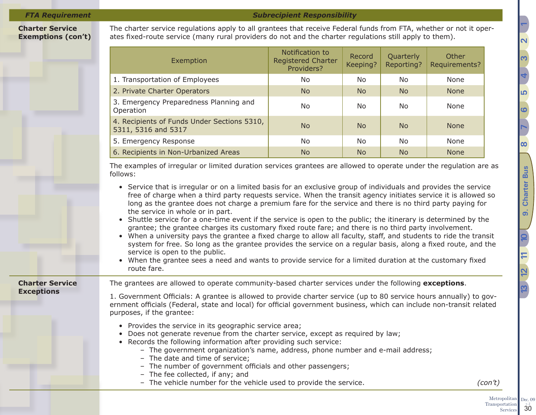### **Charter Service Exemptions (con't)**

The charter service regulations apply to all grantees that receive Federal funds from FTA, whether or not it operates fixed-route service (many rural providers do not and the charter regulations still apply to them).

| Exemption                                                          | Notification to<br><b>Registered Charter</b><br>Providers? | Record<br>Keeping? | Quarterly<br>Reporting? | Other<br>Requirements? |
|--------------------------------------------------------------------|------------------------------------------------------------|--------------------|-------------------------|------------------------|
| 1. Transportation of Employees                                     | N <sub>o</sub>                                             | No.                | No.                     | None                   |
| 2. Private Charter Operators                                       | <b>No</b>                                                  | N <sub>o</sub>     | <b>No</b>               | <b>None</b>            |
| 3. Emergency Preparedness Planning and<br>Operation                | N <sub>o</sub>                                             | No.                | No.                     | None                   |
| 4. Recipients of Funds Under Sections 5310,<br>5311, 5316 and 5317 | <b>No</b>                                                  | <b>No</b>          | <b>No</b>               | <b>None</b>            |
| 5. Emergency Response                                              | No.                                                        | No.                | No.                     | None                   |
| 6. Recipients in Non-Urbanized Areas                               | <b>No</b>                                                  | N <sub>o</sub>     | <b>No</b>               | <b>None</b>            |

The examples of irregular or limited duration services grantees are allowed to operate under the regulation are as follows:

- Service that is irregular or on a limited basis for an exclusive group of individuals and provides the service free of charge when a third party requests service. When the transit agency initiates service it is allowed so long as the grantee does not charge a premium fare for the service and there is no third party paying for the service in whole or in part.
- Shuttle service for a one-time event if the service is open to the public; the itinerary is determined by the grantee; the grantee charges its customary fixed route fare; and there is no third party involvement.
- When a university pays the grantee a fixed charge to allow all faculty, staff, and students to ride the transit system for free. So long as the grantee provides the service on a regular basis, along a fixed route, and the service is open to the public.
- When the grantee sees a need and wants to provide service for a limited duration at the customary fixed route fare.

**Charter Service Exceptions**

The grantees are allowed to operate community-based charter services under the following **exceptions**.

1. Government Officials: A grantee is allowed to provide charter service (up to 80 service hours annually) to government officials (Federal, state and local) for official government business, which can include non-transit related purposes, if the grantee:

- Provides the service in its geographic service area;
- Does not generate revenue from the charter service, except as required by law;
- Records the following information after providing such service:
	- The government organization's name, address, phone number and e-mail address;
	- The date and time of service;
	- The number of government officials and other passengers;
	- The fee collected, if any; and
	- The vehicle number for the vehicle used to provide the service. *(con't)*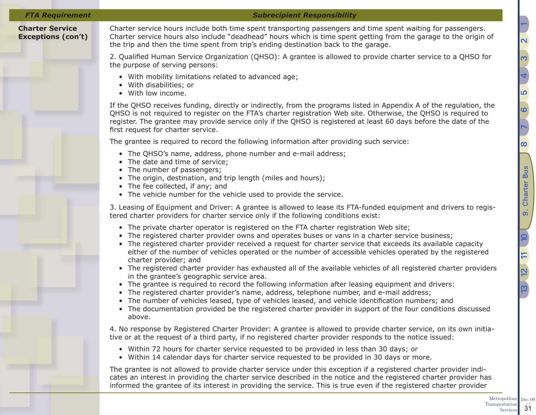### *FTA Requirement Subrecipient Responsibility*

### **Charter Service Exceptions (con't)**

Charter service hours include both time spent transporting passengers and time spent waiting for passengers. Charter service hours also include "deadhead" hours which is time spent getting from the garage to the origin of the trip and then the time spent from trip's ending destination back to the garage.

2. Qualified Human Service Organization (QHSO): A grantee is allowed to provide charter service to a QHSO for the purpose of serving persons:

- With mobility limitations related to advanced age;
- With disabilities; or
- With low income.

If the QHSO receives funding, directly or indirectly, from the programs listed in Appendix A of the regulation, the QHSO is not required to register on the FTA's charter registration Web site. Otherwise, the QHSO is required to register. The grantee may provide service only if the QHSO is registered at least 60 days before the date of the first request for charter service.

The grantee is required to record the following information after providing such service:

- The QHSO's name, address, phone number and e-mail address;
- The date and time of service;
- The number of passengers;
- The origin, destination, and trip length (miles and hours);
- The fee collected, if any; and
- The vehicle number for the vehicle used to provide the service.

3. Leasing of Equipment and Driver: A grantee is allowed to lease its FTA-funded equipment and drivers to registered charter providers for charter service only if the following conditions exist:

- The private charter operator is registered on the FTA charter registration Web site;
- The registered charter provider owns and operates buses or vans in a charter service business;
- The registered charter provider received a request for charter service that exceeds its available capacity either of the number of vehicles operated or the number of accessible vehicles operated by the registered charter provider; and
- The registered charter provider has exhausted all of the available vehicles of all registered charter providers in the grantee's geographic service area.
- The grantee is required to record the following information after leasing equipment and drivers:
- The registered charter provider's name, address, telephone number, and e-mail address;
- The number of vehicles leased, type of vehicles leased, and vehicle identification numbers; and
- The documentation provided be the registered charter provider in support of the four conditions discussed above.

4. No response by Registered Charter Provider: A grantee is allowed to provide charter service, on its own initiative or at the request of a third party, if no registered charter provider responds to the notice issued:

- Within 72 hours for charter service requested to be provided in less than 30 days; or
- Within 14 calendar days for charter service requested to be provided in 30 days or more.

The grantee is not allowed to provide charter service under this exception if a registered charter provider indicates an interest in providing the charter service described in the notice and the registered charter provider has informed the grantee of its interest in providing the service. This is true even if the registered charter provider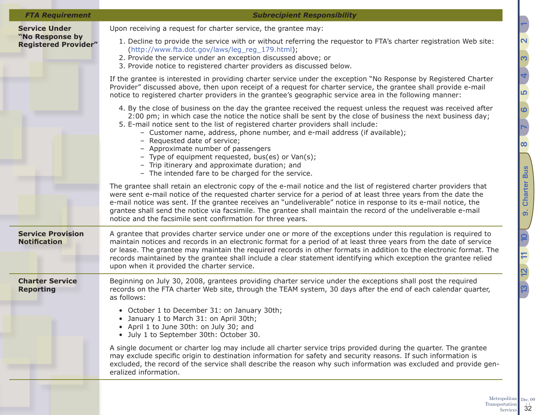| <b>Subrecipient Responsibility</b> |                                                                |  |
|------------------------------------|----------------------------------------------------------------|--|
|                                    | Upon receiving a request for charter service, the grantee may: |  |

### **Service Under "No Response by Registered Provider"**

*FTA Requirement Subrecipient Responsibility*

- 1. Decline to provide the service with or without referring the requestor to FTA's charter registration Web site: ([http://www.fta.dot.gov/laws/leg\\_reg\\_179.html](http://www.fta.dot.gov/laws/leg_reg_179.html));
- 2. Provide the service under an exception discussed above; or
- 3. Provide notice to registered charter providers as discussed below.

If the grantee is interested in providing charter service under the exception "No Response by Registered Charter Provider" discussed above, then upon receipt of a request for charter service, the grantee shall provide e-mail notice to registered charter providers in the grantee's geographic service area in the following manner:

- 4. By the close of business on the day the grantee received the request unless the request was received after 2:00 pm; in which case the notice the notice shall be sent by the close of business the next business day;
- 5. E-mail notice sent to the list of registered charter providers shall include:
	- Customer name, address, phone number, and e-mail address (if available);
	- Requested date of service;
	- Approximate number of passengers
	- Type of equipment requested, bus(es) or Van(s);
	- Trip itinerary and approximate duration; and
	- The intended fare to be charged for the service.

The grantee shall retain an electronic copy of the e-mail notice and the list of registered charter providers that were sent e-mail notice of the requested charter service for a period of at least three years from the date the e-mail notice was sent. If the grantee receives an "undeliverable" notice in response to its e-mail notice, the grantee shall send the notice via facsimile. The grantee shall maintain the record of the undeliverable e-mail notice and the facsimile sent confirmation for three years.

**Service Provision Notification**

A grantee that provides charter service under one or more of the exceptions under this regulation is required to maintain notices and records in an electronic format for a period of at least three years from the date of service or lease. The grantee may maintain the required records in other formats in addition to the electronic format. The records maintained by the grantee shall include a clear statement identifying which exception the grantee relied upon when it provided the charter service.

**Charter Service Reporting**

Beginning on July 30, 2008, grantees providing charter service under the exceptions shall post the required records on the FTA charter Web site, through the TEAM system, 30 days after the end of each calendar quarter, as follows:

- October 1 to December 31: on January 30th;
- January 1 to March 31: on April 30th;
- April 1 to June 30th: on July 30; and
- July 1 to September 30th: October 30.

A single document or charter log may include all charter service trips provided during the quarter. The grantee may exclude specific origin to destination information for safety and security reasons. If such information is excluded, the record of the service shall describe the reason why such information was excluded and provide generalized information.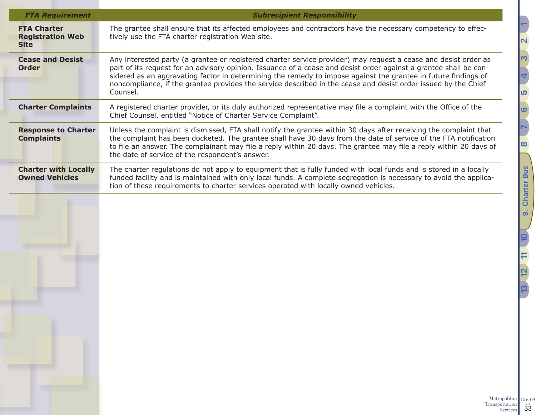| <b>FTA Charter</b>                                   |                                                                                                                                                                                                                                                                                                                                                                                                                                                                                      |
|------------------------------------------------------|--------------------------------------------------------------------------------------------------------------------------------------------------------------------------------------------------------------------------------------------------------------------------------------------------------------------------------------------------------------------------------------------------------------------------------------------------------------------------------------|
| <b>Registration Web</b><br><b>Site</b>               | The grantee shall ensure that its affected employees and contractors have the necessary competency to effec-<br>tively use the FTA charter registration Web site.                                                                                                                                                                                                                                                                                                                    |
| <b>Cease and Desist</b><br><b>Order</b>              | Any interested party (a grantee or registered charter service provider) may request a cease and desist order as<br>part of its request for an advisory opinion. Issuance of a cease and desist order against a grantee shall be con-<br>sidered as an aggravating factor in determining the remedy to impose against the grantee in future findings of<br>noncompliance, if the grantee provides the service described in the cease and desist order issued by the Chief<br>Counsel. |
| <b>Charter Complaints</b>                            | A registered charter provider, or its duly authorized representative may file a complaint with the Office of the<br>Chief Counsel, entitled "Notice of Charter Service Complaint".                                                                                                                                                                                                                                                                                                   |
| <b>Response to Charter</b><br><b>Complaints</b>      | Unless the complaint is dismissed, FTA shall notify the grantee within 30 days after receiving the complaint that<br>the complaint has been docketed. The grantee shall have 30 days from the date of service of the FTA notification<br>to file an answer. The complainant may file a reply within 20 days. The grantee may file a reply within 20 days of<br>the date of service of the respondent's answer.                                                                       |
| <b>Charter with Locally</b><br><b>Owned Vehicles</b> | The charter regulations do not apply to equipment that is fully funded with local funds and is stored in a locally<br>funded facility and is maintained with only local funds. A complete segregation is necessary to avoid the applica-<br>tion of these requirements to charter services operated with locally owned vehicles.                                                                                                                                                     |
|                                                      |                                                                                                                                                                                                                                                                                                                                                                                                                                                                                      |
|                                                      |                                                                                                                                                                                                                                                                                                                                                                                                                                                                                      |

Dec.  $09$ <sub>v.  $2$ </sub>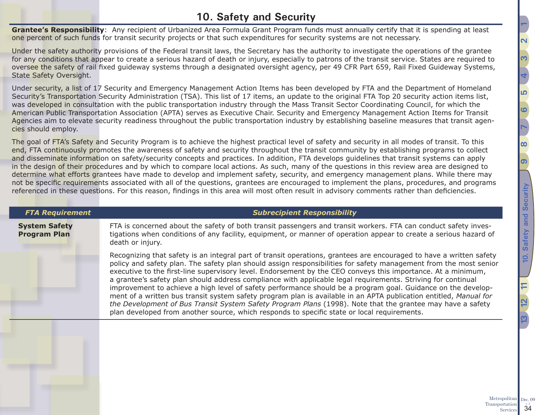## <span id="page-33-1"></span>**10. Safety and Security**

<span id="page-33-0"></span>**Grantee's Responsibility**: Any recipient of Urbanized Area Formula Grant Program funds must annually certify that it is spending at least one percent of such funds for transit security projects or that such expenditures for security systems are not necessary.

Under the safety authority provisions of the Federal transit laws, the Secretary has the authority to investigate the operations of the grantee for any conditions that appear to create a serious hazard of death or injury, especially to patrons of the transit service. States are required to oversee the safety of rail fixed guideway systems through a designated oversight agency, per 49 CFR Part 659, Rail Fixed Guideway Systems, State Safety Oversight.

Under security, a list of 17 Security and Emergency Management Action Items has been developed by FTA and the Department of Homeland Security's Transportation Security Administration (TSA). This list of 17 items, an update to the original FTA Top 20 security action items list, was developed in consultation with the public transportation industry through the Mass Transit Sector Coordinating Council, for which the American Public Transportation Association (APTA) serves as Executive Chair. Security and Emergency Management Action Items for Transit Agencies aim to elevate security readiness throughout the public transportation industry by establishing baseline measures that transit agencies should employ.

The goal of FTA's Safety and Security Program is to achieve the highest practical level of safety and security in all modes of transit. To this end, FTA continuously promotes the awareness of safety and security throughout the transit community by establishing programs to collect and disseminate information on safety/security concepts and practices. In addition, FTA develops guidelines that transit systems can apply in the design of their procedures and by which to compare local actions. As such, many of the questions in this review area are designed to determine what efforts grantees have made to develop and implement safety, security, and emergency management plans. While there may not be specific requirements associated with all of the questions, grantees are encouraged to implement the plans, procedures, and programs referenced in these questions. For this reason, findings in this area will most often result in advisory comments rather than deficiencies.

| <b>FTA Requirement</b>                      | <b>Subrecipient Responsibility</b>                                                                                                                                                                                                                                                                                                                                                                                                                                                                                                                                                                                                                                                                                                                                                                                                                                                                                         |
|---------------------------------------------|----------------------------------------------------------------------------------------------------------------------------------------------------------------------------------------------------------------------------------------------------------------------------------------------------------------------------------------------------------------------------------------------------------------------------------------------------------------------------------------------------------------------------------------------------------------------------------------------------------------------------------------------------------------------------------------------------------------------------------------------------------------------------------------------------------------------------------------------------------------------------------------------------------------------------|
| <b>System Safety</b><br><b>Program Plan</b> | FTA is concerned about the safety of both transit passengers and transit workers. FTA can conduct safety inves-<br>tigations when conditions of any facility, equipment, or manner of operation appear to create a serious hazard of<br>death or injury.                                                                                                                                                                                                                                                                                                                                                                                                                                                                                                                                                                                                                                                                   |
|                                             | Recognizing that safety is an integral part of transit operations, grantees are encouraged to have a written safety<br>policy and safety plan. The safety plan should assign responsibilities for safety management from the most senior<br>executive to the first-line supervisory level. Endorsement by the CEO conveys this importance. At a minimum,<br>a grantee's safety plan should address compliance with applicable legal requirements. Striving for continual<br>improvement to achieve a high level of safety performance should be a program goal. Guidance on the develop-<br>ment of a written bus transit system safety program plan is available in an APTA publication entitled, Manual for<br>the Development of Bus Transit System Safety Program Plans (1998). Note that the grantee may have a safety<br>plan developed from another source, which responds to specific state or local requirements. |
|                                             |                                                                                                                                                                                                                                                                                                                                                                                                                                                                                                                                                                                                                                                                                                                                                                                                                                                                                                                            |

Metropolitan Transportation Services

Dec. 09  $\overline{34}$ 

**[12](#page-41-1) [13](#page-47-1) [11](#page-40-1)**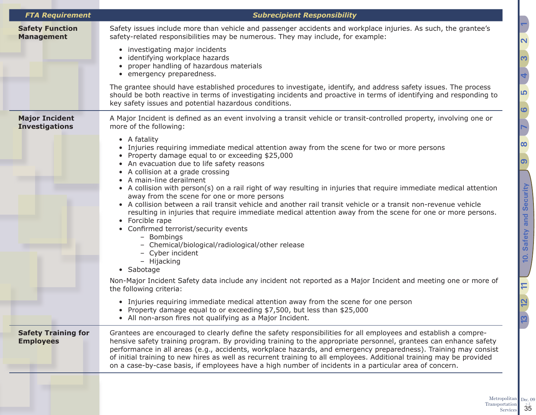| <b>FTA Requirement</b>                         | <b>Subrecipient Responsibility</b>                                                                                                                                                                                                                                                                                                                                                                                                                                                                                                                                                                                                                                                                                                                                                                                                                                                                                                                                                                                 |
|------------------------------------------------|--------------------------------------------------------------------------------------------------------------------------------------------------------------------------------------------------------------------------------------------------------------------------------------------------------------------------------------------------------------------------------------------------------------------------------------------------------------------------------------------------------------------------------------------------------------------------------------------------------------------------------------------------------------------------------------------------------------------------------------------------------------------------------------------------------------------------------------------------------------------------------------------------------------------------------------------------------------------------------------------------------------------|
| <b>Safety Function</b><br><b>Management</b>    | Safety issues include more than vehicle and passenger accidents and workplace injuries. As such, the grantee's<br>safety-related responsibilities may be numerous. They may include, for example:                                                                                                                                                                                                                                                                                                                                                                                                                                                                                                                                                                                                                                                                                                                                                                                                                  |
|                                                | • investigating major incidents<br>identifying workplace hazards<br>proper handling of hazardous materials<br>• emergency preparedness.                                                                                                                                                                                                                                                                                                                                                                                                                                                                                                                                                                                                                                                                                                                                                                                                                                                                            |
|                                                | The grantee should have established procedures to investigate, identify, and address safety issues. The process<br>should be both reactive in terms of investigating incidents and proactive in terms of identifying and responding to<br>key safety issues and potential hazardous conditions.                                                                                                                                                                                                                                                                                                                                                                                                                                                                                                                                                                                                                                                                                                                    |
| <b>Major Incident</b>                          | A Major Incident is defined as an event involving a transit vehicle or transit-controlled property, involving one or<br>more of the following:                                                                                                                                                                                                                                                                                                                                                                                                                                                                                                                                                                                                                                                                                                                                                                                                                                                                     |
| <b>Investigations</b>                          | • A fatality<br>• Injuries requiring immediate medical attention away from the scene for two or more persons<br>• Property damage equal to or exceeding \$25,000<br>• An evacuation due to life safety reasons<br>• A collision at a grade crossing<br>• A main-line derailment<br>• A collision with person(s) on a rail right of way resulting in injuries that require immediate medical attention<br>away from the scene for one or more persons<br>• A collision between a rail transit vehicle and another rail transit vehicle or a transit non-revenue vehicle<br>resulting in injuries that require immediate medical attention away from the scene for one or more persons.<br>• Forcible rape<br>• Confirmed terrorist/security events<br>- Bombings<br>- Chemical/biological/radiological/other release<br>- Cyber incident<br>- Hijacking<br>• Sabotage<br>Non-Major Incident Safety data include any incident not reported as a Major Incident and meeting one or more of<br>the following criteria: |
|                                                | • Injuries requiring immediate medical attention away from the scene for one person<br>• Property damage equal to or exceeding \$7,500, but less than \$25,000<br>• All non-arson fires not qualifying as a Major Incident.                                                                                                                                                                                                                                                                                                                                                                                                                                                                                                                                                                                                                                                                                                                                                                                        |
| <b>Safety Training for</b><br><b>Employees</b> | Grantees are encouraged to clearly define the safety responsibilities for all employees and establish a compre-<br>hensive safety training program. By providing training to the appropriate personnel, grantees can enhance safety<br>performance in all areas (e.g., accidents, workplace hazards, and emergency preparedness). Training may consist<br>of initial training to new hires as well as recurrent training to all employees. Additional training may be provided<br>on a case-by-case basis, if employees have a high number of incidents in a particular area of concern.                                                                                                                                                                                                                                                                                                                                                                                                                           |

Transportation 5<br>Services 35

Dec.  $09$ <sub>v.  $2$ </sub>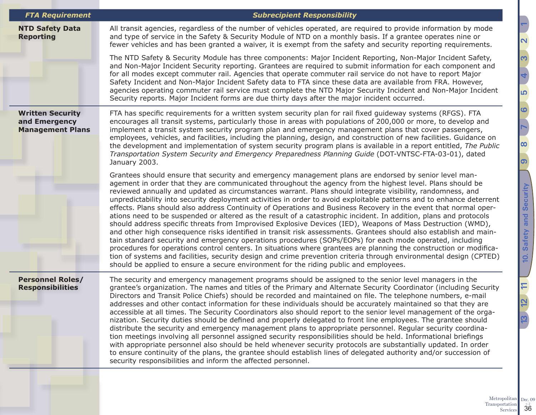| <b>FTA Requirement</b>                                              | <b>Subrecipient Responsibility</b>                                                                                                                                                                                                                                                                                                                                                                                                                                                                                                                                                                                                                                                                                                                                                                                                                                                                                                                                                                                                                                                                                                                                                                                                                                                                                                                                                     |
|---------------------------------------------------------------------|----------------------------------------------------------------------------------------------------------------------------------------------------------------------------------------------------------------------------------------------------------------------------------------------------------------------------------------------------------------------------------------------------------------------------------------------------------------------------------------------------------------------------------------------------------------------------------------------------------------------------------------------------------------------------------------------------------------------------------------------------------------------------------------------------------------------------------------------------------------------------------------------------------------------------------------------------------------------------------------------------------------------------------------------------------------------------------------------------------------------------------------------------------------------------------------------------------------------------------------------------------------------------------------------------------------------------------------------------------------------------------------|
| <b>NTD Safety Data</b><br><b>Reporting</b>                          | All transit agencies, regardless of the number of vehicles operated, are required to provide information by mode<br>and type of service in the Safety & Security Module of NTD on a monthly basis. If a grantee operates nine or<br>fewer vehicles and has been granted a waiver, it is exempt from the safety and security reporting requirements.                                                                                                                                                                                                                                                                                                                                                                                                                                                                                                                                                                                                                                                                                                                                                                                                                                                                                                                                                                                                                                    |
|                                                                     | The NTD Safety & Security Module has three components: Major Incident Reporting, Non-Major Incident Safety,<br>and Non-Major Incident Security reporting. Grantees are required to submit information for each component and<br>for all modes except commuter rail. Agencies that operate commuter rail service do not have to report Major<br>Safety Incident and Non-Major Incident Safety data to FTA since these data are available from FRA. However,<br>agencies operating commuter rail service must complete the NTD Major Security Incident and Non-Major Incident<br>Security reports. Major Incident forms are due thirty days after the major incident occurred.                                                                                                                                                                                                                                                                                                                                                                                                                                                                                                                                                                                                                                                                                                           |
| <b>Written Security</b><br>and Emergency<br><b>Management Plans</b> | FTA has specific requirements for a written system security plan for rail fixed guideway systems (RFGS). FTA<br>encourages all transit systems, particularly those in areas with populations of 200,000 or more, to develop and<br>implement a transit system security program plan and emergency management plans that cover passengers,<br>employees, vehicles, and facilities, including the planning, design, and construction of new facilities. Guidance on<br>the development and implementation of system security program plans is available in a report entitled, The Public<br>Transportation System Security and Emergency Preparedness Planning Guide (DOT-VNTSC-FTA-03-01), dated<br>January 2003.                                                                                                                                                                                                                                                                                                                                                                                                                                                                                                                                                                                                                                                                       |
|                                                                     | Grantees should ensure that security and emergency management plans are endorsed by senior level man-<br>agement in order that they are communicated throughout the agency from the highest level. Plans should be<br>reviewed annually and updated as circumstances warrant. Plans should integrate visibility, randomness, and<br>unpredictability into security deployment activities in order to avoid exploitable patterns and to enhance deterrent<br>effects. Plans should also address Continuity of Operations and Business Recovery in the event that normal oper-<br>ations need to be suspended or altered as the result of a catastrophic incident. In addition, plans and protocols<br>should address specific threats from Improvised Explosive Devices (IED), Weapons of Mass Destruction (WMD),<br>and other high consequence risks identified in transit risk assessments. Grantees should also establish and main-<br>tain standard security and emergency operations procedures (SOPs/EOPs) for each mode operated, including<br>procedures for operations control centers. In situations where grantees are planning the construction or modifica-<br>tion of systems and facilities, security design and crime prevention criteria through environmental design (CPTED)<br>should be applied to ensure a secure environment for the riding public and employees. |
| <b>Personnel Roles/</b><br><b>Responsibilities</b>                  | The security and emergency management programs should be assigned to the senior level managers in the<br>grantee's organization. The names and titles of the Primary and Alternate Security Coordinator (including Security<br>Directors and Transit Police Chiefs) should be recorded and maintained on file. The telephone numbers, e-mail<br>addresses and other contact information for these individuals should be accurately maintained so that they are<br>accessible at all times. The Security Coordinators also should report to the senior level management of the orga-<br>nization. Security duties should be defined and properly delegated to front line employees. The grantee should<br>distribute the security and emergency management plans to appropriate personnel. Regular security coordina-<br>tion meetings involving all personnel assigned security responsibilities should be held. Informational briefings<br>with appropriate personnel also should be held whenever security protocols are substantially updated. In order<br>to ensure continuity of the plans, the grantee should establish lines of delegated authority and/or succession of<br>security responsibilities and inform the affected personnel.                                                                                                                                        |

<u> הו</u> **[6](#page-18-1) [7](#page-19-1)[8](#page-26-1) [9](#page-28-1)** 10. Safety and Security **[10. Safety and Security](#page-33-1) [12](#page-41-1) [13](#page-47-1) [11](#page-40-1)**

 $\overline{5}$ 

<u>ო</u>

**[4](#page-13-1)**

**[2](#page-5-1) [1](#page-2-1)**

Metropolitan Transportation 5<sup>x<sub>2</sup></sub></sup> Dec.  $09$ <sub>v.  $2$ </sub>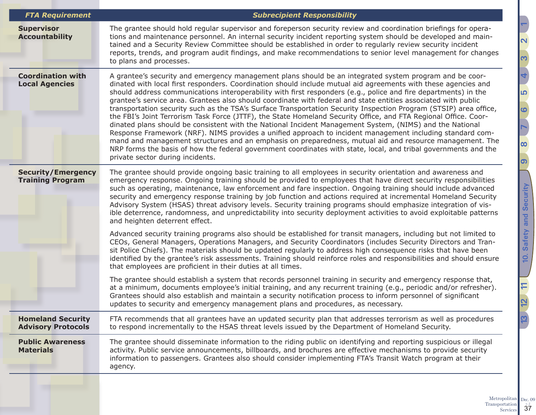| <b>FTA Requirement</b>                                | <b>Subrecipient Responsibility</b>                                                                                                                                                                                                                                                                                                                                                                                                                                                                                                                                                                                                                                                                                                                                                                                                                                                                                                                                                                                                                                                                                                                                                                |
|-------------------------------------------------------|---------------------------------------------------------------------------------------------------------------------------------------------------------------------------------------------------------------------------------------------------------------------------------------------------------------------------------------------------------------------------------------------------------------------------------------------------------------------------------------------------------------------------------------------------------------------------------------------------------------------------------------------------------------------------------------------------------------------------------------------------------------------------------------------------------------------------------------------------------------------------------------------------------------------------------------------------------------------------------------------------------------------------------------------------------------------------------------------------------------------------------------------------------------------------------------------------|
| <b>Supervisor</b><br><b>Accountability</b>            | The grantee should hold regular supervisor and foreperson security review and coordination briefings for opera-<br>tions and maintenance personnel. An internal security incident reporting system should be developed and main-<br>tained and a Security Review Committee should be established in order to regularly review security incident<br>reports, trends, and program audit findings, and make recommendations to senior level management for changes<br>to plans and processes.                                                                                                                                                                                                                                                                                                                                                                                                                                                                                                                                                                                                                                                                                                        |
| <b>Coordination with</b><br><b>Local Agencies</b>     | A grantee's security and emergency management plans should be an integrated system program and be coor-<br>dinated with local first responders. Coordination should include mutual aid agreements with these agencies and<br>should address communications interoperability with first responders (e.g., police and fire departments) in the<br>grantee's service area. Grantees also should coordinate with federal and state entities associated with public<br>transportation security such as the TSA's Surface Transportation Security Inspection Program (STSIP) area office,<br>the FBI's Joint Terrorism Task Force (JTTF), the State Homeland Security Office, and FTA Regional Office. Coor-<br>dinated plans should be consistent with the National Incident Management System, (NIMS) and the National<br>Response Framework (NRF). NIMS provides a unified approach to incident management including standard com-<br>mand and management structures and an emphasis on preparedness, mutual aid and resource management. The<br>NRP forms the basis of how the federal government coordinates with state, local, and tribal governments and the<br>private sector during incidents. |
| <b>Security/Emergency</b><br><b>Training Program</b>  | The grantee should provide ongoing basic training to all employees in security orientation and awareness and<br>emergency response. Ongoing training should be provided to employees that have direct security responsibilities<br>such as operating, maintenance, law enforcement and fare inspection. Ongoing training should include advanced<br>security and emergency response training by job function and actions required at incremental Homeland Security<br>Advisory System (HSAS) threat advisory levels. Security training programs should emphasize integration of vis-<br>ible deterrence, randomness, and unpredictability into security deployment activities to avoid exploitable patterns<br>and heighten deterrent effect.                                                                                                                                                                                                                                                                                                                                                                                                                                                     |
|                                                       | Advanced security training programs also should be established for transit managers, including but not limited to<br>CEOs, General Managers, Operations Managers, and Security Coordinators (includes Security Directors and Tran-<br>sit Police Chiefs). The materials should be updated regularly to address high consequence risks that have been<br>identified by the grantee's risk assessments. Training should reinforce roles and responsibilities and should ensure<br>that employees are proficient in their duties at all times.                                                                                                                                                                                                                                                                                                                                                                                                                                                                                                                                                                                                                                                       |
|                                                       | The grantee should establish a system that records personnel training in security and emergency response that,<br>at a minimum, documents employee's initial training, and any recurrent training (e.g., periodic and/or refresher).<br>Grantees should also establish and maintain a security notification process to inform personnel of significant<br>updates to security and emergency management plans and procedures, as necessary.                                                                                                                                                                                                                                                                                                                                                                                                                                                                                                                                                                                                                                                                                                                                                        |
| <b>Homeland Security</b><br><b>Advisory Protocols</b> | FTA recommends that all grantees have an updated security plan that addresses terrorism as well as procedures<br>to respond incrementally to the HSAS threat levels issued by the Department of Homeland Security.                                                                                                                                                                                                                                                                                                                                                                                                                                                                                                                                                                                                                                                                                                                                                                                                                                                                                                                                                                                |
| <b>Public Awareness</b><br><b>Materials</b>           | The grantee should disseminate information to the riding public on identifying and reporting suspicious or illegal<br>activity. Public service announcements, billboards, and brochures are effective mechanisms to provide security<br>information to passengers. Grantees also should consider implementing FTA's Transit Watch program at their<br>agency.                                                                                                                                                                                                                                                                                                                                                                                                                                                                                                                                                                                                                                                                                                                                                                                                                                     |
|                                                       |                                                                                                                                                                                                                                                                                                                                                                                                                                                                                                                                                                                                                                                                                                                                                                                                                                                                                                                                                                                                                                                                                                                                                                                                   |

**[2](#page-5-1) [1](#page-2-1)** <u>ო</u> **[4](#page-13-1)** <u> הו</u> **[6](#page-18-1) [7](#page-19-1)[8](#page-26-1) [9](#page-28-1)** 10. Safety and Security **[10. Safety and Security](#page-33-1)**  $\overline{11}$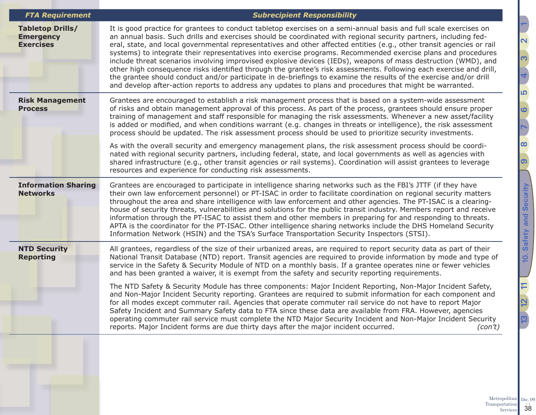| <b>FTA Requirement</b>                                          | <b>Subrecipient Responsibility</b>                                                                                                                                                                                                                                                                                                                                                                                                                                                                                                                                                                                                                                                                                                                                                                                                                                                                                                                                                                |
|-----------------------------------------------------------------|---------------------------------------------------------------------------------------------------------------------------------------------------------------------------------------------------------------------------------------------------------------------------------------------------------------------------------------------------------------------------------------------------------------------------------------------------------------------------------------------------------------------------------------------------------------------------------------------------------------------------------------------------------------------------------------------------------------------------------------------------------------------------------------------------------------------------------------------------------------------------------------------------------------------------------------------------------------------------------------------------|
| <b>Tabletop Drills/</b><br><b>Emergency</b><br><b>Exercises</b> | It is good practice for grantees to conduct tabletop exercises on a semi-annual basis and full scale exercises on<br>an annual basis. Such drills and exercises should be coordinated with regional security partners, including fed-<br>eral, state, and local governmental representatives and other affected entities (e.g., other transit agencies or rail<br>systems) to integrate their representatives into exercise programs. Recommended exercise plans and procedures<br>include threat scenarios involving improvised explosive devices (IEDs), weapons of mass destruction (WMD), and<br>other high consequence risks identified through the grantee's risk assessments. Following each exercise and drill,<br>the grantee should conduct and/or participate in de-briefings to examine the results of the exercise and/or drill<br>and develop after-action reports to address any updates to plans and procedures that might be warranted.                                          |
| <b>Risk Management</b><br><b>Process</b>                        | Grantees are encouraged to establish a risk management process that is based on a system-wide assessment<br>of risks and obtain management approval of this process. As part of the process, grantees should ensure proper<br>training of management and staff responsible for managing the risk assessments. Whenever a new asset/facility<br>is added or modified, and when conditions warrant (e.g. changes in threats or intelligence), the risk assessment<br>process should be updated. The risk assessment process should be used to prioritize security investments.<br>As with the overall security and emergency management plans, the risk assessment process should be coordi-<br>nated with regional security partners, including federal, state, and local governments as well as agencies with<br>shared infrastructure (e.g., other transit agencies or rail systems). Coordination will assist grantees to leverage<br>resources and experience for conducting risk assessments. |
| <b>Information Sharing</b><br><b>Networks</b>                   | Grantees are encouraged to participate in intelligence sharing networks such as the FBI's JTTF (if they have<br>their own law enforcement personnel) or PT-ISAC in order to facilitate coordination on regional security matters<br>throughout the area and share intelligence with law enforcement and other agencies. The PT-ISAC is a clearing-<br>house of security threats, vulnerabilities and solutions for the public transit industry. Members report and receive<br>information through the PT-ISAC to assist them and other members in preparing for and responding to threats.<br>APTA is the coordinator for the PT-ISAC. Other intelligence sharing networks include the DHS Homeland Security<br>Information Network (HSIN) and the TSA's Surface Transportation Security Inspectors (STSI).                                                                                                                                                                                       |
| <b>NTD Security</b><br><b>Reporting</b>                         | All grantees, regardless of the size of their urbanized areas, are required to report security data as part of their<br>National Transit Database (NTD) report. Transit agencies are required to provide information by mode and type of<br>service in the Safety & Security Module of NTD on a monthly basis. If a grantee operates nine or fewer vehicles<br>and has been granted a waiver, it is exempt from the safety and security reporting requirements.<br>The NTD Safety & Security Module has three components: Major Incident Reporting, Non-Major Incident Safety,<br>and Non-Major Incident Security reporting. Grantees are required to submit information for each component and<br>for all modes except commuter rail. Agencies that operate commuter rail service do not have to report Major                                                                                                                                                                                    |
|                                                                 | Safety Incident and Summary Safety data to FTA since these data are available from FRA. However, agencies<br>operating commuter rail service must complete the NTD Major Security Incident and Non-Major Incident Security<br>reports. Major Incident forms are due thirty days after the major incident occurred.<br>(con't)                                                                                                                                                                                                                                                                                                                                                                                                                                                                                                                                                                                                                                                                     |
|                                                                 |                                                                                                                                                                                                                                                                                                                                                                                                                                                                                                                                                                                                                                                                                                                                                                                                                                                                                                                                                                                                   |

 $\boxed{11}$ **[13](#page-47-1) [11](#page-40-1) [12](#page-41-1)** <u>13</u>

<u> הו</u>

**[6](#page-18-1)**

**[7](#page-19-1)**

**[9](#page-28-1)**

**[10. Safety and Security](#page-33-1)**

10. Safety and Security

**[8](#page-26-1)**

**[4](#page-13-1)**

<u>ო</u>

**[2](#page-5-1) [1](#page-2-1)**

Metropolitan Transportation 58 Dec.  $09$ <sub>v.  $2$ </sub>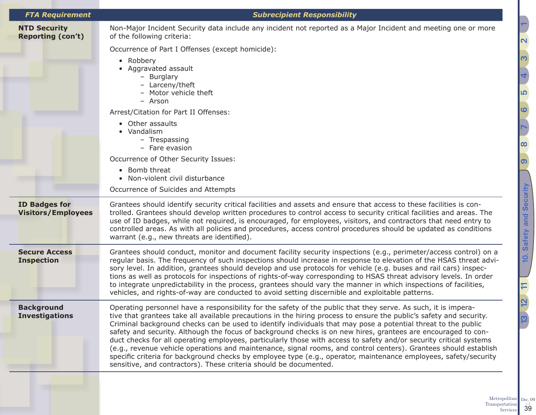| <b>FTA Requirement</b>                            | <b>Subrecipient Responsibility</b>                                                                                                                                                                                                                                                                                                                                                                                                                                                                                                                                                                                                                                                                                                                                                                                                                                                                         |
|---------------------------------------------------|------------------------------------------------------------------------------------------------------------------------------------------------------------------------------------------------------------------------------------------------------------------------------------------------------------------------------------------------------------------------------------------------------------------------------------------------------------------------------------------------------------------------------------------------------------------------------------------------------------------------------------------------------------------------------------------------------------------------------------------------------------------------------------------------------------------------------------------------------------------------------------------------------------|
| <b>NTD Security</b><br><b>Reporting (con't)</b>   | Non-Major Incident Security data include any incident not reported as a Major Incident and meeting one or more<br>of the following criteria:                                                                                                                                                                                                                                                                                                                                                                                                                                                                                                                                                                                                                                                                                                                                                               |
|                                                   | Occurrence of Part I Offenses (except homicide):                                                                                                                                                                                                                                                                                                                                                                                                                                                                                                                                                                                                                                                                                                                                                                                                                                                           |
|                                                   | • Robbery<br>• Aggravated assault<br>- Burglary<br>- Larceny/theft<br>- Motor vehicle theft<br>- Arson                                                                                                                                                                                                                                                                                                                                                                                                                                                                                                                                                                                                                                                                                                                                                                                                     |
|                                                   | Arrest/Citation for Part II Offenses:                                                                                                                                                                                                                                                                                                                                                                                                                                                                                                                                                                                                                                                                                                                                                                                                                                                                      |
|                                                   | • Other assaults<br>• Vandalism<br>- Trespassing<br>- Fare evasion                                                                                                                                                                                                                                                                                                                                                                                                                                                                                                                                                                                                                                                                                                                                                                                                                                         |
|                                                   | Occurrence of Other Security Issues:                                                                                                                                                                                                                                                                                                                                                                                                                                                                                                                                                                                                                                                                                                                                                                                                                                                                       |
|                                                   | • Bomb threat<br>• Non-violent civil disturbance                                                                                                                                                                                                                                                                                                                                                                                                                                                                                                                                                                                                                                                                                                                                                                                                                                                           |
|                                                   | Occurrence of Suicides and Attempts                                                                                                                                                                                                                                                                                                                                                                                                                                                                                                                                                                                                                                                                                                                                                                                                                                                                        |
| <b>ID Badges for</b><br><b>Visitors/Employees</b> | Grantees should identify security critical facilities and assets and ensure that access to these facilities is con-<br>trolled. Grantees should develop written procedures to control access to security critical facilities and areas. The<br>use of ID badges, while not required, is encouraged, for employees, visitors, and contractors that need entry to<br>controlled areas. As with all policies and procedures, access control procedures should be updated as conditions<br>warrant (e.g., new threats are identified).                                                                                                                                                                                                                                                                                                                                                                         |
| <b>Secure Access</b><br><b>Inspection</b>         | Grantees should conduct, monitor and document facility security inspections (e.g., perimeter/access control) on a<br>regular basis. The frequency of such inspections should increase in response to elevation of the HSAS threat advi-<br>sory level. In addition, grantees should develop and use protocols for vehicle (e.g. buses and rail cars) inspec-<br>tions as well as protocols for inspections of rights-of-way corresponding to HSAS threat advisory levels. In order<br>to integrate unpredictability in the process, grantees should vary the manner in which inspections of facilities,<br>vehicles, and rights-of-way are conducted to avoid setting discernible and exploitable patterns.                                                                                                                                                                                                |
| <b>Background</b><br><b>Investigations</b>        | Operating personnel have a responsibility for the safety of the public that they serve. As such, it is impera-<br>tive that grantees take all available precautions in the hiring process to ensure the public's safety and security.<br>Criminal background checks can be used to identify individuals that may pose a potential threat to the public<br>safety and security. Although the focus of background checks is on new hires, grantees are encouraged to con-<br>duct checks for all operating employees, particularly those with access to safety and/or security critical systems<br>(e.g., revenue vehicle operations and maintenance, signal rooms, and control centers). Grantees should establish<br>specific criteria for background checks by employee type (e.g., operator, maintenance employees, safety/security<br>sensitive, and contractors). These criteria should be documented. |

**[10. Safety and Security](#page-33-1)**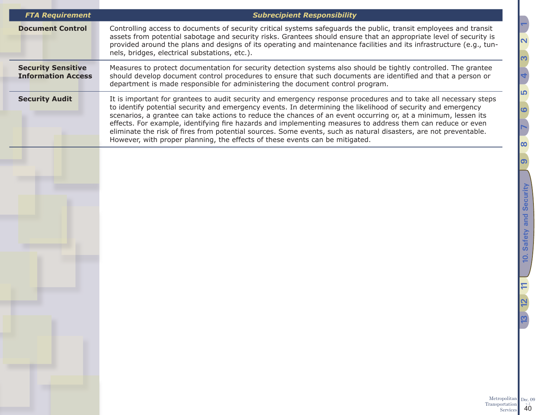| <b>FTA Requirement</b>                                 | <b>Subrecipient Responsibility</b>                                                                                                                                                                                                                                                                                                                                                                                                                                                                                                                                                                                                                                    |
|--------------------------------------------------------|-----------------------------------------------------------------------------------------------------------------------------------------------------------------------------------------------------------------------------------------------------------------------------------------------------------------------------------------------------------------------------------------------------------------------------------------------------------------------------------------------------------------------------------------------------------------------------------------------------------------------------------------------------------------------|
| <b>Document Control</b>                                | Controlling access to documents of security critical systems safeguards the public, transit employees and transit<br>assets from potential sabotage and security risks. Grantees should ensure that an appropriate level of security is<br>provided around the plans and designs of its operating and maintenance facilities and its infrastructure (e.g., tun-<br>nels, bridges, electrical substations, etc.).                                                                                                                                                                                                                                                      |
| <b>Security Sensitive</b><br><b>Information Access</b> | Measures to protect documentation for security detection systems also should be tightly controlled. The grantee<br>should develop document control procedures to ensure that such documents are identified and that a person or<br>department is made responsible for administering the document control program.                                                                                                                                                                                                                                                                                                                                                     |
| <b>Security Audit</b>                                  | It is important for grantees to audit security and emergency response procedures and to take all necessary steps<br>to identify potential security and emergency events. In determining the likelihood of security and emergency<br>scenarios, a grantee can take actions to reduce the chances of an event occurring or, at a minimum, lessen its<br>effects. For example, identifying fire hazards and implementing measures to address them can reduce or even<br>eliminate the risk of fires from potential sources. Some events, such as natural disasters, are not preventable.<br>However, with proper planning, the effects of these events can be mitigated. |
|                                                        |                                                                                                                                                                                                                                                                                                                                                                                                                                                                                                                                                                                                                                                                       |
|                                                        |                                                                                                                                                                                                                                                                                                                                                                                                                                                                                                                                                                                                                                                                       |
|                                                        |                                                                                                                                                                                                                                                                                                                                                                                                                                                                                                                                                                                                                                                                       |
|                                                        |                                                                                                                                                                                                                                                                                                                                                                                                                                                                                                                                                                                                                                                                       |
|                                                        |                                                                                                                                                                                                                                                                                                                                                                                                                                                                                                                                                                                                                                                                       |
|                                                        |                                                                                                                                                                                                                                                                                                                                                                                                                                                                                                                                                                                                                                                                       |
|                                                        |                                                                                                                                                                                                                                                                                                                                                                                                                                                                                                                                                                                                                                                                       |
|                                                        |                                                                                                                                                                                                                                                                                                                                                                                                                                                                                                                                                                                                                                                                       |
|                                                        |                                                                                                                                                                                                                                                                                                                                                                                                                                                                                                                                                                                                                                                                       |
|                                                        |                                                                                                                                                                                                                                                                                                                                                                                                                                                                                                                                                                                                                                                                       |
|                                                        | Metropolitan<br>Transportation<br>Services                                                                                                                                                                                                                                                                                                                                                                                                                                                                                                                                                                                                                            |

Dec.  $09$ <sub>v.  $2$ </sub>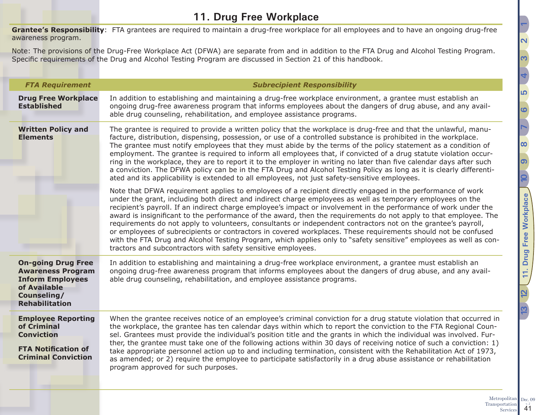<span id="page-40-1"></span><span id="page-40-0"></span>**Grantee's Responsibility**: FTA grantees are required to maintain a drug-free workplace for all employees and to have an ongoing drug-free awareness program.

Note: The provisions of the Drug-Free Workplace Act (DFWA) are separate from and in addition to the FTA Drug and Alcohol Testing Program. Specific requirements of the Drug and Alcohol Testing Program are discussed in Section 21 of this handbook.

| <b>FTA Requirement</b>                                                                                                                   | <b>Subrecipient Responsibility</b>                                                                                                                                                                                                                                                                                                                                                                                                                                                                                                                                                                                                                                                                                                                                                                                                                                                      |
|------------------------------------------------------------------------------------------------------------------------------------------|-----------------------------------------------------------------------------------------------------------------------------------------------------------------------------------------------------------------------------------------------------------------------------------------------------------------------------------------------------------------------------------------------------------------------------------------------------------------------------------------------------------------------------------------------------------------------------------------------------------------------------------------------------------------------------------------------------------------------------------------------------------------------------------------------------------------------------------------------------------------------------------------|
| <b>Drug Free Workplace</b><br><b>Established</b>                                                                                         | In addition to establishing and maintaining a drug-free workplace environment, a grantee must establish an<br>ongoing drug-free awareness program that informs employees about the dangers of drug abuse, and any avail-<br>able drug counseling, rehabilitation, and employee assistance programs.                                                                                                                                                                                                                                                                                                                                                                                                                                                                                                                                                                                     |
| <b>Written Policy and</b><br><b>Elements</b>                                                                                             | The grantee is required to provide a written policy that the workplace is drug-free and that the unlawful, manu-<br>facture, distribution, dispensing, possession, or use of a controlled substance is prohibited in the workplace.<br>The grantee must notify employees that they must abide by the terms of the policy statement as a condition of<br>employment. The grantee is required to inform all employees that, if convicted of a drug statute violation occur-<br>ring in the workplace, they are to report it to the employer in writing no later than five calendar days after such<br>a conviction. The DFWA policy can be in the FTA Drug and Alcohol Testing Policy as long as it is clearly differenti-<br>ated and its applicability is extended to all employees, not just safety-sensitive employees.                                                               |
|                                                                                                                                          | Note that DFWA requirement applies to employees of a recipient directly engaged in the performance of work<br>under the grant, including both direct and indirect charge employees as well as temporary employees on the<br>recipient's payroll. If an indirect charge employee's impact or involvement in the performance of work under the<br>award is insignificant to the performance of the award, then the requirements do not apply to that employee. The<br>requirements do not apply to volunteers, consultants or independent contractors not on the grantee's payroll,<br>or employees of subrecipients or contractors in covered workplaces. These requirements should not be confused<br>with the FTA Drug and Alcohol Testing Program, which applies only to "safety sensitive" employees as well as con-<br>tractors and subcontractors with safety sensitive employees. |
| <b>On-going Drug Free</b><br><b>Awareness Program</b><br><b>Inform Employees</b><br>of Available<br>Counseling/<br><b>Rehabilitation</b> | In addition to establishing and maintaining a drug-free workplace environment, a grantee must establish an<br>ongoing drug-free awareness program that informs employees about the dangers of drug abuse, and any avail-<br>able drug counseling, rehabilitation, and employee assistance programs.                                                                                                                                                                                                                                                                                                                                                                                                                                                                                                                                                                                     |
| <b>Employee Reporting</b><br>of Criminal<br><b>Conviction</b><br><b>FTA Notification of</b><br><b>Criminal Conviction</b>                | When the grantee receives notice of an employee's criminal conviction for a drug statute violation that occurred in<br>the workplace, the grantee has ten calendar days within which to report the conviction to the FTA Regional Coun-<br>sel. Grantees must provide the individual's position title and the grants in which the individual was involved. Fur-<br>ther, the grantee must take one of the following actions within 30 days of receiving notice of such a conviction: 1)<br>take appropriate personnel action up to and including termination, consistent with the Rehabilitation Act of 1973,<br>as amended; or 2) require the employee to participate satisfactorily in a drug abuse assistance or rehabilitation<br>program approved for such purposes.                                                                                                               |

Metropolitan Transportation

Services 41

Dec.  $09$ <sub>v.  $2$ </sub>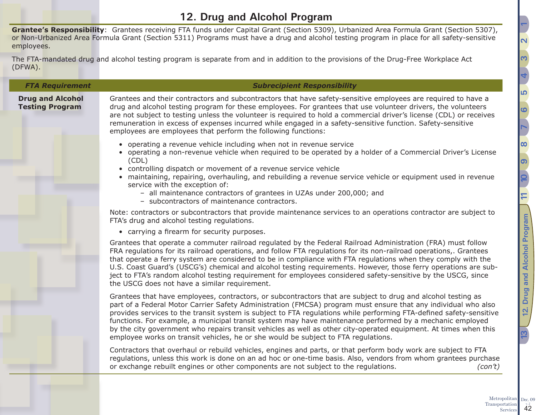## <span id="page-41-1"></span>**12. Drug and Alcohol Program**

<span id="page-41-0"></span>**Grantee's Responsibility**: Grantees receiving FTA funds under Capital Grant (Section 5309), Urbanized Area Formula Grant (Section 5307), or Non-Urbanized Area Formula Grant (Section 5311) Programs must have a drug and alcohol testing program in place for all safety-sensitive employees.

The FTA-mandated drug and alcohol testing program is separate from and in addition to the provisions of the Drug-Free Workplace Act (DFWA).

### *FTA Requirement Subrecipient Responsibility* **Drug and Alcohol Testing Program** Grantees and their contractors and subcontractors that have safety-sensitive employees are required to have a drug and alcohol testing program for these employees. For grantees that use volunteer drivers, the volunteers are not subject to testing unless the volunteer is required to hold a commercial driver's license (CDL) or receives remuneration in excess of expenses incurred while engaged in a safety-sensitive function. Safety-sensitive employees are employees that perform the following functions: • operating a revenue vehicle including when not in revenue service • operating a non-revenue vehicle when required to be operated by a holder of a Commercial Driver's License (CDL) • controlling dispatch or movement of a revenue service vehicle • maintaining, repairing, overhauling, and rebuilding a revenue service vehicle or equipment used in revenue service with the exception of: – all maintenance contractors of grantees in UZAs under 200,000; and – subcontractors of maintenance contractors. Note: contractors or subcontractors that provide maintenance services to an operations contractor are subject to FTA's drug and alcohol testing regulations. • carrying a firearm for security purposes. Grantees that operate a commuter railroad regulated by the Federal Railroad Administration (FRA) must follow FRA regulations for its railroad operations, and follow FTA regulations for its non-railroad operations,. Grantees that operate a ferry system are considered to be in compliance with FTA regulations when they comply with the U.S. Coast Guard's (USCG's) chemical and alcohol testing requirements. However, those ferry operations are subject to FTA's random alcohol testing requirement for employees considered safety-sensitive by the USCG, since the USCG does not have a similar requirement. Grantees that have employees, contractors, or subcontractors that are subject to drug and alcohol testing as part of a Federal Motor Carrier Safety Administration (FMCSA) program must ensure that any individual who also provides services to the transit system is subject to FTA regulations while performing FTA-defined safety-sensitive functions. For example, a municipal transit system may have maintenance performed by a mechanic employed by the city government who repairs transit vehicles as well as other city-operated equipment. At times when this employee works on transit vehicles, he or she would be subject to FTA regulations. Contractors that overhaul or rebuild vehicles, engines and parts, or that perform body work are subject to FTA regulations, unless this work is done on an ad hoc or one-time basis. Also, vendors from whom grantees purchase or exchange rebuilt engines or other components are not subject to the regulations. *(con't)*

<u>ما</u>

**[6](#page-18-1)**

**[7](#page-19-1)**

**[9](#page-28-1)**

Q

IJ

**[12. Drug and Alcohol Program](#page-41-1) [10](#page-33-1)**

**[13](#page-47-1) 12** Drug and Alcohol Program 1 [11](#page-40-1)

 $\frac{1}{2}$ 

Drug and Alcohol Program

**[8](#page-26-1)**

**[4](#page-13-1)**

<u>ო</u>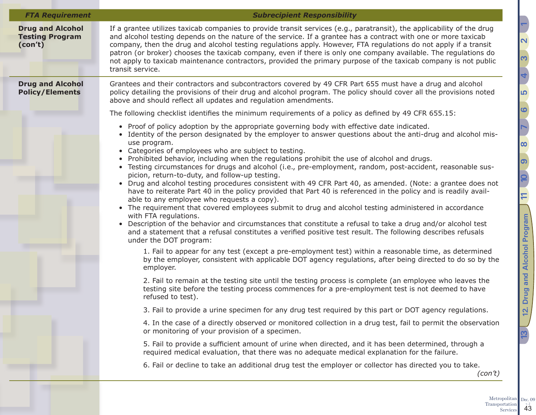| <b>FTA Requirement</b>                                       | <b>Subrecipient Responsibility</b>                                                                                                                                                                                                                                                                                                                                                                                                                                                                                                                                                                                                                                                                                                                                                                                                                                                                                                                                                                                                                                                                                                                                                                                                                     |
|--------------------------------------------------------------|--------------------------------------------------------------------------------------------------------------------------------------------------------------------------------------------------------------------------------------------------------------------------------------------------------------------------------------------------------------------------------------------------------------------------------------------------------------------------------------------------------------------------------------------------------------------------------------------------------------------------------------------------------------------------------------------------------------------------------------------------------------------------------------------------------------------------------------------------------------------------------------------------------------------------------------------------------------------------------------------------------------------------------------------------------------------------------------------------------------------------------------------------------------------------------------------------------------------------------------------------------|
| <b>Drug and Alcohol</b><br><b>Testing Program</b><br>(con't) | If a grantee utilizes taxicab companies to provide transit services (e.g., paratransit), the applicability of the drug<br>and alcohol testing depends on the nature of the service. If a grantee has a contract with one or more taxicab<br>company, then the drug and alcohol testing regulations apply. However, FTA regulations do not apply if a transit<br>patron (or broker) chooses the taxicab company, even if there is only one company available. The regulations do<br>not apply to taxicab maintenance contractors, provided the primary purpose of the taxicab company is not public<br>transit service.                                                                                                                                                                                                                                                                                                                                                                                                                                                                                                                                                                                                                                 |
| <b>Drug and Alcohol</b><br><b>Policy/Elements</b>            | Grantees and their contractors and subcontractors covered by 49 CFR Part 655 must have a drug and alcohol<br>policy detailing the provisions of their drug and alcohol program. The policy should cover all the provisions noted<br>above and should reflect all updates and regulation amendments.                                                                                                                                                                                                                                                                                                                                                                                                                                                                                                                                                                                                                                                                                                                                                                                                                                                                                                                                                    |
|                                                              | The following checklist identifies the minimum requirements of a policy as defined by 49 CFR 655.15:                                                                                                                                                                                                                                                                                                                                                                                                                                                                                                                                                                                                                                                                                                                                                                                                                                                                                                                                                                                                                                                                                                                                                   |
|                                                              | • Proof of policy adoption by the appropriate governing body with effective date indicated.<br>Identity of the person designated by the employer to answer questions about the anti-drug and alcohol mis-<br>use program.<br>• Categories of employees who are subject to testing.<br>• Prohibited behavior, including when the regulations prohibit the use of alcohol and drugs.<br>• Testing circumstances for drugs and alcohol (i.e., pre-employment, random, post-accident, reasonable sus-<br>picion, return-to-duty, and follow-up testing.<br>Drug and alcohol testing procedures consistent with 49 CFR Part 40, as amended. (Note: a grantee does not<br>$\bullet$<br>have to reiterate Part 40 in the policy provided that Part 40 is referenced in the policy and is readily avail-<br>able to any employee who requests a copy).<br>• The requirement that covered employees submit to drug and alcohol testing administered in accordance<br>with FTA regulations.<br>Description of the behavior and circumstances that constitute a refusal to take a drug and/or alcohol test<br>$\bullet$<br>and a statement that a refusal constitutes a verified positive test result. The following describes refusals<br>under the DOT program: |
|                                                              | 1. Fail to appear for any test (except a pre-employment test) within a reasonable time, as determined<br>by the employer, consistent with applicable DOT agency regulations, after being directed to do so by the<br>employer.                                                                                                                                                                                                                                                                                                                                                                                                                                                                                                                                                                                                                                                                                                                                                                                                                                                                                                                                                                                                                         |
|                                                              | 2. Fail to remain at the testing site until the testing process is complete (an employee who leaves the<br>testing site before the testing process commences for a pre-employment test is not deemed to have<br>refused to test).                                                                                                                                                                                                                                                                                                                                                                                                                                                                                                                                                                                                                                                                                                                                                                                                                                                                                                                                                                                                                      |
|                                                              | 3. Fail to provide a urine specimen for any drug test required by this part or DOT agency regulations.                                                                                                                                                                                                                                                                                                                                                                                                                                                                                                                                                                                                                                                                                                                                                                                                                                                                                                                                                                                                                                                                                                                                                 |
|                                                              | 4. In the case of a directly observed or monitored collection in a drug test, fail to permit the observation<br>or monitoring of your provision of a specimen.                                                                                                                                                                                                                                                                                                                                                                                                                                                                                                                                                                                                                                                                                                                                                                                                                                                                                                                                                                                                                                                                                         |
|                                                              | 5. Fail to provide a sufficient amount of urine when directed, and it has been determined, through a<br>required medical evaluation, that there was no adequate medical explanation for the failure.                                                                                                                                                                                                                                                                                                                                                                                                                                                                                                                                                                                                                                                                                                                                                                                                                                                                                                                                                                                                                                                   |
|                                                              | 6. Fail or decline to take an additional drug test the employer or collector has directed you to take.<br>(con't)                                                                                                                                                                                                                                                                                                                                                                                                                                                                                                                                                                                                                                                                                                                                                                                                                                                                                                                                                                                                                                                                                                                                      |

Transportation  $\begin{array}{c} \n \begin{array}{c}\n \times 2 \\
43\n \end{array}$ 

Dec.  $09$ <sub>v.  $2$ </sub>

<u> הו</u>

**[6](#page-18-1)**

**[9](#page-28-1)**

Q

 $\Xi$ 

**[12. Drug and Alcohol Program](#page-41-1) [10](#page-33-1)**

**[13](#page-47-1) 12** Drug and Alcohol Program 1 [11](#page-40-1)

13

12. Drug and Alcohol Program

**[8](#page-26-1)**

**[7](#page-19-1)**

**[4](#page-13-1)**

<u>ო</u>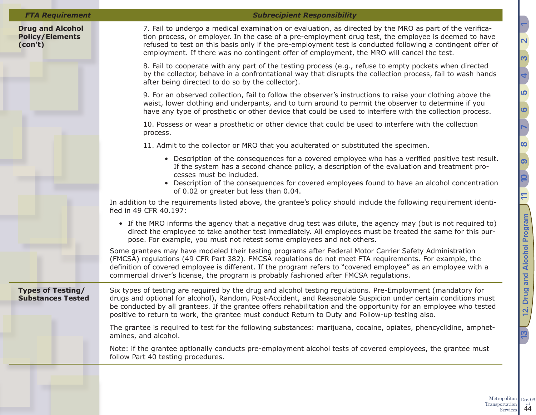### **Drug and Alcohol Policy/Elements (con't)**

### *FTA Requirement Subrecipient Responsibility*

7. Fail to undergo a medical examination or evaluation, as directed by the MRO as part of the verification process, or employer. In the case of a pre-employment drug test, the employee is deemed to have refused to test on this basis only if the pre-employment test is conducted following a contingent offer of employment. If there was no contingent offer of employment, the MRO will cancel the test.

8. Fail to cooperate with any part of the testing process (e.g., refuse to empty pockets when directed by the collector, behave in a confrontational way that disrupts the collection process, fail to wash hands after being directed to do so by the collector).

9. For an observed collection, fail to follow the observer's instructions to raise your clothing above the waist, lower clothing and underpants, and to turn around to permit the observer to determine if you have any type of prosthetic or other device that could be used to interfere with the collection process.

10. Possess or wear a prosthetic or other device that could be used to interfere with the collection process.

11. Admit to the collector or MRO that you adulterated or substituted the specimen.

- Description of the consequences for a covered employee who has a verified positive test result. If the system has a second chance policy, a description of the evaluation and treatment processes must be included.
- Description of the consequences for covered employees found to have an alcohol concentration of 0.02 or greater but less than 0.04.

In addition to the requirements listed above, the grantee's policy should include the following requirement identified in 49 CFR 40.197:

• If the MRO informs the agency that a negative drug test was dilute, the agency may (but is not required to) direct the employee to take another test immediately. All employees must be treated the same for this purpose. For example, you must not retest some employees and not others.

Some grantees may have modeled their testing programs after Federal Motor Carrier Safety Administration (FMCSA) regulations (49 CFR Part 382). FMCSA regulations do not meet FTA requirements. For example, the definition of covered employee is different. If the program refers to "covered employee" as an employee with a commercial driver's license, the program is probably fashioned after FMCSA regulations.

**Types of Testing/ Substances Tested**

Six types of testing are required by the drug and alcohol testing regulations. Pre-Employment (mandatory for drugs and optional for alcohol), Random, Post-Accident, and Reasonable Suspicion under certain conditions must be conducted by all grantees. If the grantee offers rehabilitation and the opportunity for an employee who tested positive to return to work, the grantee must conduct Return to Duty and Follow-up testing also.

The grantee is required to test for the following substances: marijuana, cocaine, opiates, phencyclidine, amphetamines, and alcohol.

Note: if the grantee optionally conducts pre-employment alcohol tests of covered employees, the grantee must follow Part 40 testing procedures.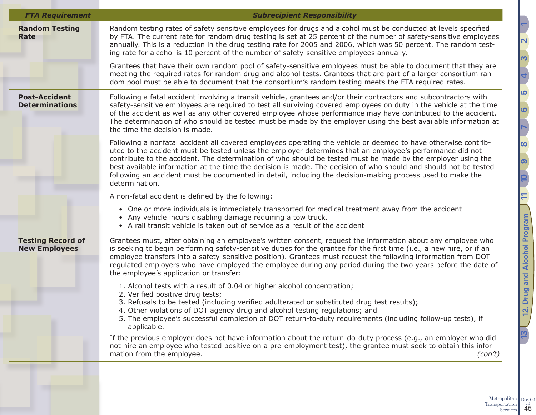| <b>FTA Requirement</b>                           | <b>Subrecipient Responsibility</b>                                                                                                                                                                                                                                                                                                                                                                                                                                                                                                                                                              |
|--------------------------------------------------|-------------------------------------------------------------------------------------------------------------------------------------------------------------------------------------------------------------------------------------------------------------------------------------------------------------------------------------------------------------------------------------------------------------------------------------------------------------------------------------------------------------------------------------------------------------------------------------------------|
| <b>Random Testing</b><br><b>Rate</b>             | Random testing rates of safety sensitive employees for drugs and alcohol must be conducted at levels specified<br>by FTA. The current rate for random drug testing is set at 25 percent of the number of safety-sensitive employees<br>annually. This is a reduction in the drug testing rate for 2005 and 2006, which was 50 percent. The random test-<br>ing rate for alcohol is 10 percent of the number of safety-sensitive employees annually.                                                                                                                                             |
|                                                  | Grantees that have their own random pool of safety-sensitive employees must be able to document that they are<br>meeting the required rates for random drug and alcohol tests. Grantees that are part of a larger consortium ran-<br>dom pool must be able to document that the consortium's random testing meets the FTA required rates.                                                                                                                                                                                                                                                       |
| <b>Post-Accident</b><br><b>Determinations</b>    | Following a fatal accident involving a transit vehicle, grantees and/or their contractors and subcontractors with<br>safety-sensitive employees are required to test all surviving covered employees on duty in the vehicle at the time<br>of the accident as well as any other covered employee whose performance may have contributed to the accident.<br>The determination of who should be tested must be made by the employer using the best available information at<br>the time the decision is made.                                                                                    |
|                                                  | Following a nonfatal accident all covered employees operating the vehicle or deemed to have otherwise contrib-<br>uted to the accident must be tested unless the employer determines that an employee's performance did not<br>contribute to the accident. The determination of who should be tested must be made by the employer using the<br>best available information at the time the decision is made. The decision of who should and should not be tested<br>following an accident must be documented in detail, including the decision-making process used to make the<br>determination. |
|                                                  | A non-fatal accident is defined by the following:                                                                                                                                                                                                                                                                                                                                                                                                                                                                                                                                               |
|                                                  | • One or more individuals is immediately transported for medical treatment away from the accident<br>• Any vehicle incurs disabling damage requiring a tow truck.<br>• A rail transit vehicle is taken out of service as a result of the accident                                                                                                                                                                                                                                                                                                                                               |
| <b>Testing Record of</b><br><b>New Employees</b> | Grantees must, after obtaining an employee's written consent, request the information about any employee who<br>is seeking to begin performing safety-sensitive duties for the grantee for the first time (i.e., a new hire, or if an<br>employee transfers into a safety-sensitive position). Grantees must request the following information from DOT-<br>regulated employers who have employed the employee during any period during the two years before the date of<br>the employee's application or transfer:                                                                             |
|                                                  | 1. Alcohol tests with a result of 0.04 or higher alcohol concentration;<br>2. Verified positive drug tests;<br>3. Refusals to be tested (including verified adulterated or substituted drug test results);<br>4. Other violations of DOT agency drug and alcohol testing regulations; and<br>5. The employee's successful completion of DOT return-to-duty requirements (including follow-up tests), if<br>applicable.<br>If the previous employer does not have information about the return-do-duty process (e.g., an employer who did                                                        |
|                                                  | not hire an employee who tested positive on a pre-employment test), the grantee must seek to obtain this infor-<br>mation from the employee.<br>(con't)                                                                                                                                                                                                                                                                                                                                                                                                                                         |
|                                                  |                                                                                                                                                                                                                                                                                                                                                                                                                                                                                                                                                                                                 |

Metropolitan Transportation  $\frac{1}{45}$ Dec.  $09$ <sub>v.  $2$ </sub>

<u> הו</u>

**[6](#page-18-1)**

**[7](#page-19-1)**

**[9](#page-28-1)**

10

 $\Box$ 

**[12. Drug and Alcohol Program](#page-41-1) [10](#page-33-1)**

**[13](#page-47-1) 12** Drug and Alcohol Program 1 [11](#page-40-1)

<u>ლ</u>

12. Drug and Alcohol Program

**[8](#page-26-1)**

**[4](#page-13-1)**

<u>ო</u>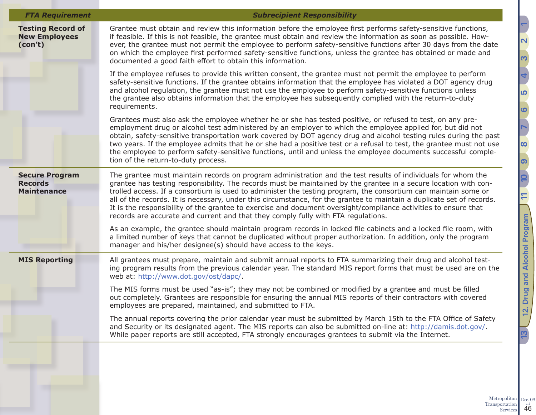| <b>FTA Requirement</b>                                        | <b>Subrecipient Responsibility</b>                                                                                                                                                                                                                                                                                                                                                                                                                                                                                                                                                                                                                                                  |
|---------------------------------------------------------------|-------------------------------------------------------------------------------------------------------------------------------------------------------------------------------------------------------------------------------------------------------------------------------------------------------------------------------------------------------------------------------------------------------------------------------------------------------------------------------------------------------------------------------------------------------------------------------------------------------------------------------------------------------------------------------------|
| <b>Testing Record of</b><br><b>New Employees</b><br>(con't)   | Grantee must obtain and review this information before the employee first performs safety-sensitive functions,<br>if feasible. If this is not feasible, the grantee must obtain and review the information as soon as possible. How-<br>ever, the grantee must not permit the employee to perform safety-sensitive functions after 30 days from the date<br>on which the employee first performed safety-sensitive functions, unless the grantee has obtained or made and<br>documented a good faith effort to obtain this information.                                                                                                                                             |
|                                                               | If the employee refuses to provide this written consent, the grantee must not permit the employee to perform<br>safety-sensitive functions. If the grantee obtains information that the employee has violated a DOT agency drug<br>and alcohol regulation, the grantee must not use the employee to perform safety-sensitive functions unless<br>the grantee also obtains information that the employee has subsequently complied with the return-to-duty<br>requirements.                                                                                                                                                                                                          |
|                                                               | Grantees must also ask the employee whether he or she has tested positive, or refused to test, on any pre-<br>employment drug or alcohol test administered by an employer to which the employee applied for, but did not<br>obtain, safety-sensitive transportation work covered by DOT agency drug and alcohol testing rules during the past<br>two years. If the employee admits that he or she had a positive test or a refusal to test, the grantee must not use<br>the employee to perform safety-sensitive functions, until and unless the employee documents successful comple-<br>tion of the return-to-duty process.                                                       |
| <b>Secure Program</b><br><b>Records</b><br><b>Maintenance</b> | The grantee must maintain records on program administration and the test results of individuals for whom the<br>grantee has testing responsibility. The records must be maintained by the grantee in a secure location with con-<br>trolled access. If a consortium is used to administer the testing program, the consortium can maintain some or<br>all of the records. It is necessary, under this circumstance, for the grantee to maintain a duplicate set of records.<br>It is the responsibility of the grantee to exercise and document oversight/compliance activities to ensure that<br>records are accurate and current and that they comply fully with FTA regulations. |
|                                                               | As an example, the grantee should maintain program records in locked file cabinets and a locked file room, with<br>a limited number of keys that cannot be duplicated without proper authorization. In addition, only the program<br>manager and his/her designee(s) should have access to the keys.                                                                                                                                                                                                                                                                                                                                                                                |
| <b>MIS Reporting</b>                                          | All grantees must prepare, maintain and submit annual reports to FTA summarizing their drug and alcohol test-<br>ing program results from the previous calendar year. The standard MIS report forms that must be used are on the<br>web at: http://www.dot.gov/ost/dapc/.                                                                                                                                                                                                                                                                                                                                                                                                           |
|                                                               | The MIS forms must be used "as-is"; they may not be combined or modified by a grantee and must be filled<br>out completely. Grantees are responsible for ensuring the annual MIS reports of their contractors with covered<br>employees are prepared, maintained, and submitted to FTA.                                                                                                                                                                                                                                                                                                                                                                                             |
|                                                               | The annual reports covering the prior calendar year must be submitted by March 15th to the FTA Office of Safety<br>and Security or its designated agent. The MIS reports can also be submitted on-line at: http://damis.dot.gov/.<br>While paper reports are still accepted, FTA strongly encourages grantees to submit via the Internet.                                                                                                                                                                                                                                                                                                                                           |

**[2](#page-5-1)**<u>ო</u> **[4](#page-13-1)** <u> הו</u> **[6](#page-18-1) [7](#page-19-1) [8](#page-26-1) [9](#page-28-1) [12. Drug and Alcohol Program](#page-41-1) [10](#page-33-1) [13](#page-47-1) 12** Drug and Alcohol Program 1 [11](#page-40-1)  $13<sup>1</sup>$ 

Metropolitan Transportation  $\frac{1}{46}$ Dec.  $09$ <sub>v.  $2$ </sub>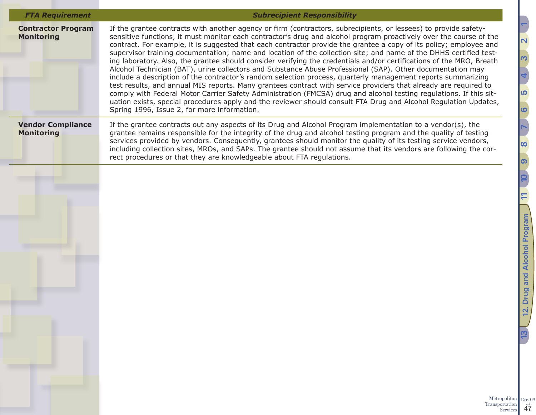| <b>FTA Requirement</b>                         | <b>Subrecipient Responsibility</b>                                                                                                                                                                                                                                                                                                                                                                                                                                                                                                                                                                                                                                                                                                                                                                                                                                                                                                                                                                                                                                                                                                                                                                                                                   |
|------------------------------------------------|------------------------------------------------------------------------------------------------------------------------------------------------------------------------------------------------------------------------------------------------------------------------------------------------------------------------------------------------------------------------------------------------------------------------------------------------------------------------------------------------------------------------------------------------------------------------------------------------------------------------------------------------------------------------------------------------------------------------------------------------------------------------------------------------------------------------------------------------------------------------------------------------------------------------------------------------------------------------------------------------------------------------------------------------------------------------------------------------------------------------------------------------------------------------------------------------------------------------------------------------------|
| <b>Contractor Program</b><br><b>Monitoring</b> | If the grantee contracts with another agency or firm (contractors, subrecipients, or lessees) to provide safety-<br>sensitive functions, it must monitor each contractor's drug and alcohol program proactively over the course of the<br>contract. For example, it is suggested that each contractor provide the grantee a copy of its policy; employee and<br>supervisor training documentation; name and location of the collection site; and name of the DHHS certified test-<br>ing laboratory. Also, the grantee should consider verifying the credentials and/or certifications of the MRO, Breath<br>Alcohol Technician (BAT), urine collectors and Substance Abuse Professional (SAP). Other documentation may<br>include a description of the contractor's random selection process, quarterly management reports summarizing<br>test results, and annual MIS reports. Many grantees contract with service providers that already are required to<br>comply with Federal Motor Carrier Safety Administration (FMCSA) drug and alcohol testing regulations. If this sit-<br>uation exists, special procedures apply and the reviewer should consult FTA Drug and Alcohol Regulation Updates,<br>Spring 1996, Issue 2, for more information. |
| <b>Vendor Compliance</b><br><b>Monitoring</b>  | If the grantee contracts out any aspects of its Drug and Alcohol Program implementation to a vendor(s), the<br>grantee remains responsible for the integrity of the drug and alcohol testing program and the quality of testing<br>services provided by vendors. Consequently, grantees should monitor the quality of its testing service vendors,<br>including collection sites, MROs, and SAPs. The grantee should not assume that its vendors are following the cor-<br>rect procedures or that they are knowledgeable about FTA regulations.                                                                                                                                                                                                                                                                                                                                                                                                                                                                                                                                                                                                                                                                                                     |
|                                                |                                                                                                                                                                                                                                                                                                                                                                                                                                                                                                                                                                                                                                                                                                                                                                                                                                                                                                                                                                                                                                                                                                                                                                                                                                                      |
|                                                |                                                                                                                                                                                                                                                                                                                                                                                                                                                                                                                                                                                                                                                                                                                                                                                                                                                                                                                                                                                                                                                                                                                                                                                                                                                      |
|                                                |                                                                                                                                                                                                                                                                                                                                                                                                                                                                                                                                                                                                                                                                                                                                                                                                                                                                                                                                                                                                                                                                                                                                                                                                                                                      |
|                                                |                                                                                                                                                                                                                                                                                                                                                                                                                                                                                                                                                                                                                                                                                                                                                                                                                                                                                                                                                                                                                                                                                                                                                                                                                                                      |
|                                                |                                                                                                                                                                                                                                                                                                                                                                                                                                                                                                                                                                                                                                                                                                                                                                                                                                                                                                                                                                                                                                                                                                                                                                                                                                                      |
|                                                |                                                                                                                                                                                                                                                                                                                                                                                                                                                                                                                                                                                                                                                                                                                                                                                                                                                                                                                                                                                                                                                                                                                                                                                                                                                      |
|                                                | Metropolitan                                                                                                                                                                                                                                                                                                                                                                                                                                                                                                                                                                                                                                                                                                                                                                                                                                                                                                                                                                                                                                                                                                                                                                                                                                         |
|                                                | Transportation<br>Services                                                                                                                                                                                                                                                                                                                                                                                                                                                                                                                                                                                                                                                                                                                                                                                                                                                                                                                                                                                                                                                                                                                                                                                                                           |

Dec.  $09$ <sub>v.  $2$ </sub>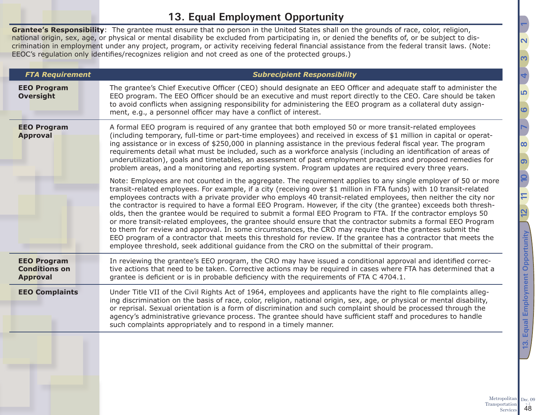## <span id="page-47-1"></span>**13. Equal Employment Opportunity**

<span id="page-47-0"></span>**Grantee's Responsibility**: The grantee must ensure that no person in the United States shall on the grounds of race, color, religion, national origin, sex, age, or physical or mental disability be excluded from participating in, or denied the benefits of, or be subject to discrimination in employment under any project, program, or activity receiving federal financial assistance from the federal transit laws. (Note: EEOC's regulation only identifies/recognizes religion and not creed as one of the protected groups.)

| <b>FTA Requirement</b>                                        | <b>Subrecipient Responsibility</b>                                                                                                                                                                                                                                                                                                                                                                                                                                                                                                                                                                                                                                                                                                                                                                                                                                                                                                                                                                                                            |
|---------------------------------------------------------------|-----------------------------------------------------------------------------------------------------------------------------------------------------------------------------------------------------------------------------------------------------------------------------------------------------------------------------------------------------------------------------------------------------------------------------------------------------------------------------------------------------------------------------------------------------------------------------------------------------------------------------------------------------------------------------------------------------------------------------------------------------------------------------------------------------------------------------------------------------------------------------------------------------------------------------------------------------------------------------------------------------------------------------------------------|
| <b>EEO Program</b><br><b>Oversight</b>                        | The grantee's Chief Executive Officer (CEO) should designate an EEO Officer and adequate staff to administer the<br>EEO program. The EEO Officer should be an executive and must report directly to the CEO. Care should be taken<br>to avoid conflicts when assigning responsibility for administering the EEO program as a collateral duty assign-<br>ment, e.g., a personnel officer may have a conflict of interest.                                                                                                                                                                                                                                                                                                                                                                                                                                                                                                                                                                                                                      |
| <b>EEO Program</b><br><b>Approval</b>                         | A formal EEO program is required of any grantee that both employed 50 or more transit-related employees<br>(including temporary, full-time or part-time employees) and received in excess of \$1 million in capital or operat-<br>ing assistance or in excess of \$250,000 in planning assistance in the previous federal fiscal year. The program<br>requirements detail what must be included, such as a workforce analysis (including an identification of areas of<br>underutilization), goals and timetables, an assessment of past employment practices and proposed remedies for<br>problem areas, and a monitoring and reporting system. Program updates are required every three years.                                                                                                                                                                                                                                                                                                                                              |
|                                                               | Note: Employees are not counted in the aggregate. The requirement applies to any single employer of 50 or more<br>transit-related employees. For example, if a city (receiving over \$1 million in FTA funds) with 10 transit-related<br>employees contracts with a private provider who employs 40 transit-related employees, then neither the city nor<br>the contractor is required to have a formal EEO Program. However, if the city (the grantee) exceeds both thresh-<br>olds, then the grantee would be required to submit a formal EEO Program to FTA. If the contractor employs 50<br>or more transit-related employees, the grantee should ensure that the contractor submits a formal EEO Program<br>to them for review and approval. In some circumstances, the CRO may require that the grantees submit the<br>EEO program of a contractor that meets this threshold for review. If the grantee has a contractor that meets the<br>employee threshold, seek additional guidance from the CRO on the submittal of their program. |
| <b>EEO Program</b><br><b>Conditions on</b><br><b>Approval</b> | In reviewing the grantee's EEO program, the CRO may have issued a conditional approval and identified correc-<br>tive actions that need to be taken. Corrective actions may be required in cases where FTA has determined that a<br>grantee is deficient or is in probable deficiency with the requirements of FTA C 4704.1.                                                                                                                                                                                                                                                                                                                                                                                                                                                                                                                                                                                                                                                                                                                  |
| <b>EEO Complaints</b>                                         | Under Title VII of the Civil Rights Act of 1964, employees and applicants have the right to file complaints alleg-<br>ing discrimination on the basis of race, color, religion, national origin, sex, age, or physical or mental disability,<br>or reprisal. Sexual orientation is a form of discrimination and such complaint should be processed through the<br>agency's administrative grievance process. The grantee should have sufficient staff and procedures to handle<br>such complaints appropriately and to respond in a timely manner.                                                                                                                                                                                                                                                                                                                                                                                                                                                                                            |
|                                                               |                                                                                                                                                                                                                                                                                                                                                                                                                                                                                                                                                                                                                                                                                                                                                                                                                                                                                                                                                                                                                                               |

**[5](#page-17-1)**

**[6](#page-18-1)**

**[7](#page-19-1)**

**[9](#page-28-1)**

**[12](#page-41-1) [10](#page-33-1)**

**[13. Equal Employment Opportunity](#page-47-1) [11](#page-40-1)**

Equal Employment Opportunity

<u>ന്</u>

**[8](#page-26-1)**

<u>ო</u>

**[4](#page-13-1)**